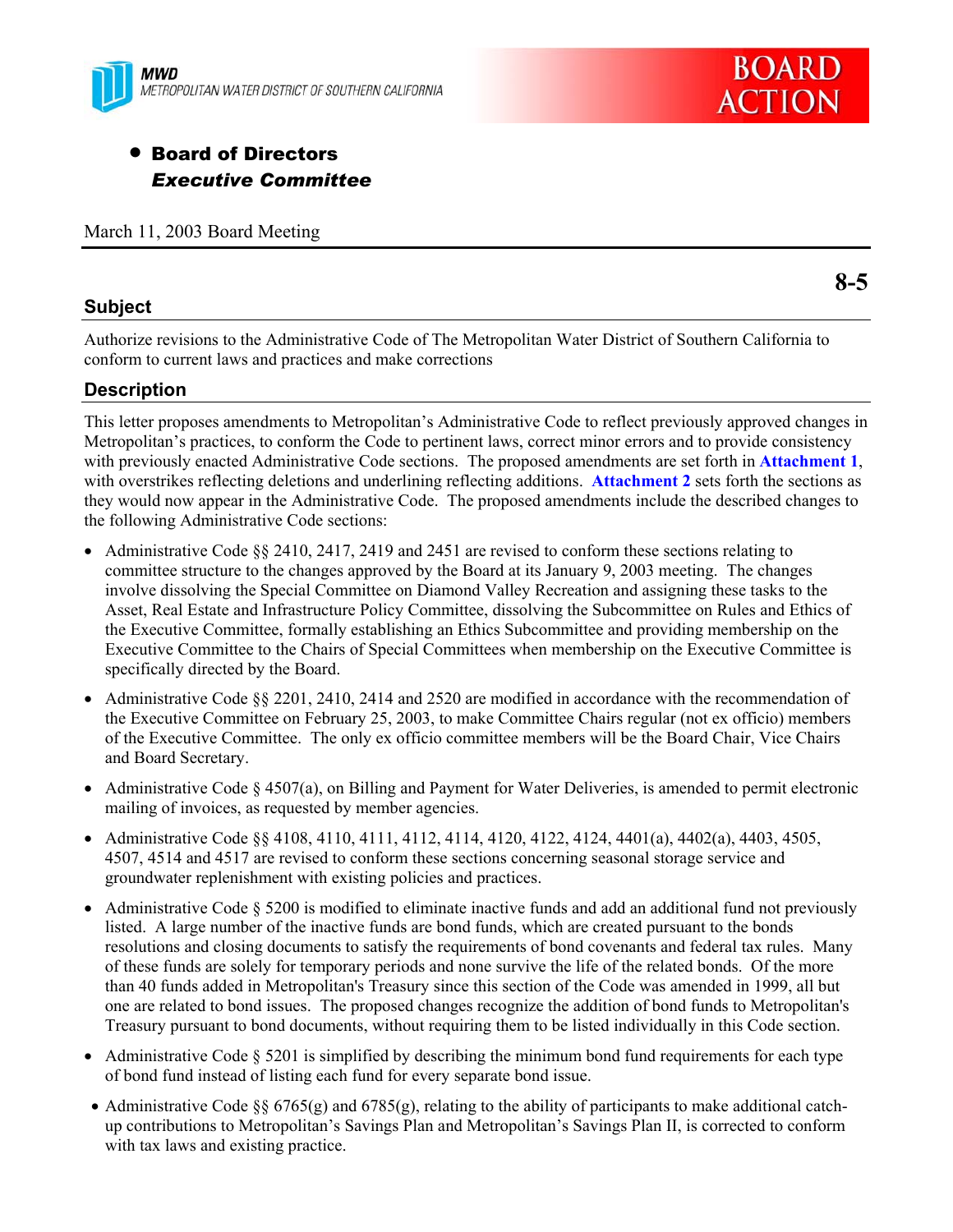



# **• Board of Directors** *Executive Committee*

March 11, 2003 Board Meeting

### **Subject**

Authorize revisions to the Administrative Code of The Metropolitan Water District of Southern California to conform to current laws and practices and make corrections

## **Description**

This letter proposes amendments to Metropolitan's Administrative Code to reflect previously approved changes in Metropolitan's practices, to conform the Code to pertinent laws, correct minor errors and to provide consistency with previously enacted Administrative Code sections. The proposed amendments are set forth in **Attachment 1**, with overstrikes reflecting deletions and underlining reflecting additions. **Attachment 2** sets forth the sections as they would now appear in the Administrative Code. The proposed amendments include the described changes to the following Administrative Code sections:

- Administrative Code  $\S$  2410, 2417, 2419 and 2451 are revised to conform these sections relating to committee structure to the changes approved by the Board at its January 9, 2003 meeting. The changes involve dissolving the Special Committee on Diamond Valley Recreation and assigning these tasks to the Asset, Real Estate and Infrastructure Policy Committee, dissolving the Subcommittee on Rules and Ethics of the Executive Committee, formally establishing an Ethics Subcommittee and providing membership on the Executive Committee to the Chairs of Special Committees when membership on the Executive Committee is specifically directed by the Board.
- Administrative Code  $\S$ § 2201, 2410, 2414 and 2520 are modified in accordance with the recommendation of the Executive Committee on February 25, 2003, to make Committee Chairs regular (not ex officio) members of the Executive Committee. The only ex officio committee members will be the Board Chair, Vice Chairs and Board Secretary.
- Administrative Code  $\S 4507(a)$ , on Billing and Payment for Water Deliveries, is amended to permit electronic mailing of invoices, as requested by member agencies.
- Administrative Code §§ 4108, 4110, 4111, 4112, 4114, 4120, 4122, 4124, 4401(a), 4402(a), 4403, 4505, 4507, 4514 and 4517 are revised to conform these sections concerning seasonal storage service and groundwater replenishment with existing policies and practices.
- Administrative Code  $\S$  5200 is modified to eliminate inactive funds and add an additional fund not previously listed. A large number of the inactive funds are bond funds, which are created pursuant to the bonds resolutions and closing documents to satisfy the requirements of bond covenants and federal tax rules. Many of these funds are solely for temporary periods and none survive the life of the related bonds. Of the more than 40 funds added in Metropolitan's Treasury since this section of the Code was amended in 1999, all but one are related to bond issues. The proposed changes recognize the addition of bond funds to Metropolitan's Treasury pursuant to bond documents, without requiring them to be listed individually in this Code section.
- Administrative Code  $\S$  5201 is simplified by describing the minimum bond fund requirements for each type of bond fund instead of listing each fund for every separate bond issue.
- Administrative Code §§ 6765(g) and 6785(g), relating to the ability of participants to make additional catchup contributions to Metropolitan's Savings Plan and Metropolitan's Savings Plan II, is corrected to conform with tax laws and existing practice.

**8-5**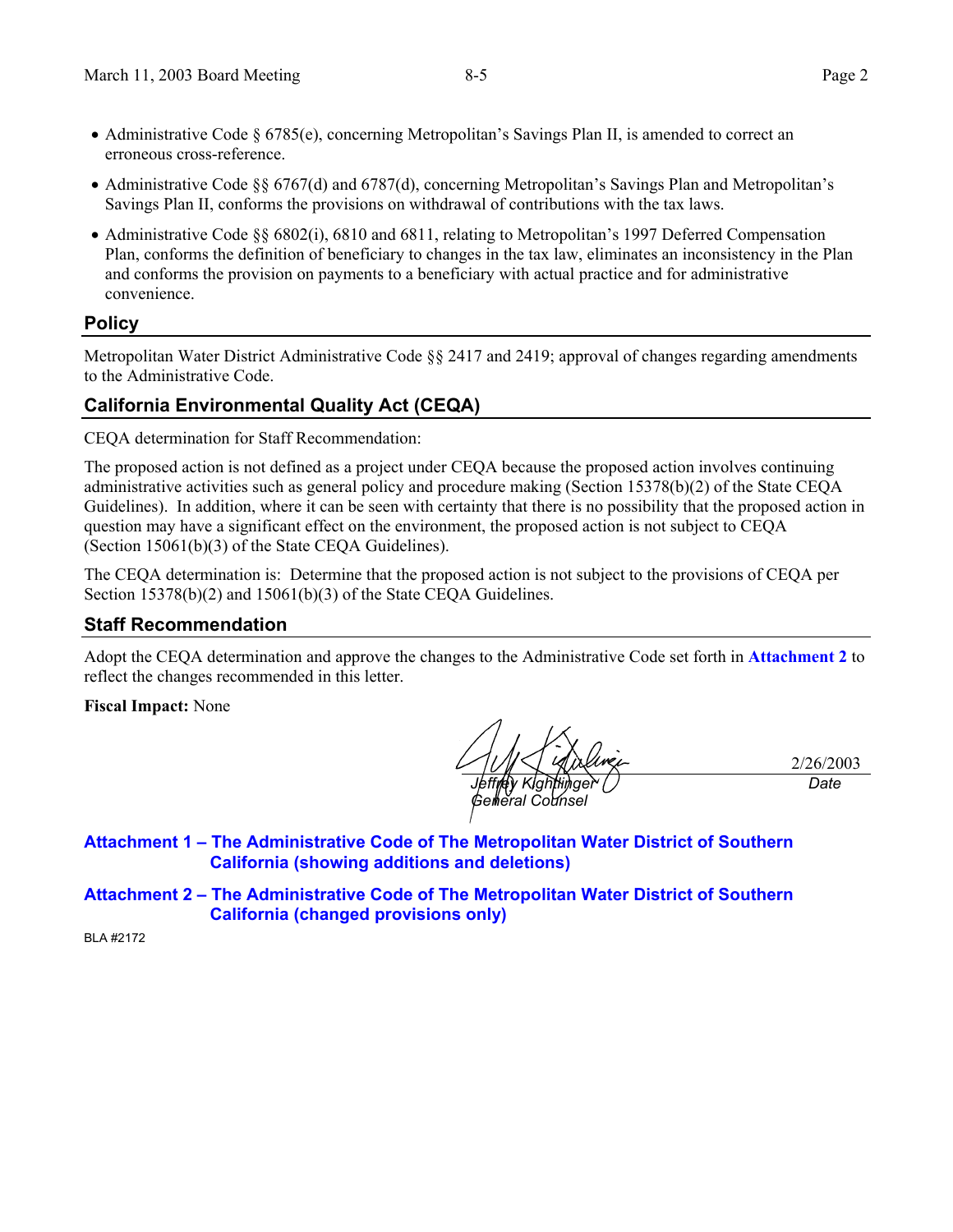*Date*

- Administrative Code § 6785(e), concerning Metropolitan's Savings Plan II, is amended to correct an erroneous cross-reference.
- Administrative Code §§ 6767(d) and 6787(d), concerning Metropolitan's Savings Plan and Metropolitan's Savings Plan II, conforms the provisions on withdrawal of contributions with the tax laws.
- Administrative Code §§ 6802(i), 6810 and 6811, relating to Metropolitan's 1997 Deferred Compensation Plan, conforms the definition of beneficiary to changes in the tax law, eliminates an inconsistency in the Plan and conforms the provision on payments to a beneficiary with actual practice and for administrative convenience.

## **Policy**

Metropolitan Water District Administrative Code §§ 2417 and 2419; approval of changes regarding amendments to the Administrative Code.

## **California Environmental Quality Act (CEQA)**

CEQA determination for Staff Recommendation:

The proposed action is not defined as a project under CEQA because the proposed action involves continuing administrative activities such as general policy and procedure making (Section 15378(b)(2) of the State CEQA Guidelines). In addition, where it can be seen with certainty that there is no possibility that the proposed action in question may have a significant effect on the environment, the proposed action is not subject to CEQA (Section 15061(b)(3) of the State CEQA Guidelines).

The CEQA determination is: Determine that the proposed action is not subject to the provisions of CEQA per Section 15378(b)(2) and 15061(b)(3) of the State CEOA Guidelines.

### **Staff Recommendation**

Adopt the CEQA determination and approve the changes to the Administrative Code set forth in **Attachment 2** to reflect the changes recommended in this letter.

**Fiscal Impact:** None

2/26/2003 *Jeffrey Kightlinger Gelheral Counse* 

**Attachment 1 – The Administrative Code of The Metropolitan Water District of Southern California (showing additions and deletions)** 

**Attachment 2 – The Administrative Code of The Metropolitan Water District of Southern California (changed provisions only)** 

BLA #2172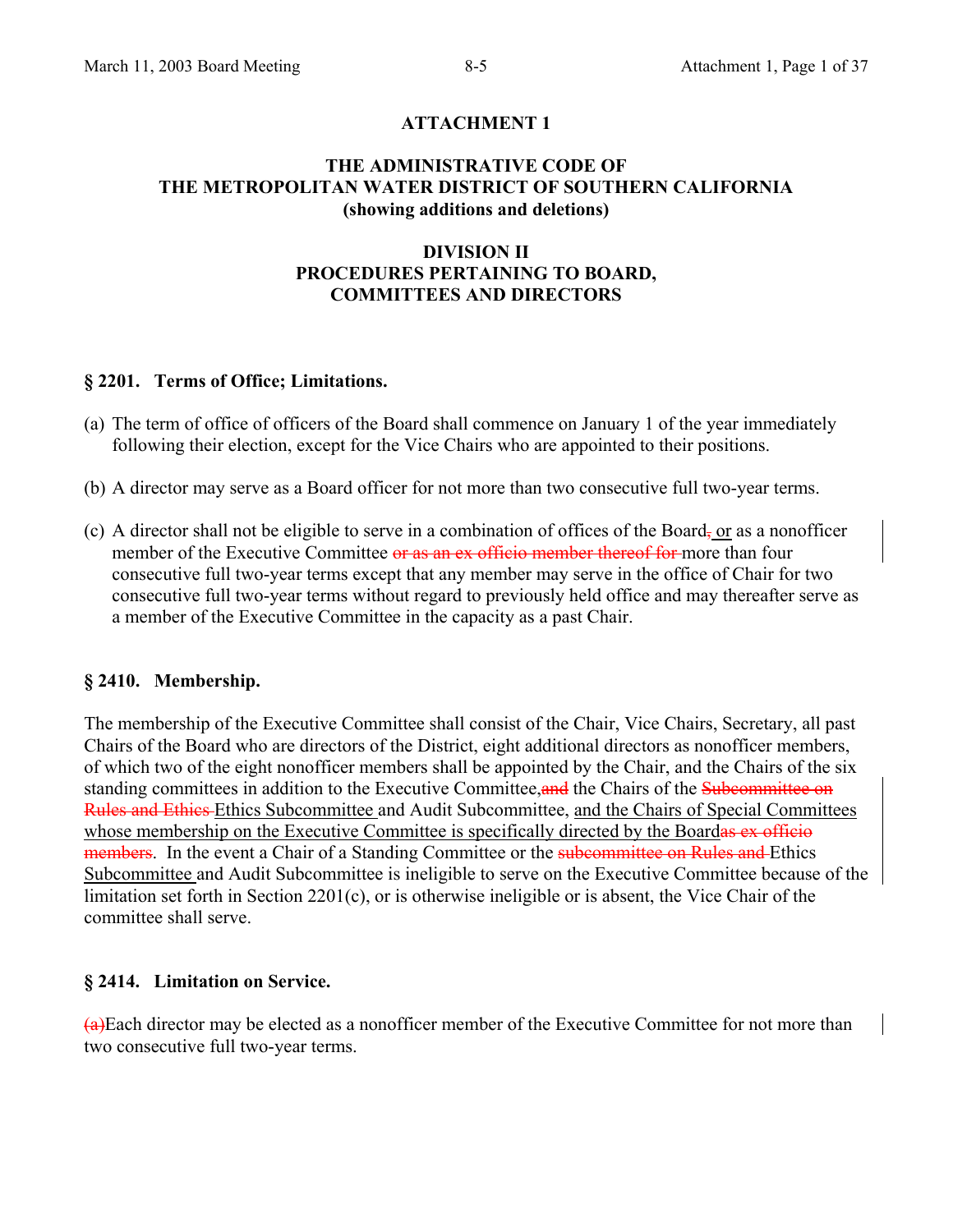## **ATTACHMENT 1**

#### **THE ADMINISTRATIVE CODE OF THE METROPOLITAN WATER DISTRICT OF SOUTHERN CALIFORNIA (showing additions and deletions)**

## **DIVISION II PROCEDURES PERTAINING TO BOARD, COMMITTEES AND DIRECTORS**

#### **§ 2201. Terms of Office; Limitations.**

- (a) The term of office of officers of the Board shall commence on January 1 of the year immediately following their election, except for the Vice Chairs who are appointed to their positions.
- (b) A director may serve as a Board officer for not more than two consecutive full two-year terms.
- (c) A director shall not be eligible to serve in a combination of offices of the Board, or as a nonofficer member of the Executive Committee or as an ex officio member thereof for more than four consecutive full two-year terms except that any member may serve in the office of Chair for two consecutive full two-year terms without regard to previously held office and may thereafter serve as a member of the Executive Committee in the capacity as a past Chair.

#### **§ 2410. Membership.**

The membership of the Executive Committee shall consist of the Chair, Vice Chairs, Secretary, all past Chairs of the Board who are directors of the District, eight additional directors as nonofficer members, of which two of the eight nonofficer members shall be appointed by the Chair, and the Chairs of the six standing committees in addition to the Executive Committee, and the Chairs of the Subcommittee on Rules and Ethics Ethics Subcommittee and Audit Subcommittee, and the Chairs of Special Committees whose membership on the Executive Committee is specifically directed by the Boardas ex officio members. In the event a Chair of a Standing Committee or the subcommittee on Rules and Ethics Subcommittee and Audit Subcommittee is ineligible to serve on the Executive Committee because of the limitation set forth in Section 2201(c), or is otherwise ineligible or is absent, the Vice Chair of the committee shall serve.

#### **§ 2414. Limitation on Service.**

(a)Each director may be elected as a nonofficer member of the Executive Committee for not more than two consecutive full two-year terms.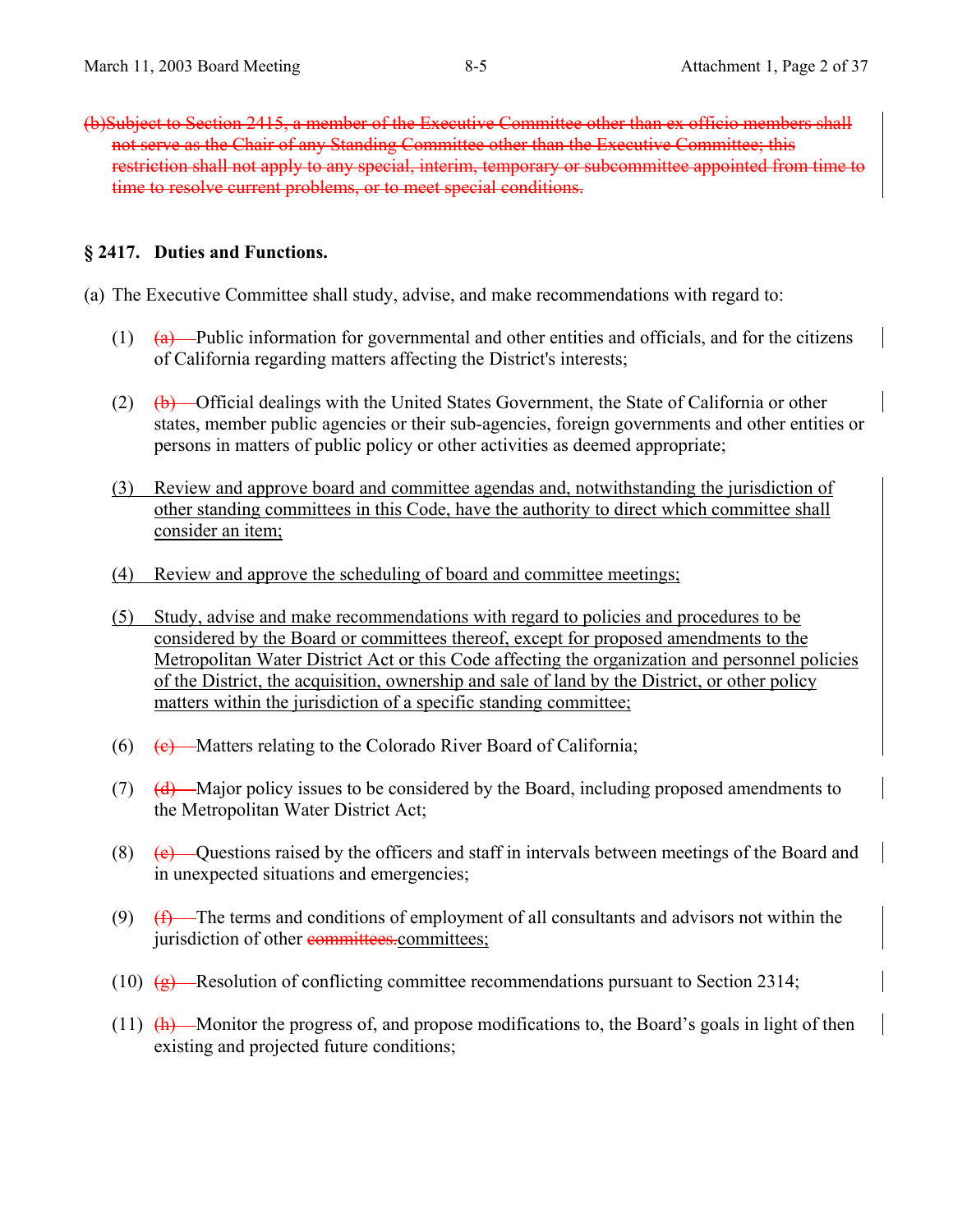(b)Subject to Section 2415, a member of the Executive Committee other than ex officio members shall not serve as the Chair of any Standing Committee other than the Executive Committee; this restriction shall not apply to any special, interim, temporary or subcommittee appointed from time to time to resolve current problems, or to meet special conditions.

### **§ 2417. Duties and Functions.**

- (a) The Executive Committee shall study, advise, and make recommendations with regard to:
	- $(1)$   $(a)$  Public information for governmental and other entities and officials, and for the citizens of California regarding matters affecting the District's interests;
	- (2)  $(b)$  Official dealings with the United States Government, the State of California or other states, member public agencies or their sub-agencies, foreign governments and other entities or persons in matters of public policy or other activities as deemed appropriate;
	- (3) Review and approve board and committee agendas and, notwithstanding the jurisdiction of other standing committees in this Code, have the authority to direct which committee shall consider an item;
	- (4) Review and approve the scheduling of board and committee meetings;
	- (5) Study, advise and make recommendations with regard to policies and procedures to be considered by the Board or committees thereof, except for proposed amendments to the Metropolitan Water District Act or this Code affecting the organization and personnel policies of the District, the acquisition, ownership and sale of land by the District, or other policy matters within the jurisdiction of a specific standing committee;
	- (6)  $(e)$  Matters relating to the Colorado River Board of California;
	- (7) (d) Major policy issues to be considered by the Board, including proposed amendments to the Metropolitan Water District Act;
	- (8)  $(e)$  Questions raised by the officers and staff in intervals between meetings of the Board and in unexpected situations and emergencies;
	- (9)  $(f)$  The terms and conditions of employment of all consultants and advisors not within the jurisdiction of other committees.committees;
	- (10)  $(g)$ —Resolution of conflicting committee recommendations pursuant to Section 2314;
	- (11)  $(h)$  Monitor the progress of, and propose modifications to, the Board's goals in light of then existing and projected future conditions;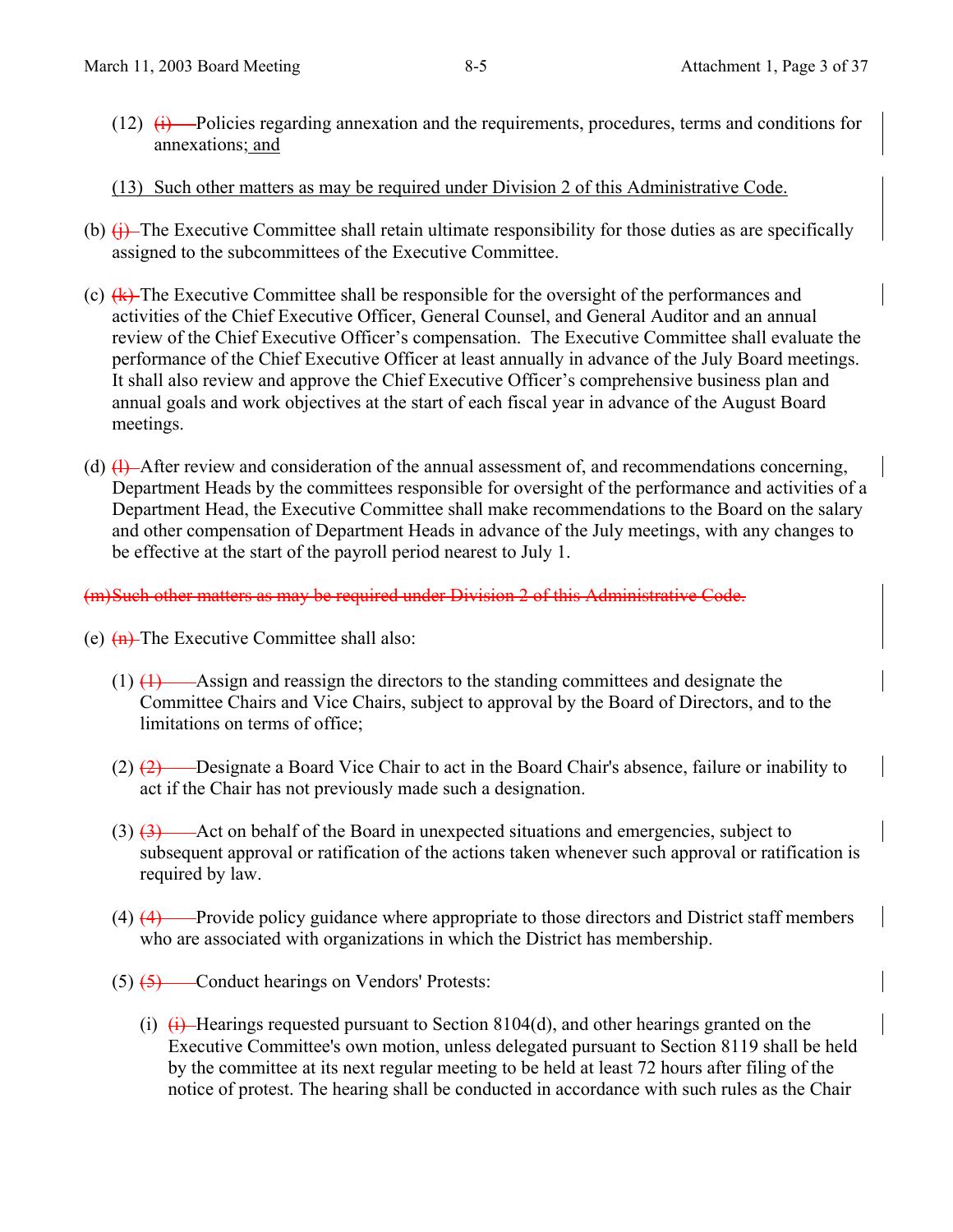- $(12)$   $(i)$  --Policies regarding annexation and the requirements, procedures, terms and conditions for annexations; and
- (13) Such other matters as may be required under Division 2 of this Administrative Code.
- (b)  $(i)$  The Executive Committee shall retain ultimate responsibility for those duties as are specifically assigned to the subcommittees of the Executive Committee.
- (c)  $\overline{(k)}$  The Executive Committee shall be responsible for the oversight of the performances and activities of the Chief Executive Officer, General Counsel, and General Auditor and an annual review of the Chief Executive Officer's compensation. The Executive Committee shall evaluate the performance of the Chief Executive Officer at least annually in advance of the July Board meetings. It shall also review and approve the Chief Executive Officer's comprehensive business plan and annual goals and work objectives at the start of each fiscal year in advance of the August Board meetings.
- (d)  $\left(\frac{1}{2}\right)$  After review and consideration of the annual assessment of, and recommendations concerning, Department Heads by the committees responsible for oversight of the performance and activities of a Department Head, the Executive Committee shall make recommendations to the Board on the salary and other compensation of Department Heads in advance of the July meetings, with any changes to be effective at the start of the payroll period nearest to July 1.

## (m)Such other matters as may be required under Division 2 of this Administrative Code.

- (e)  $\left( \text{h} \right)$  The Executive Committee shall also:
	- $(1)$   $(1)$   $\longrightarrow$  Assign and reassign the directors to the standing committees and designate the Committee Chairs and Vice Chairs, subject to approval by the Board of Directors, and to the limitations on terms of office;
	- $(2)$   $(2)$  Designate a Board Vice Chair to act in the Board Chair's absence, failure or inability to act if the Chair has not previously made such a designation.
	- (3) (3) Act on behalf of the Board in unexpected situations and emergencies, subject to subsequent approval or ratification of the actions taken whenever such approval or ratification is required by law.
	- $(4)$   $(4)$  Provide policy guidance where appropriate to those directors and District staff members who are associated with organizations in which the District has membership.
	- $(5)$   $\overline{(5)}$  Conduct hearings on Vendors' Protests:
		- (i)  $\overline{(i)}$  Hearings requested pursuant to Section 8104(d), and other hearings granted on the Executive Committee's own motion, unless delegated pursuant to Section 8119 shall be held by the committee at its next regular meeting to be held at least 72 hours after filing of the notice of protest. The hearing shall be conducted in accordance with such rules as the Chair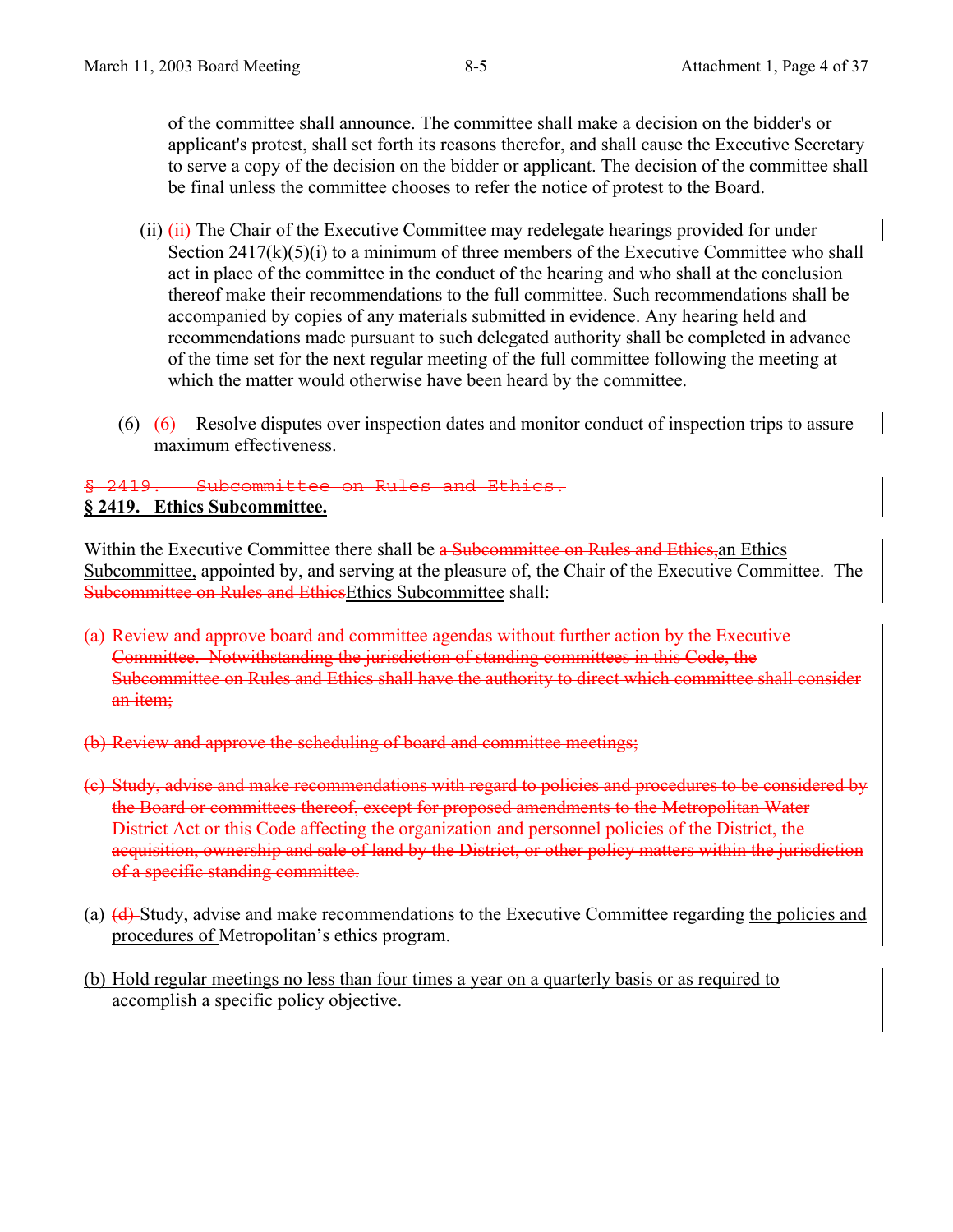of the committee shall announce. The committee shall make a decision on the bidder's or applicant's protest, shall set forth its reasons therefor, and shall cause the Executive Secretary to serve a copy of the decision on the bidder or applicant. The decision of the committee shall be final unless the committee chooses to refer the notice of protest to the Board.

- (ii)  $(H)$  The Chair of the Executive Committee may redelegate hearings provided for under Section  $2417(k)(5)(i)$  to a minimum of three members of the Executive Committee who shall act in place of the committee in the conduct of the hearing and who shall at the conclusion thereof make their recommendations to the full committee. Such recommendations shall be accompanied by copies of any materials submitted in evidence. Any hearing held and recommendations made pursuant to such delegated authority shall be completed in advance of the time set for the next regular meeting of the full committee following the meeting at which the matter would otherwise have been heard by the committee.
- $(6)$   $(6)$  -Resolve disputes over inspection dates and monitor conduct of inspection trips to assure maximum effectiveness.

#### $Subcommittee$  on Rules and Ethics. **§ 2419. Ethics Subcommittee.**

Within the Executive Committee there shall be a Subcommittee on Rules and Ethics, an Ethics Subcommittee, appointed by, and serving at the pleasure of, the Chair of the Executive Committee. The Subcommittee on Rules and EthicsEthics Subcommittee shall:

- (a) Review and approve board and committee agendas without further action by the Executive Committee. Notwithstanding the jurisdiction of standing committees in this Code, the Subcommittee on Rules and Ethics shall have the authority to direct which committee shall consider an *item*;
- (b) Review and approve the scheduling of board and committee meetings;
- (c) Study, advise and make recommendations with regard to policies and procedures to be considered by the Board or committees thereof, except for proposed amendments to the Metropolitan Water District Act or this Code affecting the organization and personnel policies of the District, the acquisition, ownership and sale of land by the District, or other policy matters within the jurisdiction of a specific standing committee.
- (a) (d) Study, advise and make recommendations to the Executive Committee regarding the policies and procedures of Metropolitan's ethics program.
- (b) Hold regular meetings no less than four times a year on a quarterly basis or as required to accomplish a specific policy objective.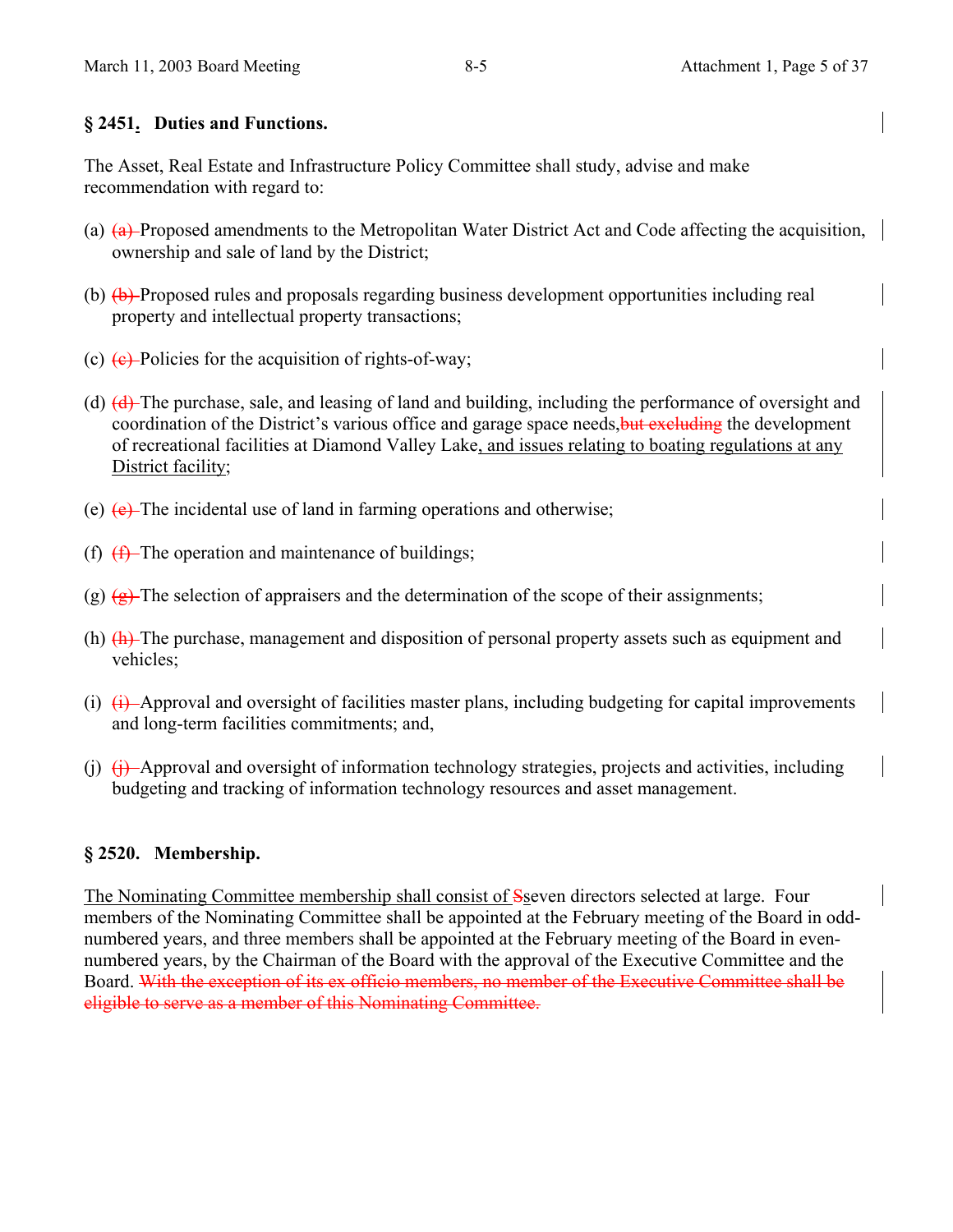## **§ 2451. Duties and Functions.**

The Asset, Real Estate and Infrastructure Policy Committee shall study, advise and make recommendation with regard to:

- (a)  $(a)$  Proposed amendments to the Metropolitan Water District Act and Code affecting the acquisition, ownership and sale of land by the District;
- (b)  $\left(\frac{b}{c}\right)$  Proposed rules and proposals regarding business development opportunities including real property and intellectual property transactions;
- (c)  $(e)$  Policies for the acquisition of rights-of-way;
- (d) (d) The purchase, sale, and leasing of land and building, including the performance of oversight and coordination of the District's various office and garage space needs, but excluding the development of recreational facilities at Diamond Valley Lake, and issues relating to boating regulations at any District facility;
- (e)  $(e)$  The incidental use of land in farming operations and otherwise;
- (f)  $(f)$  The operation and maintenance of buildings;
- (g)  $\left( \frac{g}{g} \right)$ . The selection of appraisers and the determination of the scope of their assignments;
- (h) (h) The purchase, management and disposition of personal property assets such as equipment and vehicles;
- (i)  $\leftrightarrow$  Approval and oversight of facilities master plans, including budgeting for capital improvements and long-term facilities commitments; and,
- (i)  $(i)$  Approval and oversight of information technology strategies, projects and activities, including budgeting and tracking of information technology resources and asset management.

## **§ 2520. Membership.**

The Nominating Committee membership shall consist of Sseven directors selected at large. Four members of the Nominating Committee shall be appointed at the February meeting of the Board in oddnumbered years, and three members shall be appointed at the February meeting of the Board in evennumbered years, by the Chairman of the Board with the approval of the Executive Committee and the Board. With the exception of its ex officio members, no member of the Executive Committee shall be eligible to serve as a member of this Nominating Committee.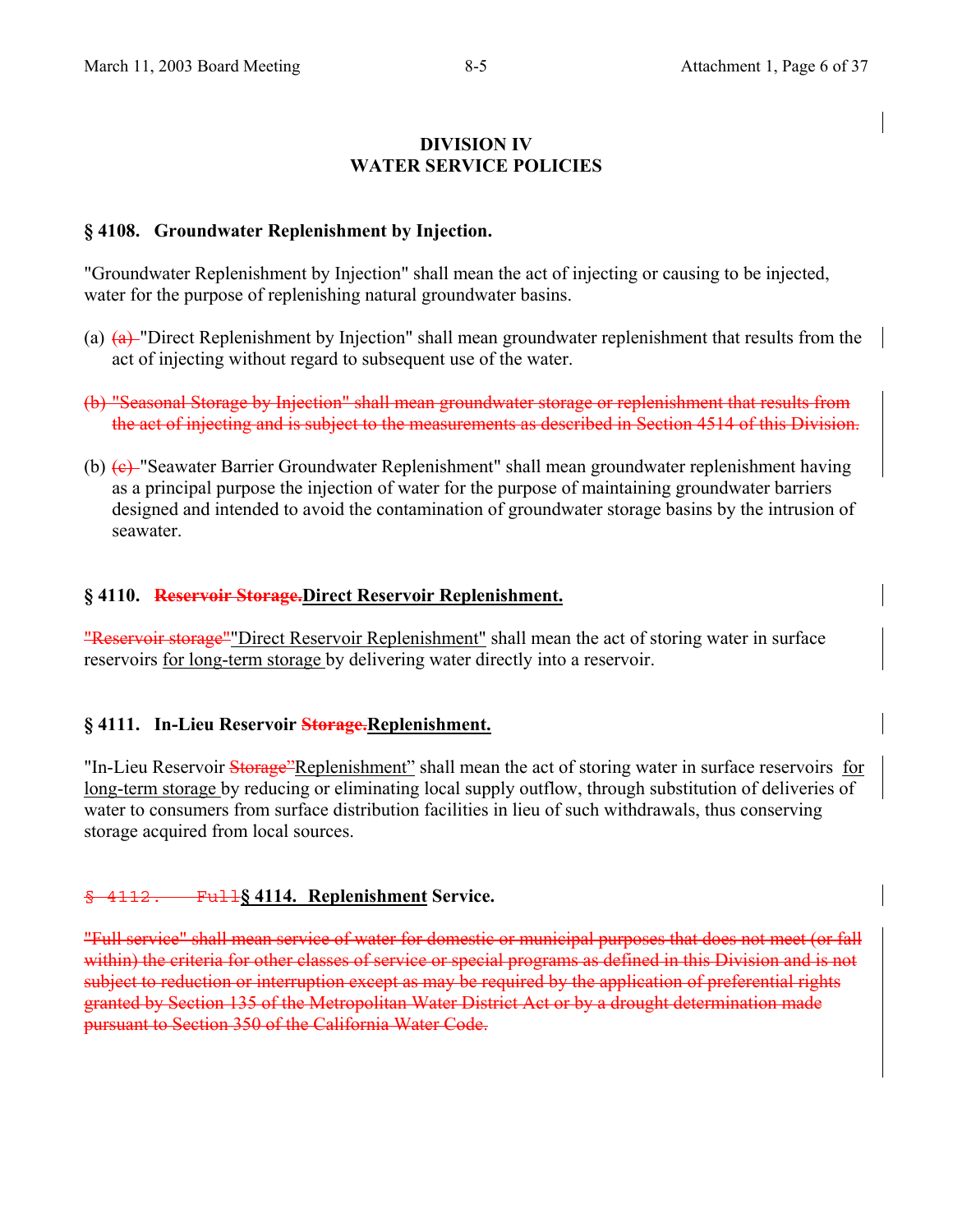## **DIVISION IV WATER SERVICE POLICIES**

## **§ 4108. Groundwater Replenishment by Injection.**

"Groundwater Replenishment by Injection" shall mean the act of injecting or causing to be injected, water for the purpose of replenishing natural groundwater basins.

- (a)  $(a)$  "Direct Replenishment by Injection" shall mean groundwater replenishment that results from the act of injecting without regard to subsequent use of the water.
- (b) "Seasonal Storage by Injection" shall mean groundwater storage or replenishment that results from the act of injecting and is subject to the measurements as described in Section 4514 of this Division.
- (b) (c) "Seawater Barrier Groundwater Replenishment" shall mean groundwater replenishment having as a principal purpose the injection of water for the purpose of maintaining groundwater barriers designed and intended to avoid the contamination of groundwater storage basins by the intrusion of seawater.

#### **§ 4110. Reservoir Storage.Direct Reservoir Replenishment.**

"Reservoir storage""Direct Reservoir Replenishment" shall mean the act of storing water in surface reservoirs for long-term storage by delivering water directly into a reservoir.

#### **§ 4111. In-Lieu Reservoir Storage.Replenishment.**

"In-Lieu Reservoir Storage"Replenishment" shall mean the act of storing water in surface reservoirs for long-term storage by reducing or eliminating local supply outflow, through substitution of deliveries of water to consumers from surface distribution facilities in lieu of such withdrawals, thus conserving storage acquired from local sources.

## § 4112. Full**§ 4114. Replenishment Service.**

"Full service" shall mean service of water for domestic or municipal purposes that does not meet (or fall within) the criteria for other classes of service or special programs as defined in this Division and is not subject to reduction or interruption except as may be required by the application of preferential rights granted by Section 135 of the Metropolitan Water District Act or by a drought determination made pursuant to Section 350 of the California Water Code.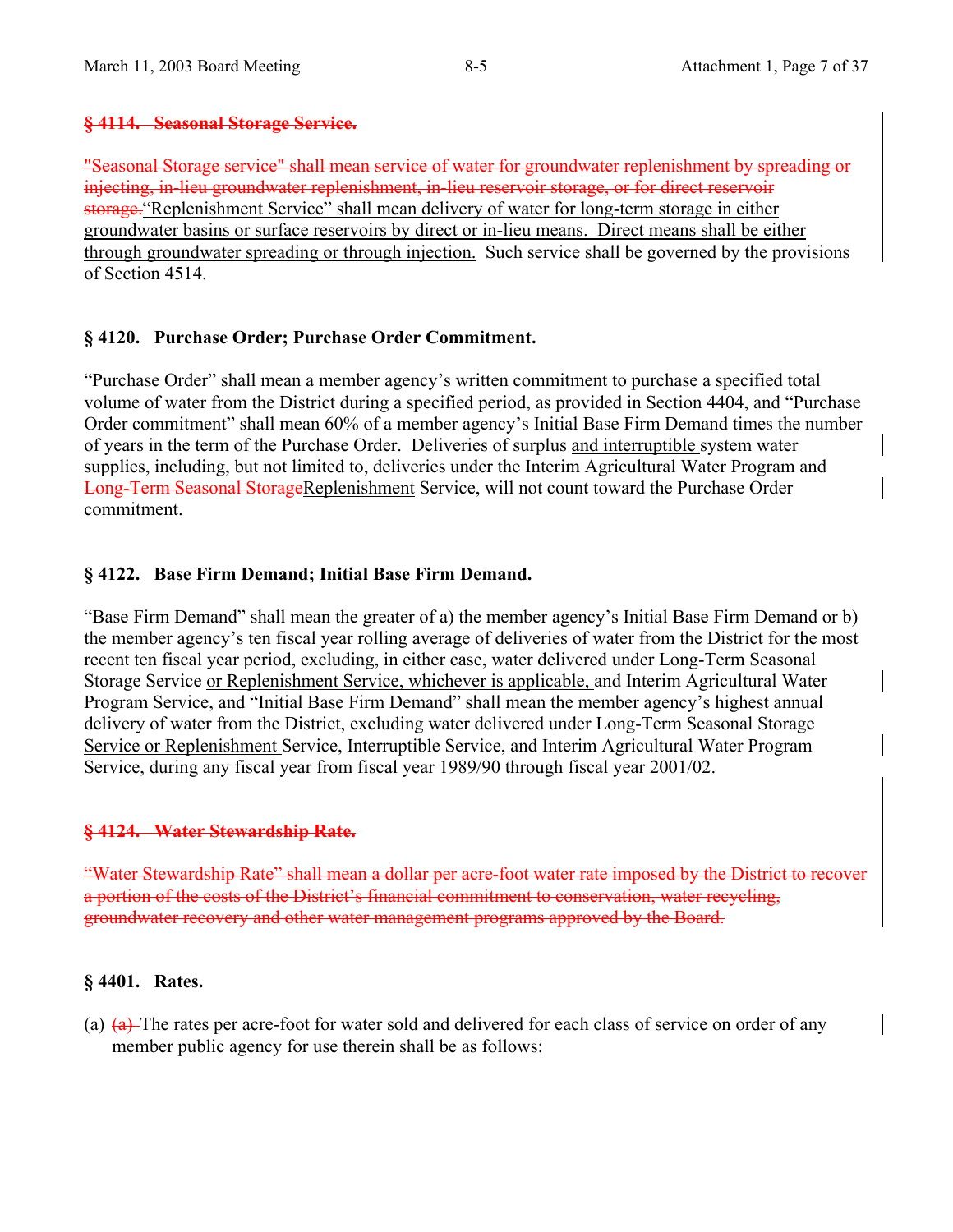## **§ 4114. Seasonal Storage Service.**

"Seasonal Storage service" shall mean service of water for groundwater replenishment by spreading or injecting, in-lieu groundwater replenishment, in-lieu reservoir storage, or for direct reservoir storage."Replenishment Service" shall mean delivery of water for long-term storage in either groundwater basins or surface reservoirs by direct or in-lieu means. Direct means shall be either through groundwater spreading or through injection. Such service shall be governed by the provisions of Section 4514.

## **§ 4120. Purchase Order; Purchase Order Commitment.**

"Purchase Order" shall mean a member agency's written commitment to purchase a specified total volume of water from the District during a specified period, as provided in Section 4404, and "Purchase Order commitment" shall mean 60% of a member agency's Initial Base Firm Demand times the number of years in the term of the Purchase Order. Deliveries of surplus and interruptible system water supplies, including, but not limited to, deliveries under the Interim Agricultural Water Program and Long-Term Seasonal StorageReplenishment Service, will not count toward the Purchase Order commitment.

## **§ 4122. Base Firm Demand; Initial Base Firm Demand.**

"Base Firm Demand" shall mean the greater of a) the member agency's Initial Base Firm Demand or b) the member agency's ten fiscal year rolling average of deliveries of water from the District for the most recent ten fiscal year period, excluding, in either case, water delivered under Long-Term Seasonal Storage Service or Replenishment Service, whichever is applicable, and Interim Agricultural Water Program Service, and "Initial Base Firm Demand" shall mean the member agency's highest annual delivery of water from the District, excluding water delivered under Long-Term Seasonal Storage Service or Replenishment Service, Interruptible Service, and Interim Agricultural Water Program Service, during any fiscal year from fiscal year 1989/90 through fiscal year 2001/02.

## **§ 4124. Water Stewardship Rate.**

"Water Stewardship Rate" shall mean a dollar per acre-foot water rate imposed by the District to recover a portion of the costs of the District's financial commitment to conservation, water recycling, groundwater recovery and other water management programs approved by the Board.

## **§ 4401. Rates.**

(a)  $(a)$  The rates per acre-foot for water sold and delivered for each class of service on order of any member public agency for use therein shall be as follows: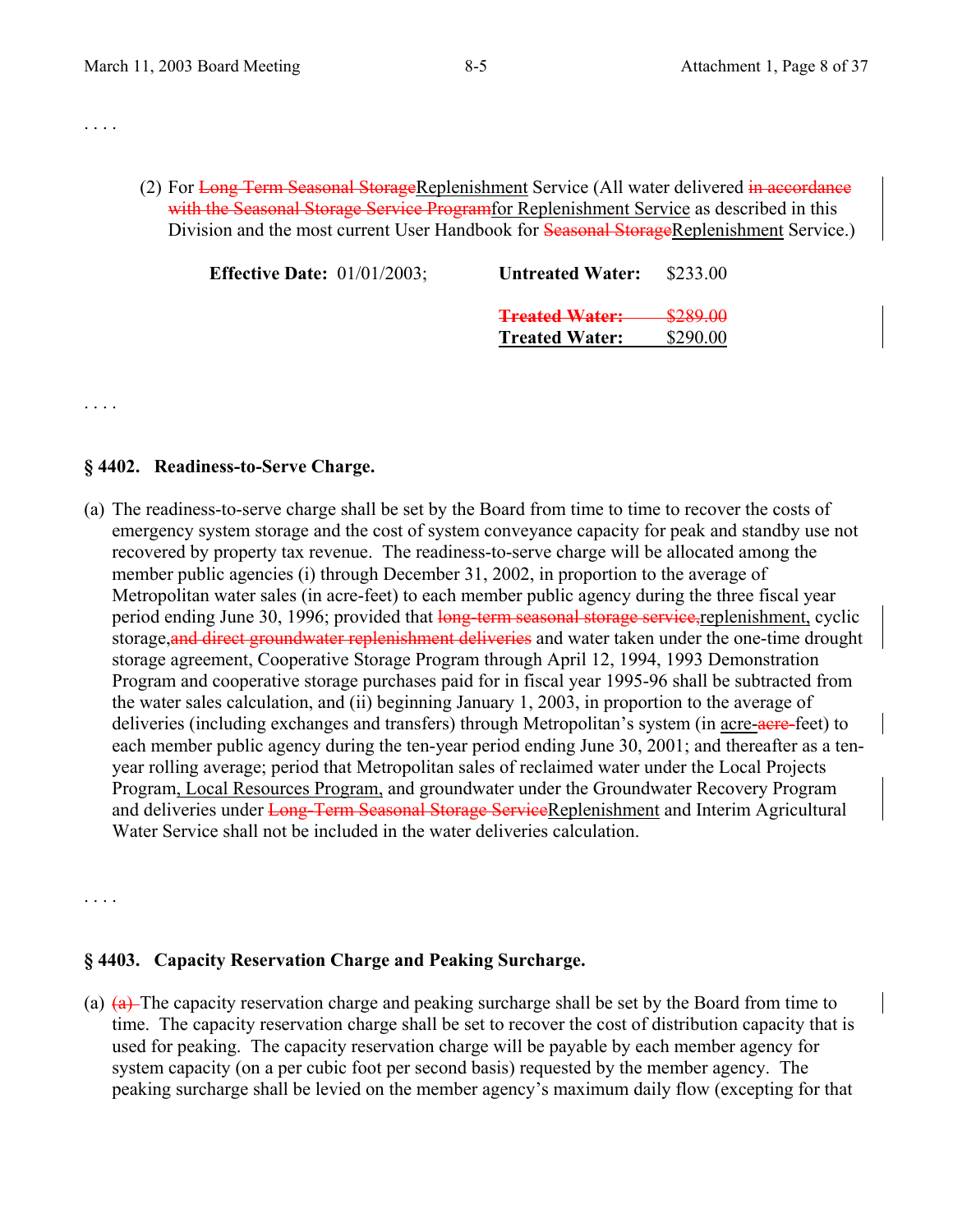. . . .

. . . .

(2) For Long Term Seasonal StorageReplenishment Service (All water delivered in accordance with the Seasonal Storage Service Programfor Replenishment Service as described in this Division and the most current User Handbook for **Seasonal StorageReplenishment Service**.)

| <b>Effective Date:</b> $01/01/2003$ ; | <b>Untreated Water:</b> | \$233.00 |
|---------------------------------------|-------------------------|----------|
|                                       | <b>Treated Water:</b>   | \$289.00 |
|                                       | <b>Treated Water:</b>   | \$290.00 |
|                                       |                         |          |

#### **§ 4402. Readiness-to-Serve Charge.**

(a) The readiness-to-serve charge shall be set by the Board from time to time to recover the costs of emergency system storage and the cost of system conveyance capacity for peak and standby use not recovered by property tax revenue. The readiness-to-serve charge will be allocated among the member public agencies (i) through December 31, 2002, in proportion to the average of Metropolitan water sales (in acre-feet) to each member public agency during the three fiscal year period ending June 30, 1996; provided that long-term seasonal storage service, replenishment, cyclic storage, and direct groundwater replenishment deliveries and water taken under the one-time drought storage agreement, Cooperative Storage Program through April 12, 1994, 1993 Demonstration Program and cooperative storage purchases paid for in fiscal year 1995-96 shall be subtracted from the water sales calculation, and (ii) beginning January 1, 2003, in proportion to the average of deliveries (including exchanges and transfers) through Metropolitan's system (in acre-acre-feet) to each member public agency during the ten-year period ending June 30, 2001; and thereafter as a tenyear rolling average; period that Metropolitan sales of reclaimed water under the Local Projects Program, Local Resources Program, and groundwater under the Groundwater Recovery Program and deliveries under Long-Term Seasonal Storage ServiceReplenishment and Interim Agricultural Water Service shall not be included in the water deliveries calculation.

. . . .

## **§ 4403. Capacity Reservation Charge and Peaking Surcharge.**

(a)  $\left( \frac{a}{b} \right)$ . The capacity reservation charge and peaking surcharge shall be set by the Board from time to time. The capacity reservation charge shall be set to recover the cost of distribution capacity that is used for peaking. The capacity reservation charge will be payable by each member agency for system capacity (on a per cubic foot per second basis) requested by the member agency. The peaking surcharge shall be levied on the member agency's maximum daily flow (excepting for that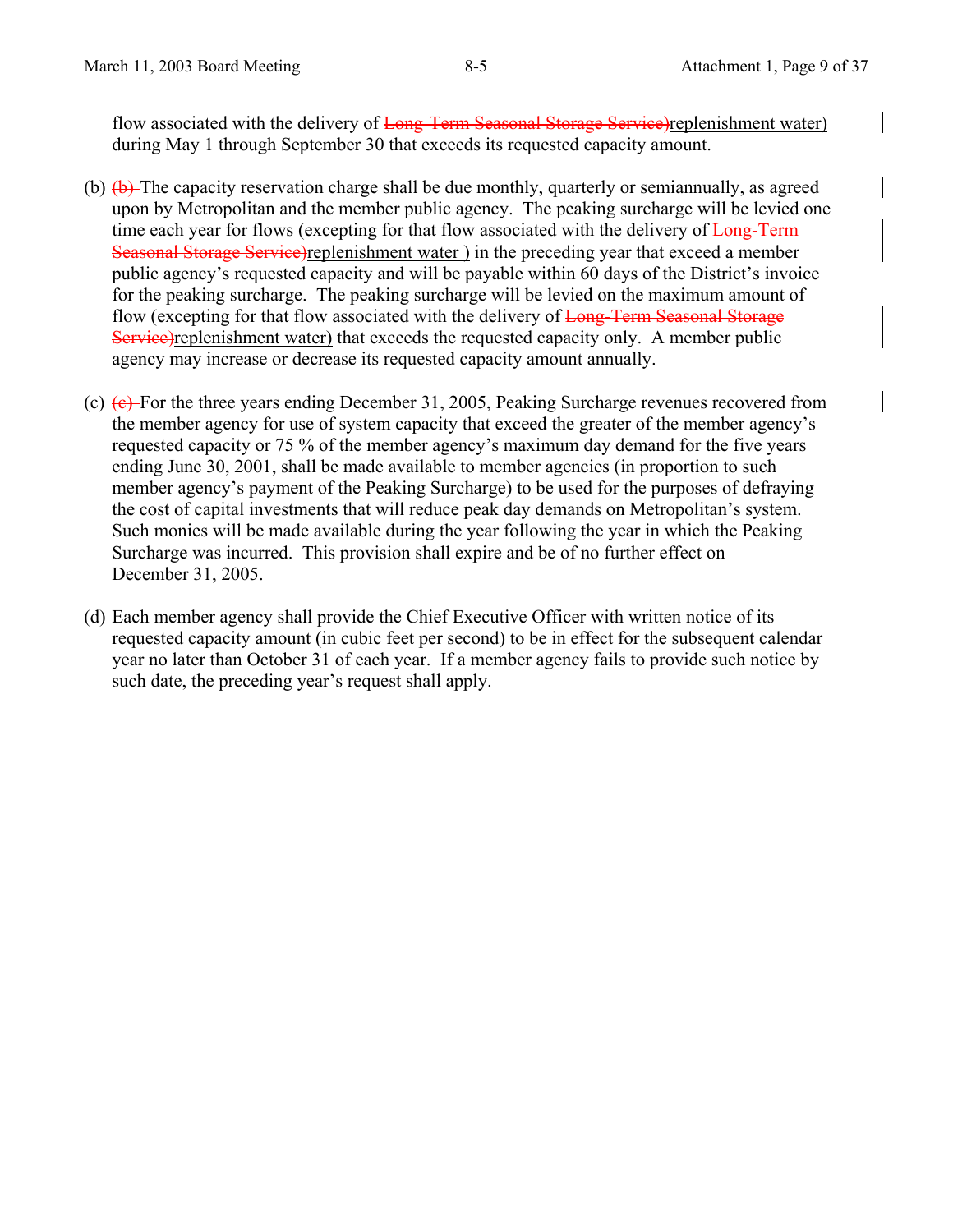flow associated with the delivery of Long-Term Seasonal Storage Service)replenishment water) during May 1 through September 30 that exceeds its requested capacity amount.

- (b)  $(\theta)$  The capacity reservation charge shall be due monthly, quarterly or semiannually, as agreed upon by Metropolitan and the member public agency. The peaking surcharge will be levied one time each year for flows (excepting for that flow associated with the delivery of Long-Term Seasonal Storage Service)replenishment water ) in the preceding year that exceed a member public agency's requested capacity and will be payable within 60 days of the District's invoice for the peaking surcharge. The peaking surcharge will be levied on the maximum amount of flow (excepting for that flow associated with the delivery of Long-Term Seasonal Storage Service)replenishment water) that exceeds the requested capacity only. A member public agency may increase or decrease its requested capacity amount annually.
- (c)  $(e)$  For the three years ending December 31, 2005, Peaking Surcharge revenues recovered from the member agency for use of system capacity that exceed the greater of the member agency's requested capacity or 75 % of the member agency's maximum day demand for the five years ending June 30, 2001, shall be made available to member agencies (in proportion to such member agency's payment of the Peaking Surcharge) to be used for the purposes of defraying the cost of capital investments that will reduce peak day demands on Metropolitan's system. Such monies will be made available during the year following the year in which the Peaking Surcharge was incurred. This provision shall expire and be of no further effect on December 31, 2005.
- (d) Each member agency shall provide the Chief Executive Officer with written notice of its requested capacity amount (in cubic feet per second) to be in effect for the subsequent calendar year no later than October 31 of each year. If a member agency fails to provide such notice by such date, the preceding year's request shall apply.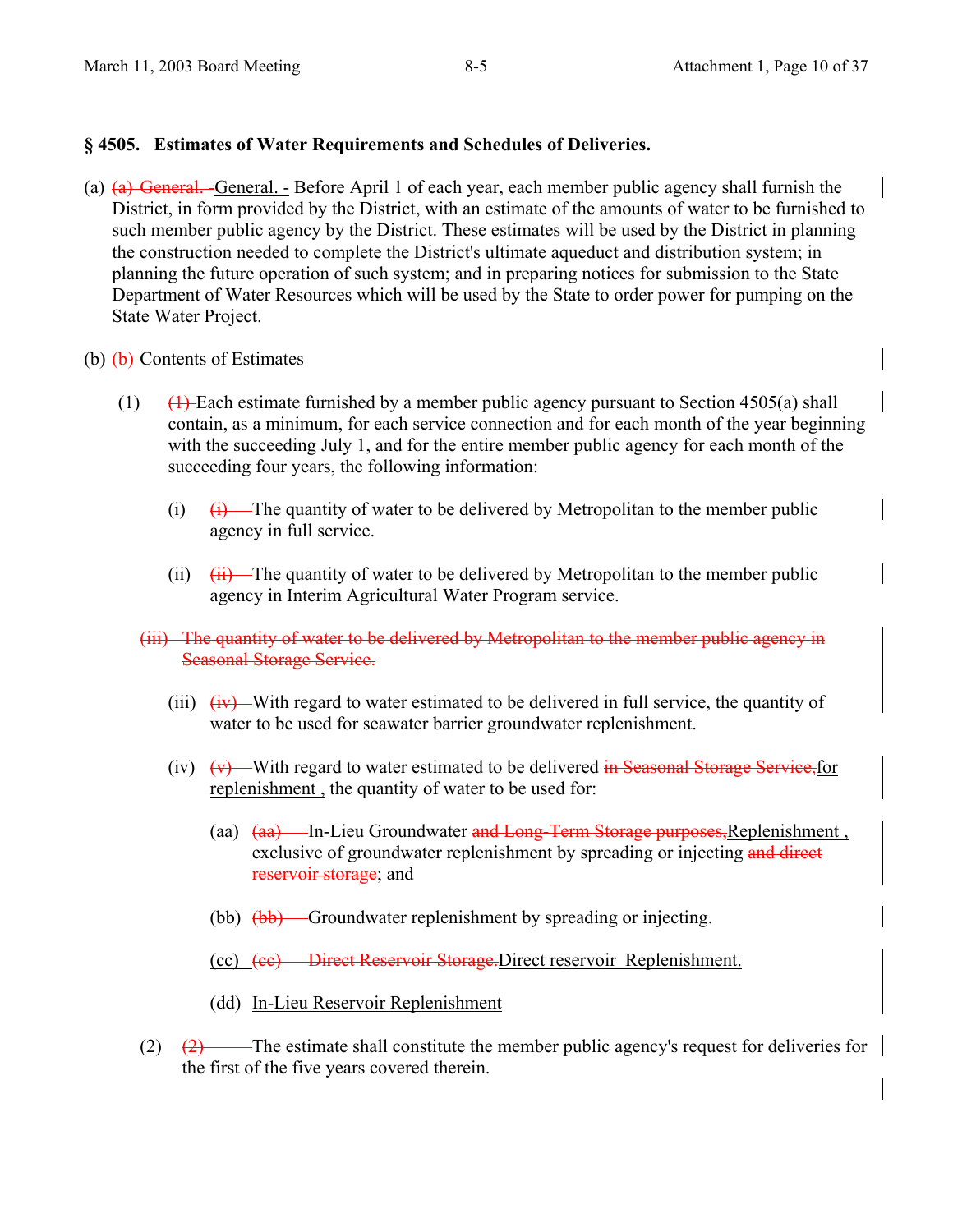## **§ 4505. Estimates of Water Requirements and Schedules of Deliveries.**

- (a) (a) General. -General. Before April 1 of each year, each member public agency shall furnish the District, in form provided by the District, with an estimate of the amounts of water to be furnished to such member public agency by the District. These estimates will be used by the District in planning the construction needed to complete the District's ultimate aqueduct and distribution system; in planning the future operation of such system; and in preparing notices for submission to the State Department of Water Resources which will be used by the State to order power for pumping on the State Water Project.
- (b)  $\left(\frac{b}{c}\right)$ -Contents of Estimates
	- (1)  $\left(1\right)$  Each estimate furnished by a member public agency pursuant to Section 4505(a) shall contain, as a minimum, for each service connection and for each month of the year beginning with the succeeding July 1, and for the entire member public agency for each month of the succeeding four years, the following information:
		- (i)  $(i)$  The quantity of water to be delivered by Metropolitan to the member public agency in full service.
		- (ii)  $(ii)$  The quantity of water to be delivered by Metropolitan to the member public agency in Interim Agricultural Water Program service.
		- (iii) The quantity of water to be delivered by Metropolitan to the member public agency in Seasonal Storage Service.
			- (iii)  $\overrightarrow{(iv)}$  With regard to water estimated to be delivered in full service, the quantity of water to be used for seawater barrier groundwater replenishment.
			- (iv)  $(v)$  With regard to water estimated to be delivered in Seasonal Storage Service, for replenishment , the quantity of water to be used for:
				- (aa)  $(aa)$  In-Lieu Groundwater and Long-Term Storage purposes, Replenishment, exclusive of groundwater replenishment by spreading or injecting and direct reservoir storage; and
				- (bb)  $(bb)$  Groundwater replenishment by spreading or injecting.
				- (cc) (cc) Direct Reservoir Storage.Direct reservoir Replenishment.
				- (dd) In-Lieu Reservoir Replenishment
		- $(2)$   $(2)$  The estimate shall constitute the member public agency's request for deliveries for the first of the five years covered therein.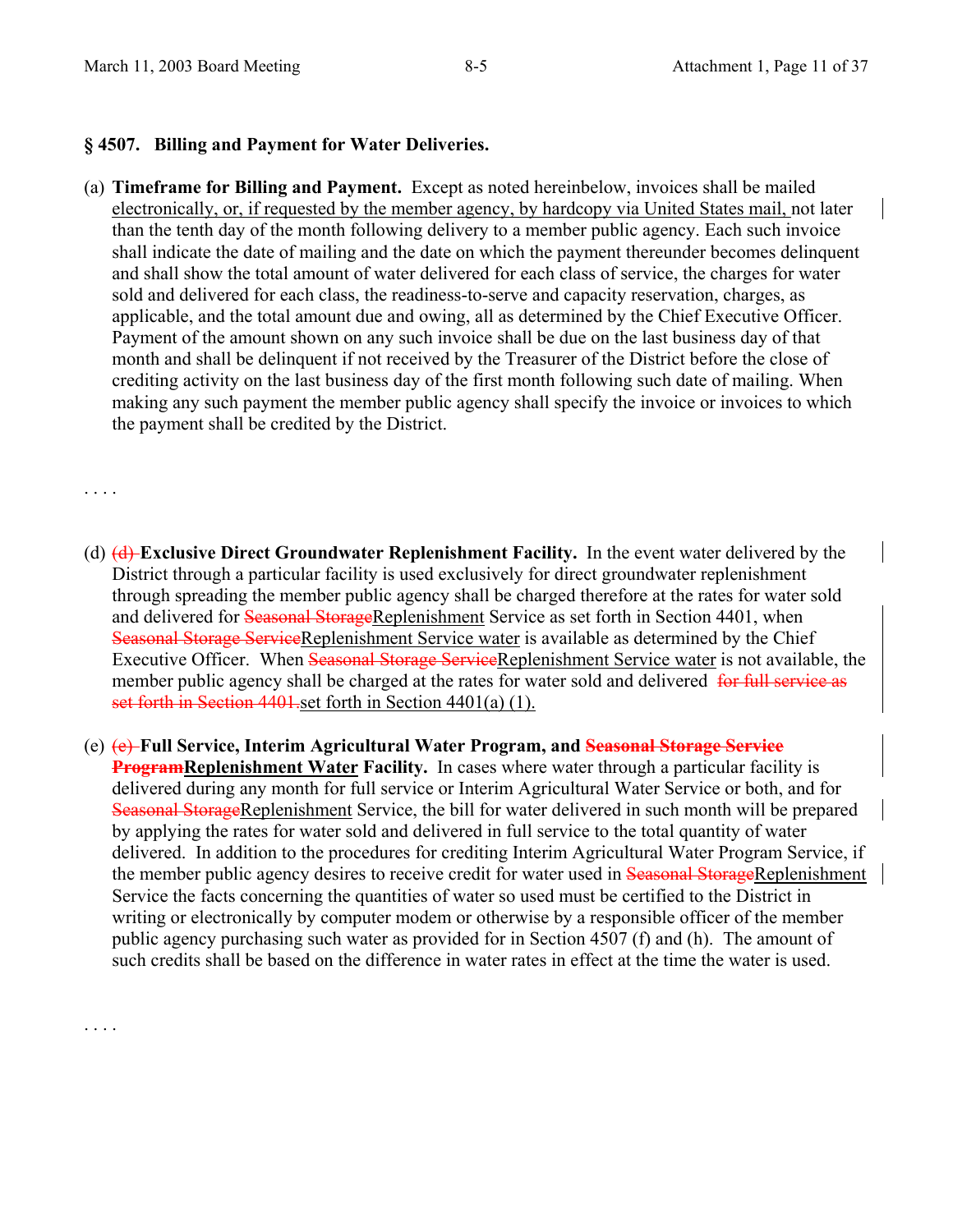### **§ 4507. Billing and Payment for Water Deliveries.**

(a) **Timeframe for Billing and Payment.** Except as noted hereinbelow, invoices shall be mailed electronically, or, if requested by the member agency, by hardcopy via United States mail, not later than the tenth day of the month following delivery to a member public agency. Each such invoice shall indicate the date of mailing and the date on which the payment thereunder becomes delinquent and shall show the total amount of water delivered for each class of service, the charges for water sold and delivered for each class, the readiness-to-serve and capacity reservation, charges, as applicable, and the total amount due and owing, all as determined by the Chief Executive Officer. Payment of the amount shown on any such invoice shall be due on the last business day of that month and shall be delinquent if not received by the Treasurer of the District before the close of crediting activity on the last business day of the first month following such date of mailing. When making any such payment the member public agency shall specify the invoice or invoices to which the payment shall be credited by the District.

## . . . .

. . . .

- (d) (d) **Exclusive Direct Groundwater Replenishment Facility.** In the event water delivered by the District through a particular facility is used exclusively for direct groundwater replenishment through spreading the member public agency shall be charged therefore at the rates for water sold and delivered for Seasonal StorageReplenishment Service as set forth in Section 4401, when Seasonal Storage ServiceReplenishment Service water is available as determined by the Chief Executive Officer. When Seasonal Storage ServiceReplenishment Service water is not available, the member public agency shall be charged at the rates for water sold and delivered for full service as set forth in Section 4401, set forth in Section 4401(a) (1).
- (e) (e) **Full Service, Interim Agricultural Water Program, and Seasonal Storage Service ProgramReplenishment Water Facility.** In cases where water through a particular facility is delivered during any month for full service or Interim Agricultural Water Service or both, and for Seasonal StorageReplenishment Service, the bill for water delivered in such month will be prepared by applying the rates for water sold and delivered in full service to the total quantity of water delivered. In addition to the procedures for crediting Interim Agricultural Water Program Service, if the member public agency desires to receive credit for water used in Seasonal StorageReplenishment Service the facts concerning the quantities of water so used must be certified to the District in writing or electronically by computer modem or otherwise by a responsible officer of the member public agency purchasing such water as provided for in Section 4507 (f) and (h). The amount of such credits shall be based on the difference in water rates in effect at the time the water is used.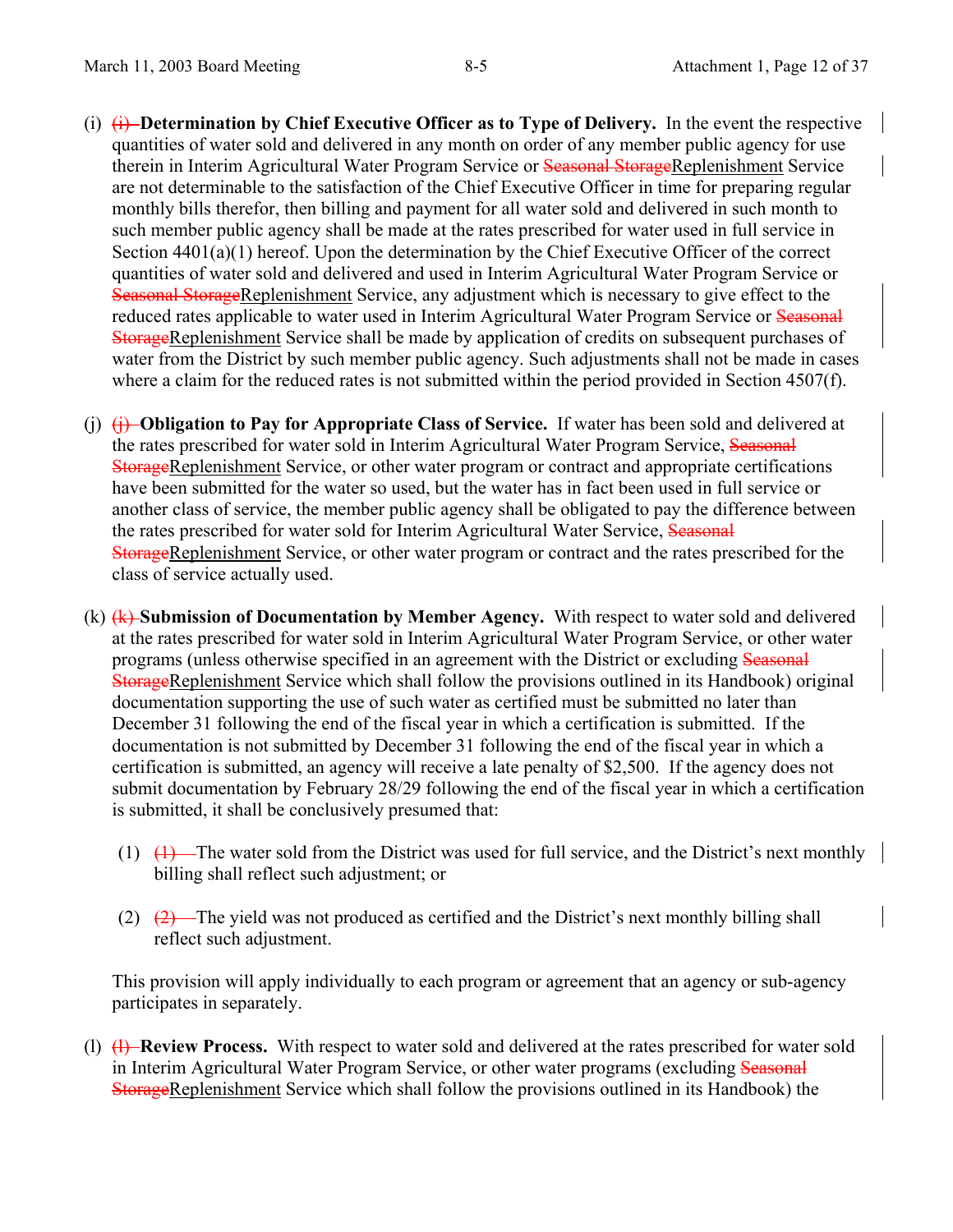- (i) (i) **Determination by Chief Executive Officer as to Type of Delivery.** In the event the respective quantities of water sold and delivered in any month on order of any member public agency for use therein in Interim Agricultural Water Program Service or Seasonal StorageReplenishment Service are not determinable to the satisfaction of the Chief Executive Officer in time for preparing regular monthly bills therefor, then billing and payment for all water sold and delivered in such month to such member public agency shall be made at the rates prescribed for water used in full service in Section  $4401(a)(1)$  hereof. Upon the determination by the Chief Executive Officer of the correct quantities of water sold and delivered and used in Interim Agricultural Water Program Service or Seasonal StorageReplenishment Service, any adjustment which is necessary to give effect to the reduced rates applicable to water used in Interim Agricultural Water Program Service or Seasonal StorageReplenishment Service shall be made by application of credits on subsequent purchases of water from the District by such member public agency. Such adjustments shall not be made in cases where a claim for the reduced rates is not submitted within the period provided in Section 4507(f).
- (j) (j) **Obligation to Pay for Appropriate Class of Service.** If water has been sold and delivered at the rates prescribed for water sold in Interim Agricultural Water Program Service, Seasonal StorageReplenishment Service, or other water program or contract and appropriate certifications have been submitted for the water so used, but the water has in fact been used in full service or another class of service, the member public agency shall be obligated to pay the difference between the rates prescribed for water sold for Interim Agricultural Water Service, Seasonal StorageReplenishment Service, or other water program or contract and the rates prescribed for the class of service actually used.
- (k) (k) **Submission of Documentation by Member Agency.** With respect to water sold and delivered at the rates prescribed for water sold in Interim Agricultural Water Program Service, or other water programs (unless otherwise specified in an agreement with the District or excluding Seasonal StorageReplenishment Service which shall follow the provisions outlined in its Handbook) original documentation supporting the use of such water as certified must be submitted no later than December 31 following the end of the fiscal year in which a certification is submitted. If the documentation is not submitted by December 31 following the end of the fiscal year in which a certification is submitted, an agency will receive a late penalty of \$2,500. If the agency does not submit documentation by February 28/29 following the end of the fiscal year in which a certification is submitted, it shall be conclusively presumed that:
	- (1)  $(1)$  The water sold from the District was used for full service, and the District's next monthly billing shall reflect such adjustment; or
	- (2)  $(2)$   $(2)$  The yield was not produced as certified and the District's next monthly billing shall reflect such adjustment.

This provision will apply individually to each program or agreement that an agency or sub-agency participates in separately.

(l) (l) **Review Process.** With respect to water sold and delivered at the rates prescribed for water sold in Interim Agricultural Water Program Service, or other water programs (excluding Seasonal StorageReplenishment Service which shall follow the provisions outlined in its Handbook) the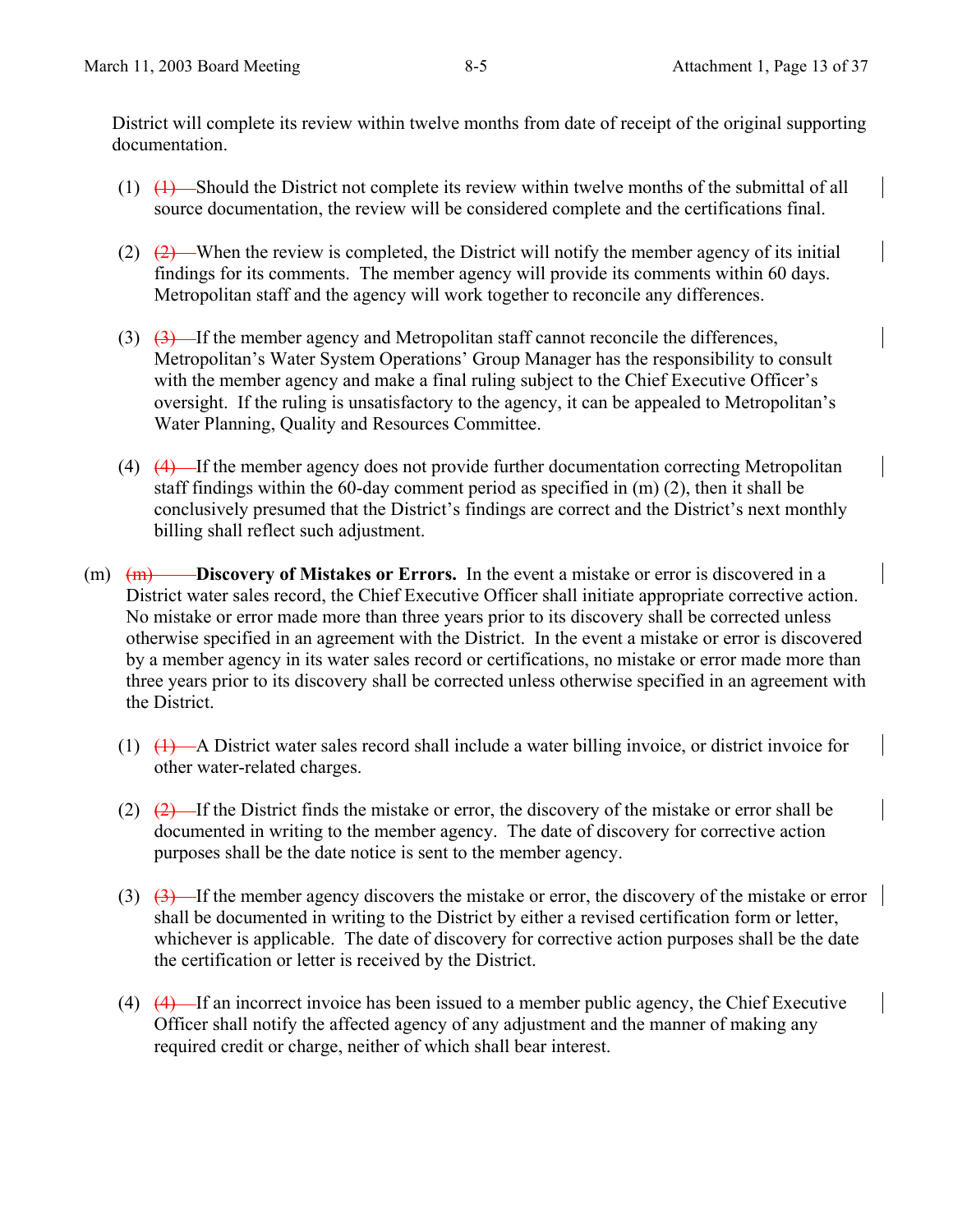District will complete its review within twelve months from date of receipt of the original supporting documentation.

- (1) (1) Should the District not complete its review within twelve months of the submittal of all source documentation, the review will be considered complete and the certifications final.
- (2)  $(2)$  When the review is completed, the District will notify the member agency of its initial findings for its comments. The member agency will provide its comments within 60 days. Metropolitan staff and the agency will work together to reconcile any differences.
- (3)  $(3)$  If the member agency and Metropolitan staff cannot reconcile the differences, Metropolitan's Water System Operations' Group Manager has the responsibility to consult with the member agency and make a final ruling subject to the Chief Executive Officer's oversight. If the ruling is unsatisfactory to the agency, it can be appealed to Metropolitan's Water Planning, Quality and Resources Committee.
- (4) (4) If the member agency does not provide further documentation correcting Metropolitan staff findings within the 60-day comment period as specified in (m) (2), then it shall be conclusively presumed that the District's findings are correct and the District's next monthly billing shall reflect such adjustment.
- (m)  $(m)$  **Discovery of Mistakes or Errors.** In the event a mistake or error is discovered in a District water sales record, the Chief Executive Officer shall initiate appropriate corrective action. No mistake or error made more than three years prior to its discovery shall be corrected unless otherwise specified in an agreement with the District. In the event a mistake or error is discovered by a member agency in its water sales record or certifications, no mistake or error made more than three years prior to its discovery shall be corrected unless otherwise specified in an agreement with the District.
	- (1) (1) A District water sales record shall include a water billing invoice, or district invoice for other water-related charges.
	- (2)  $(2)$  If the District finds the mistake or error, the discovery of the mistake or error shall be documented in writing to the member agency. The date of discovery for corrective action purposes shall be the date notice is sent to the member agency.
	- (3)  $(3)$  If the member agency discovers the mistake or error, the discovery of the mistake or error shall be documented in writing to the District by either a revised certification form or letter, whichever is applicable. The date of discovery for corrective action purposes shall be the date the certification or letter is received by the District.
	- (4)  $(4)$  -If an incorrect invoice has been issued to a member public agency, the Chief Executive Officer shall notify the affected agency of any adjustment and the manner of making any required credit or charge, neither of which shall bear interest.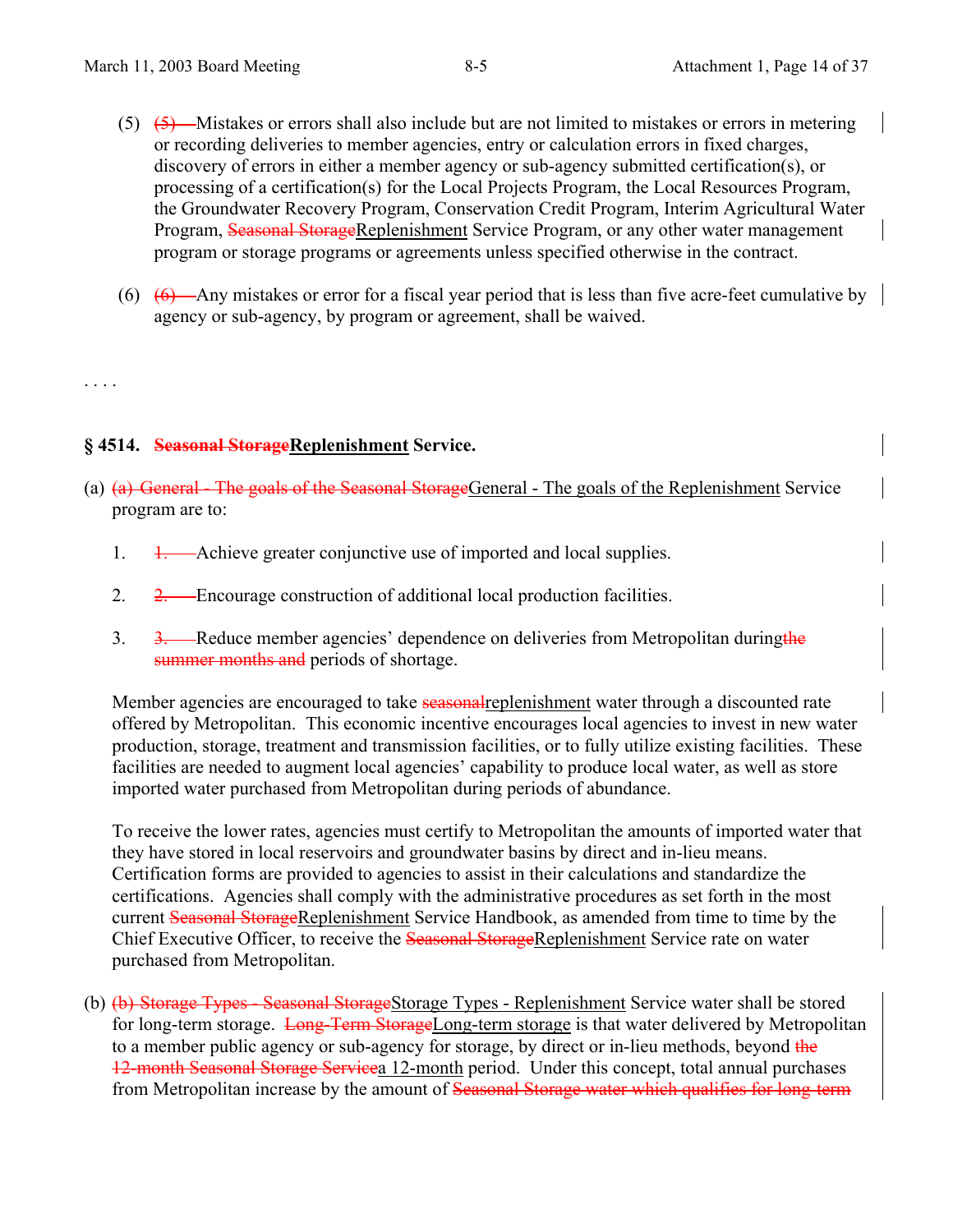- $(5)$   $(5)$   $\rightarrow$  Mistakes or errors shall also include but are not limited to mistakes or errors in metering or recording deliveries to member agencies, entry or calculation errors in fixed charges, discovery of errors in either a member agency or sub-agency submitted certification(s), or processing of a certification(s) for the Local Projects Program, the Local Resources Program, the Groundwater Recovery Program, Conservation Credit Program, Interim Agricultural Water Program, Seasonal StorageReplenishment Service Program, or any other water management program or storage programs or agreements unless specified otherwise in the contract.
- (6)  $\left(6\right)$  -Any mistakes or error for a fiscal year period that is less than five acre-feet cumulative by agency or sub-agency, by program or agreement, shall be waived.

. . . .

## **§ 4514. Seasonal StorageReplenishment Service.**

- (a) (a) General The goals of the Seasonal StorageGeneral The goals of the Replenishment Service program are to:
	- 1. 1. Achieve greater conjunctive use of imported and local supplies.
	- 2. 2. Encourage construction of additional local production facilities.
	- 3. 3. Reduce member agencies' dependence on deliveries from Metropolitan during the summer months and periods of shortage.

Member agencies are encouraged to take seasonal replenishment water through a discounted rate offered by Metropolitan. This economic incentive encourages local agencies to invest in new water production, storage, treatment and transmission facilities, or to fully utilize existing facilities. These facilities are needed to augment local agencies' capability to produce local water, as well as store imported water purchased from Metropolitan during periods of abundance.

To receive the lower rates, agencies must certify to Metropolitan the amounts of imported water that they have stored in local reservoirs and groundwater basins by direct and in-lieu means. Certification forms are provided to agencies to assist in their calculations and standardize the certifications. Agencies shall comply with the administrative procedures as set forth in the most current Seasonal StorageReplenishment Service Handbook, as amended from time to time by the Chief Executive Officer, to receive the Seasonal StorageReplenishment Service rate on water purchased from Metropolitan.

(b) (b) Storage Types - Seasonal StorageStorage Types - Replenishment Service water shall be stored for long-term storage. Long-Term StorageLong-term storage is that water delivered by Metropolitan to a member public agency or sub-agency for storage, by direct or in-lieu methods, beyond the 12-month Seasonal Storage Servicea 12-month period. Under this concept, total annual purchases from Metropolitan increase by the amount of Seasonal Storage water which qualifies for long-term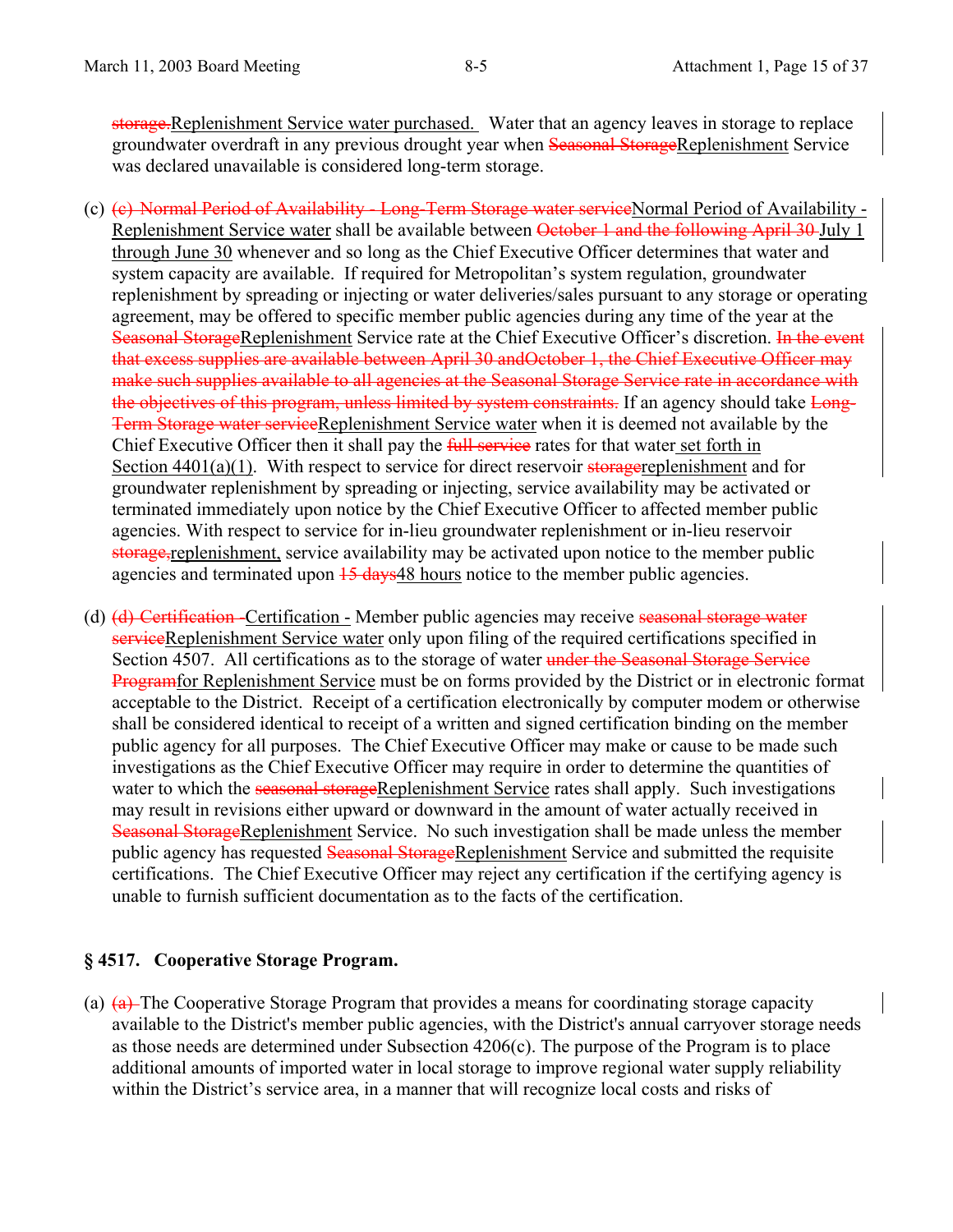storage.Replenishment Service water purchased. Water that an agency leaves in storage to replace groundwater overdraft in any previous drought year when Seasonal StorageReplenishment Service was declared unavailable is considered long-term storage.

- (c) (c) Normal Period of Availability Long-Term Storage water serviceNormal Period of Availability Replenishment Service water shall be available between October 1 and the following April 30 July 1 through June 30 whenever and so long as the Chief Executive Officer determines that water and system capacity are available. If required for Metropolitan's system regulation, groundwater replenishment by spreading or injecting or water deliveries/sales pursuant to any storage or operating agreement, may be offered to specific member public agencies during any time of the year at the Seasonal StorageReplenishment Service rate at the Chief Executive Officer's discretion. In the event that excess supplies are available between April 30 andOctober 1, the Chief Executive Officer may make such supplies available to all agencies at the Seasonal Storage Service rate in accordance with the objectives of this program, unless limited by system constraints. If an agency should take Long-Term Storage water serviceReplenishment Service water when it is deemed not available by the Chief Executive Officer then it shall pay the *full service* rates for that water set forth in Section  $4401(a)(1)$ . With respect to service for direct reservoir storagereplenishment and for groundwater replenishment by spreading or injecting, service availability may be activated or terminated immediately upon notice by the Chief Executive Officer to affected member public agencies. With respect to service for in-lieu groundwater replenishment or in-lieu reservoir storage, replenishment, service availability may be activated upon notice to the member public agencies and terminated upon  $15$  days 48 hours notice to the member public agencies.
- (d) (d) Certification -Certification Member public agencies may receive seasonal storage water serviceReplenishment Service water only upon filing of the required certifications specified in Section 4507. All certifications as to the storage of water under the Seasonal Storage Service Programfor Replenishment Service must be on forms provided by the District or in electronic format acceptable to the District. Receipt of a certification electronically by computer modem or otherwise shall be considered identical to receipt of a written and signed certification binding on the member public agency for all purposes. The Chief Executive Officer may make or cause to be made such investigations as the Chief Executive Officer may require in order to determine the quantities of water to which the seasonal storageReplenishment Service rates shall apply. Such investigations may result in revisions either upward or downward in the amount of water actually received in Seasonal StorageReplenishment Service. No such investigation shall be made unless the member public agency has requested Seasonal StorageReplenishment Service and submitted the requisite certifications. The Chief Executive Officer may reject any certification if the certifying agency is unable to furnish sufficient documentation as to the facts of the certification.

#### **§ 4517. Cooperative Storage Program.**

(a) (a) The Cooperative Storage Program that provides a means for coordinating storage capacity available to the District's member public agencies, with the District's annual carryover storage needs as those needs are determined under Subsection 4206(c). The purpose of the Program is to place additional amounts of imported water in local storage to improve regional water supply reliability within the District's service area, in a manner that will recognize local costs and risks of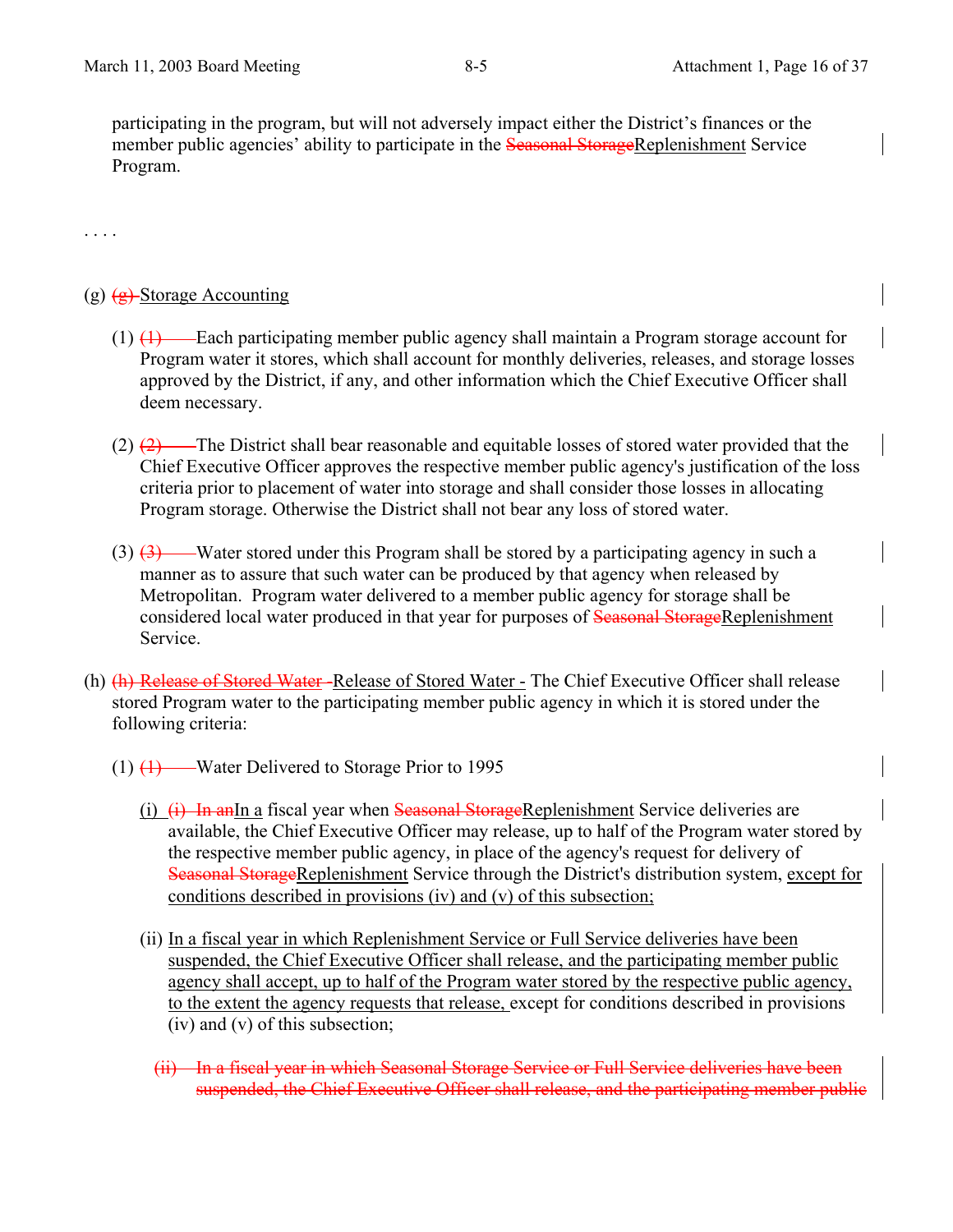participating in the program, but will not adversely impact either the District's finances or the member public agencies' ability to participate in the Seasonal StorageReplenishment Service Program.

. . . .

### (g)  $\left(\frac{g}{g}\right)$ -Storage Accounting

- (1) (1) Each participating member public agency shall maintain a Program storage account for Program water it stores, which shall account for monthly deliveries, releases, and storage losses approved by the District, if any, and other information which the Chief Executive Officer shall deem necessary.
- (2) (2) The District shall bear reasonable and equitable losses of stored water provided that the Chief Executive Officer approves the respective member public agency's justification of the loss criteria prior to placement of water into storage and shall consider those losses in allocating Program storage. Otherwise the District shall not bear any loss of stored water.
- $(3)$   $(3)$  Water stored under this Program shall be stored by a participating agency in such a manner as to assure that such water can be produced by that agency when released by Metropolitan. Program water delivered to a member public agency for storage shall be considered local water produced in that year for purposes of Seasonal StorageReplenishment Service.
- (h) (h) Release of Stored Water-Release of Stored Water The Chief Executive Officer shall release stored Program water to the participating member public agency in which it is stored under the following criteria:
	- $(1)$   $(1)$  Water Delivered to Storage Prior to 1995
		- (i)  $(i)$  In and In a fiscal year when Seasonal StorageReplenishment Service deliveries are available, the Chief Executive Officer may release, up to half of the Program water stored by the respective member public agency, in place of the agency's request for delivery of Seasonal StorageReplenishment Service through the District's distribution system, except for conditions described in provisions (iv) and (v) of this subsection;
		- (ii) In a fiscal year in which Replenishment Service or Full Service deliveries have been suspended, the Chief Executive Officer shall release, and the participating member public agency shall accept, up to half of the Program water stored by the respective public agency, to the extent the agency requests that release, except for conditions described in provisions (iv) and (v) of this subsection;
			- (ii) In a fiscal year in which Seasonal Storage Service or Full Service deliveries have been suspended, the Chief Executive Officer shall release, and the participating member public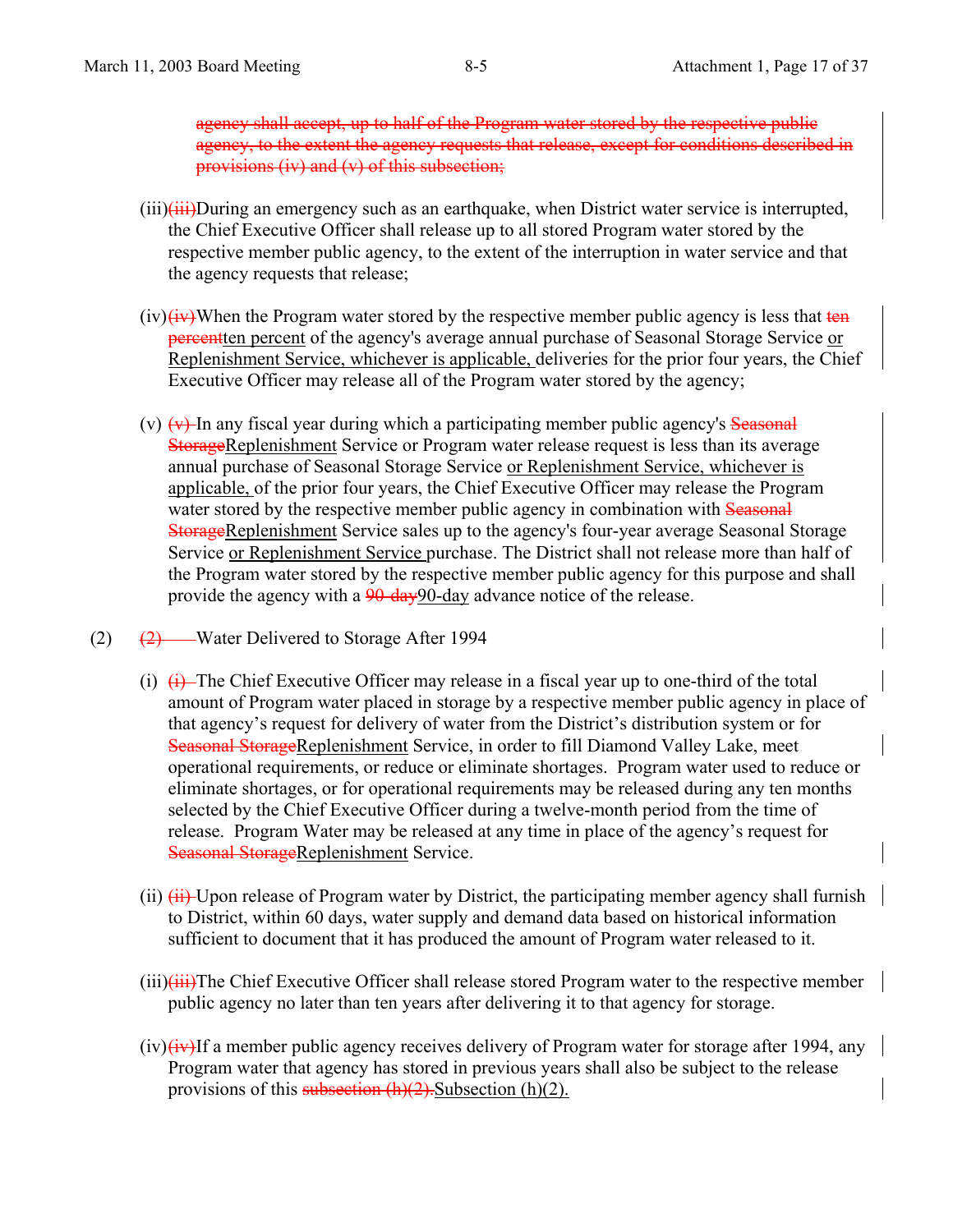agency shall accept, up to half of the Program water stored by the respective public agency, to the extent the agency requests that release, except for conditions described in provisions (iv) and (v) of this subsection;

- $(iii)$  $(iii)$ During an emergency such as an earthquake, when District water service is interrupted, the Chief Executive Officer shall release up to all stored Program water stored by the respective member public agency, to the extent of the interruption in water service and that the agency requests that release;
- $(iv)(iv)$ When the Program water stored by the respective member public agency is less that ten **percentten** percent of the agency's average annual purchase of Seasonal Storage Service or Replenishment Service, whichever is applicable, deliveries for the prior four years, the Chief Executive Officer may release all of the Program water stored by the agency;
- (v)  $\leftrightarrow$  In any fiscal year during which a participating member public agency's Seasonal StorageReplenishment Service or Program water release request is less than its average annual purchase of Seasonal Storage Service or Replenishment Service, whichever is applicable, of the prior four years, the Chief Executive Officer may release the Program water stored by the respective member public agency in combination with Seasonal StorageReplenishment Service sales up to the agency's four-year average Seasonal Storage Service or Replenishment Service purchase. The District shall not release more than half of the Program water stored by the respective member public agency for this purpose and shall provide the agency with a 90-day90-day advance notice of the release.
- (2) (2) Water Delivered to Storage After 1994
	- (i)  $\leftrightarrow$  The Chief Executive Officer may release in a fiscal year up to one-third of the total amount of Program water placed in storage by a respective member public agency in place of that agency's request for delivery of water from the District's distribution system or for Seasonal StorageReplenishment Service, in order to fill Diamond Valley Lake, meet operational requirements, or reduce or eliminate shortages. Program water used to reduce or eliminate shortages, or for operational requirements may be released during any ten months selected by the Chief Executive Officer during a twelve-month period from the time of release. Program Water may be released at any time in place of the agency's request for Seasonal StorageReplenishment Service.
	- (ii)  $\overline{(\mathbf{ii})}$  Upon release of Program water by District, the participating member agency shall furnish to District, within 60 days, water supply and demand data based on historical information sufficient to document that it has produced the amount of Program water released to it.
	- $(iii)$  $(iii)$ The Chief Executive Officer shall release stored Program water to the respective member public agency no later than ten years after delivering it to that agency for storage.
	- $(iv)$  $(iv)$ If a member public agency receives delivery of Program water for storage after 1994, any Program water that agency has stored in previous years shall also be subject to the release provisions of this subsection  $(h)(2)$ . Subsection  $(h)(2)$ .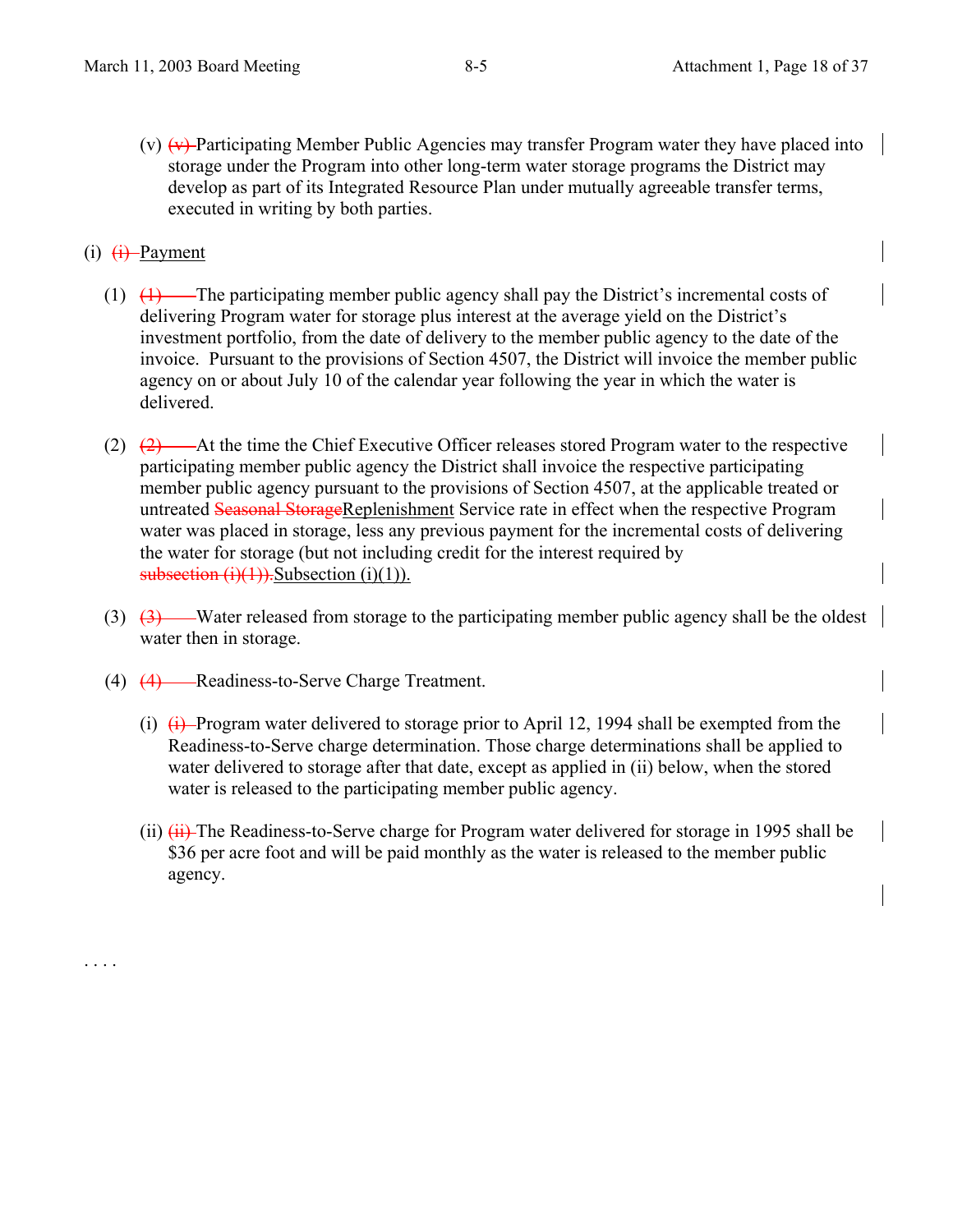(v)  $\overline{(v)}$  Participating Member Public Agencies may transfer Program water they have placed into storage under the Program into other long-term water storage programs the District may develop as part of its Integrated Resource Plan under mutually agreeable transfer terms, executed in writing by both parties.

## $(i)$   $(i)$  Payment

. . . .

- (1)  $(1)$  The participating member public agency shall pay the District's incremental costs of delivering Program water for storage plus interest at the average yield on the District's investment portfolio, from the date of delivery to the member public agency to the date of the invoice. Pursuant to the provisions of Section 4507, the District will invoice the member public agency on or about July 10 of the calendar year following the year in which the water is delivered.
- (2)  $(2)$   $(2)$   $\rightarrow$  At the time the Chief Executive Officer releases stored Program water to the respective participating member public agency the District shall invoice the respective participating member public agency pursuant to the provisions of Section 4507, at the applicable treated or untreated Seasonal StorageReplenishment Service rate in effect when the respective Program water was placed in storage, less any previous payment for the incremental costs of delivering the water for storage (but not including credit for the interest required by subsection  $(i)(1)$ ). Subsection  $(i)(1)$ ).
- (3) (3) Water released from storage to the participating member public agency shall be the oldest water then in storage.
- (4) (4) Readiness-to-Serve Charge Treatment.
	- (i)  $\overline{(i)}$  Program water delivered to storage prior to April 12, 1994 shall be exempted from the Readiness-to-Serve charge determination. Those charge determinations shall be applied to water delivered to storage after that date, except as applied in (ii) below, when the stored water is released to the participating member public agency.
	- (ii)  $\overline{(ii)}$  The Readiness-to-Serve charge for Program water delivered for storage in 1995 shall be \$36 per acre foot and will be paid monthly as the water is released to the member public agency.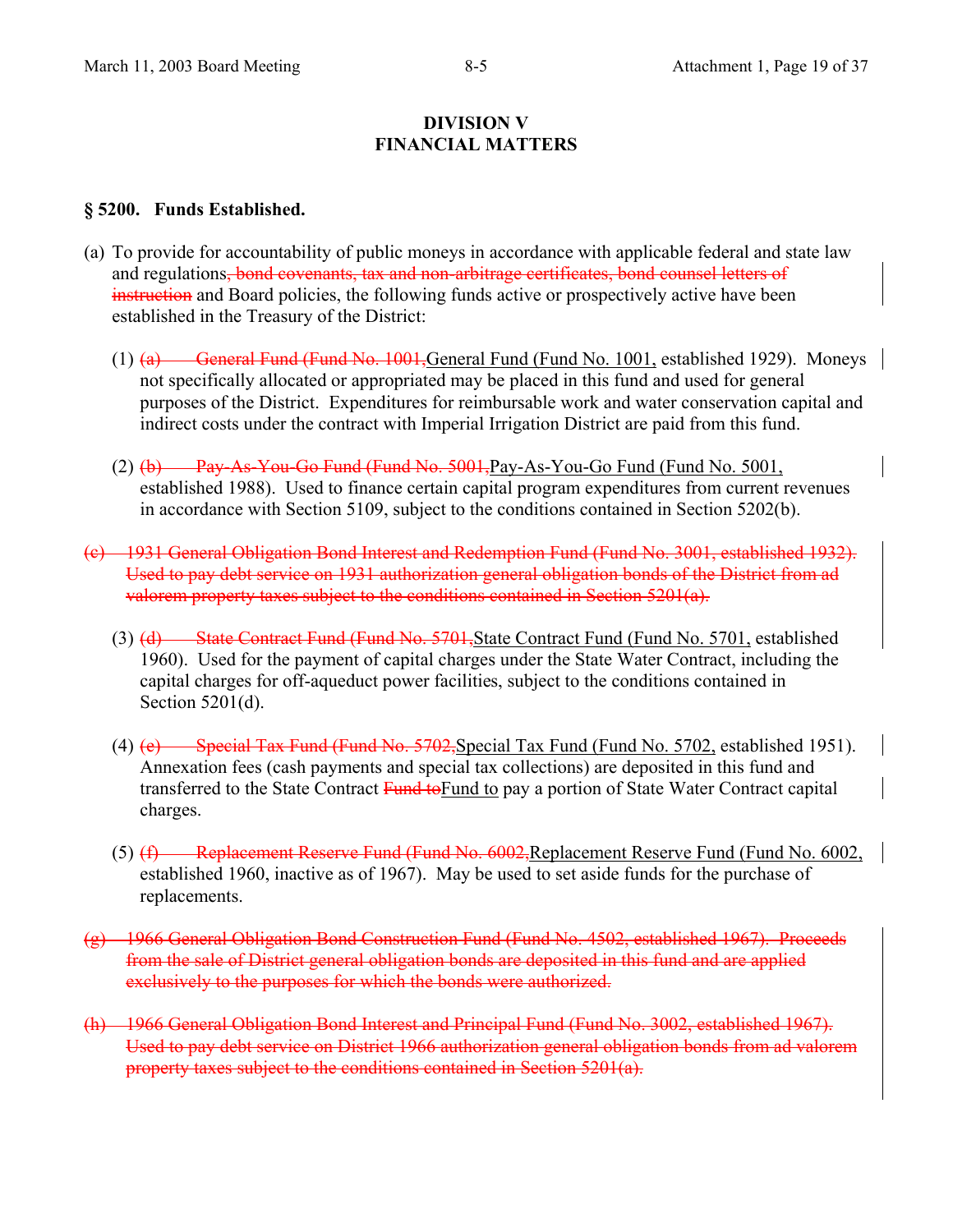#### **DIVISION V FINANCIAL MATTERS**

#### **§ 5200. Funds Established.**

- (a) To provide for accountability of public moneys in accordance with applicable federal and state law and regulations, bond covenants, tax and non-arbitrage certificates, bond counsel letters of instruction and Board policies, the following funds active or prospectively active have been established in the Treasury of the District:
	- (1) (a) General Fund (Fund No. 1001, General Fund (Fund No. 1001, established 1929). Moneys not specifically allocated or appropriated may be placed in this fund and used for general purposes of the District. Expenditures for reimbursable work and water conservation capital and indirect costs under the contract with Imperial Irrigation District are paid from this fund.
	- (2) (b) Pay-As-You-Go Fund (Fund No. 5001,Pay-As-You-Go Fund (Fund No. 5001, established 1988). Used to finance certain capital program expenditures from current revenues in accordance with Section 5109, subject to the conditions contained in Section 5202(b).
- (c) 1931 General Obligation Bond Interest and Redemption Fund (Fund No. 3001, established 1932). Used to pay debt service on 1931 authorization general obligation bonds of the District from ad valorem property taxes subject to the conditions contained in Section 5201(a).
	- (3) (d) State Contract Fund (Fund No. 5701, State Contract Fund (Fund No. 5701, established 1960). Used for the payment of capital charges under the State Water Contract, including the capital charges for off-aqueduct power facilities, subject to the conditions contained in Section 5201(d).
	- (4) (e) Special Tax Fund (Fund No. 5702,Special Tax Fund (Fund No. 5702, established 1951). Annexation fees (cash payments and special tax collections) are deposited in this fund and transferred to the State Contract Fund to Fund to pay a portion of State Water Contract capital charges.
	- (5) (f) Replacement Reserve Fund (Fund No. 6002, Replacement Reserve Fund (Fund No. 6002, established 1960, inactive as of 1967). May be used to set aside funds for the purchase of replacements.
- (g) 1966 General Obligation Bond Construction Fund (Fund No. 4502, established 1967). Proceeds from the sale of District general obligation bonds are deposited in this fund and are applied exclusively to the purposes for which the bonds were authorized.
- (h) 1966 General Obligation Bond Interest and Principal Fund (Fund No. 3002, established 1967). Used to pay debt service on District 1966 authorization general obligation bonds from ad valorem property taxes subject to the conditions contained in Section 5201(a).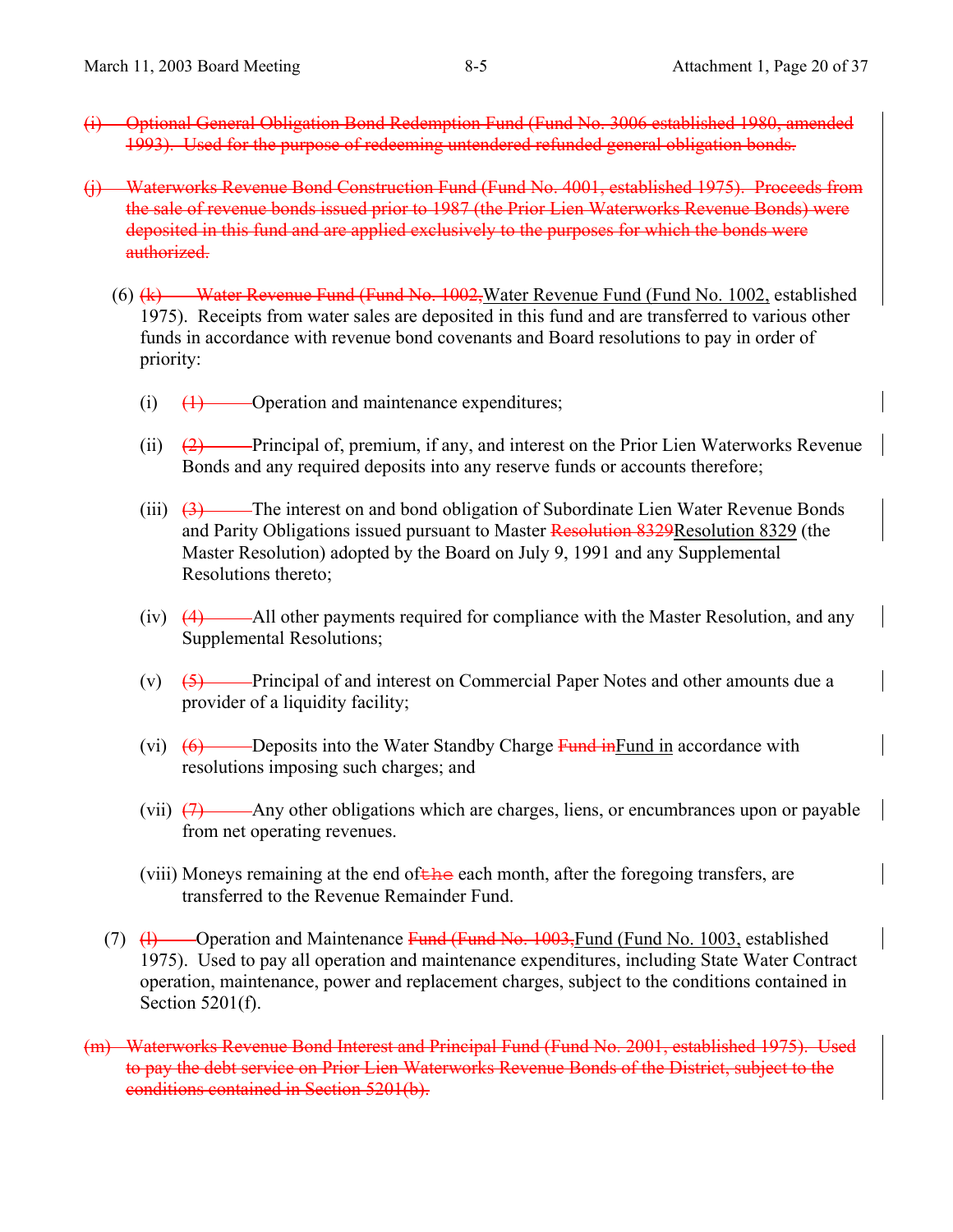- (i) Optional General Obligation Bond Redemption Fund (Fund No. 3006 established 1980, amended 1993). Used for the purpose of redeeming untendered refunded general obligation bonds.
- (j) Waterworks Revenue Bond Construction Fund (Fund No. 4001, established 1975). Proceeds from the sale of revenue bonds issued prior to 1987 (the Prior Lien Waterworks Revenue Bonds) were deposited in this fund and are applied exclusively to the purposes for which the bonds were authorized.
	- (6) (k) Water Revenue Fund (Fund No. 1002,Water Revenue Fund (Fund No. 1002, established 1975). Receipts from water sales are deposited in this fund and are transferred to various other funds in accordance with revenue bond covenants and Board resolutions to pay in order of priority:
		- $(i)$   $(1)$  Operation and maintenance expenditures;
		- (ii)  $(2)$  Principal of, premium, if any, and interest on the Prior Lien Waterworks Revenue Bonds and any required deposits into any reserve funds or accounts therefore;
		- (iii)  $\left(3\right)$  The interest on and bond obligation of Subordinate Lien Water Revenue Bonds and Parity Obligations issued pursuant to Master Resolution 8329Resolution 8329 (the Master Resolution) adopted by the Board on July 9, 1991 and any Supplemental Resolutions thereto;
		- (iv) (4) All other payments required for compliance with the Master Resolution, and any Supplemental Resolutions;
		- (v)  $\left(5\right)$  Principal of and interest on Commercial Paper Notes and other amounts due a provider of a liquidity facility;
		- (vi)  $(6)$  Deposits into the Water Standby Charge Fund in accordance with resolutions imposing such charges; and
		- (vii)  $(7)$  Any other obligations which are charges, liens, or encumbrances upon or payable from net operating revenues.
		- (viii) Moneys remaining at the end of  $\overline{E}$  the each month, after the foregoing transfers, are transferred to the Revenue Remainder Fund.
	- (7)  $(H)$  Operation and Maintenance Fund (Fund No. 1003, Fund (Fund No. 1003, established 1975). Used to pay all operation and maintenance expenditures, including State Water Contract operation, maintenance, power and replacement charges, subject to the conditions contained in Section 5201(f).
- (m) Waterworks Revenue Bond Interest and Principal Fund (Fund No. 2001, established 1975). Used to pay the debt service on Prior Lien Waterworks Revenue Bonds of the District, subject to the conditions contained in Section 5201(b).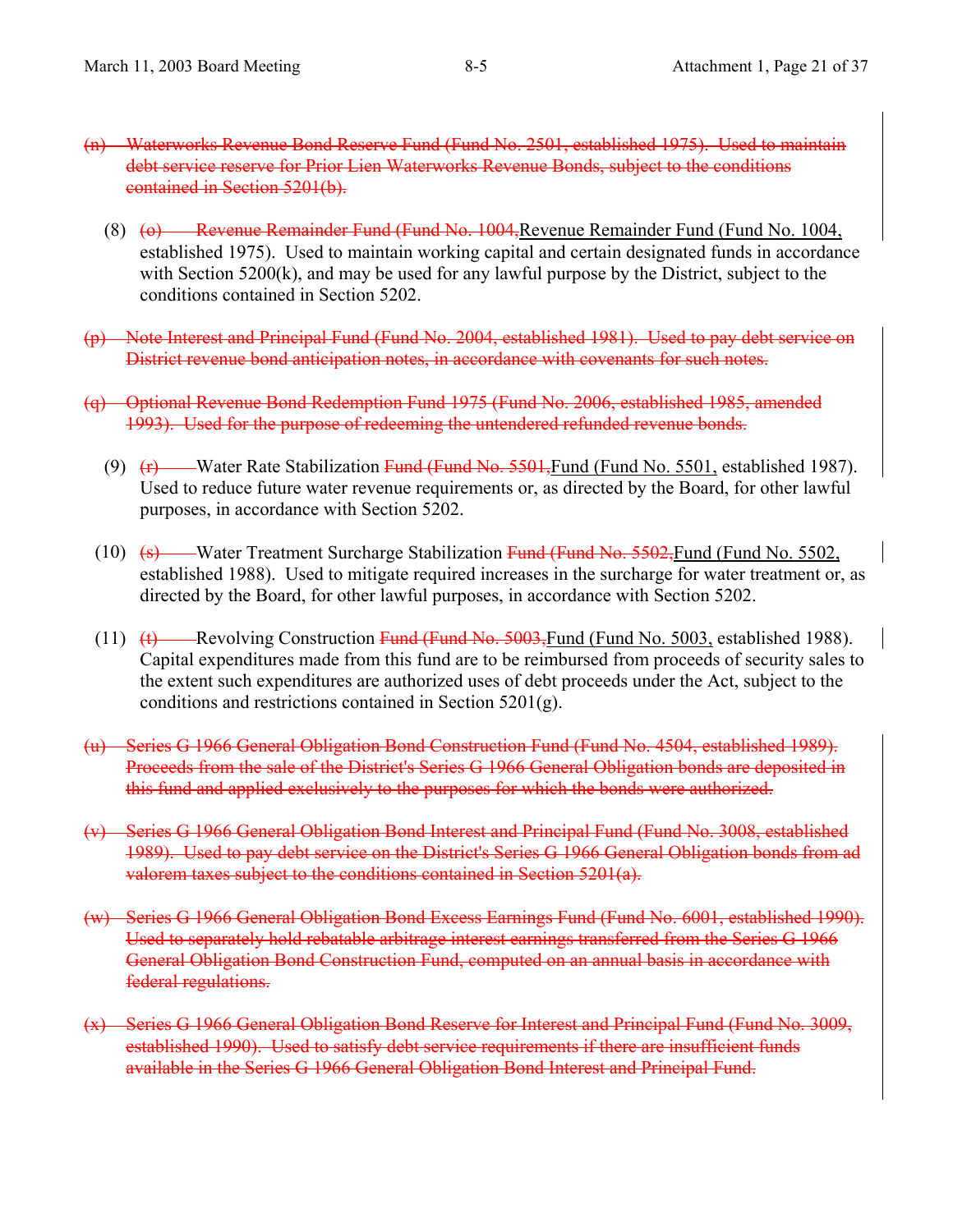- (n) Waterworks Revenue Bond Reserve Fund (Fund No. 2501, established 1975). Used to maintain debt service reserve for Prior Lien Waterworks Revenue Bonds, subject to the conditions contained in Section 5201(b).
	- (8) (o) Revenue Remainder Fund (Fund No. 1004, Revenue Remainder Fund (Fund No. 1004, established 1975). Used to maintain working capital and certain designated funds in accordance with Section 5200(k), and may be used for any lawful purpose by the District, subject to the conditions contained in Section 5202.
- (p) Note Interest and Principal Fund (Fund No. 2004, established 1981). Used to pay debt service on District revenue bond anticipation notes, in accordance with covenants for such notes.
- (q) Optional Revenue Bond Redemption Fund 1975 (Fund No. 2006, established 1985, amended 1993). Used for the purpose of redeeming the untendered refunded revenue bonds.
	- (9) (F) Water Rate Stabilization Fund (Fund No. 5501, Fund (Fund No. 5501, established 1987). Used to reduce future water revenue requirements or, as directed by the Board, for other lawful purposes, in accordance with Section 5202.
	- (10)  $\left( \frac{10}{10} \right)$  Water Treatment Surcharge Stabilization Fund (Fund No. 5502, Fund (Fund No. 5502, established 1988). Used to mitigate required increases in the surcharge for water treatment or, as directed by the Board, for other lawful purposes, in accordance with Section 5202.
	- (11)  $(t)$  Revolving Construction Fund (Fund No. 5003, Fund (Fund No. 5003, established 1988). Capital expenditures made from this fund are to be reimbursed from proceeds of security sales to the extent such expenditures are authorized uses of debt proceeds under the Act, subject to the conditions and restrictions contained in Section 5201(g).
- (u) Series G 1966 General Obligation Bond Construction Fund (Fund No. 4504, established 1989). Proceeds from the sale of the District's Series G 1966 General Obligation bonds are deposited in this fund and applied exclusively to the purposes for which the bonds were authorized.
- (v) Series G 1966 General Obligation Bond Interest and Principal Fund (Fund No. 3008, established 1989). Used to pay debt service on the District's Series G 1966 General Obligation bonds from ad valorem taxes subject to the conditions contained in Section 5201(a).
- (w) Series G 1966 General Obligation Bond Excess Earnings Fund (Fund No. 6001, established 1990). Used to separately hold rebatable arbitrage interest earnings transferred from the Series G 1966 General Obligation Bond Construction Fund, computed on an annual basis in accordance with federal regulations.
- (x) Series G 1966 General Obligation Bond Reserve for Interest and Principal Fund (Fund No. 3009, established 1990). Used to satisfy debt service requirements if there are insufficient funds available in the Series G 1966 General Obligation Bond Interest and Principal Fund.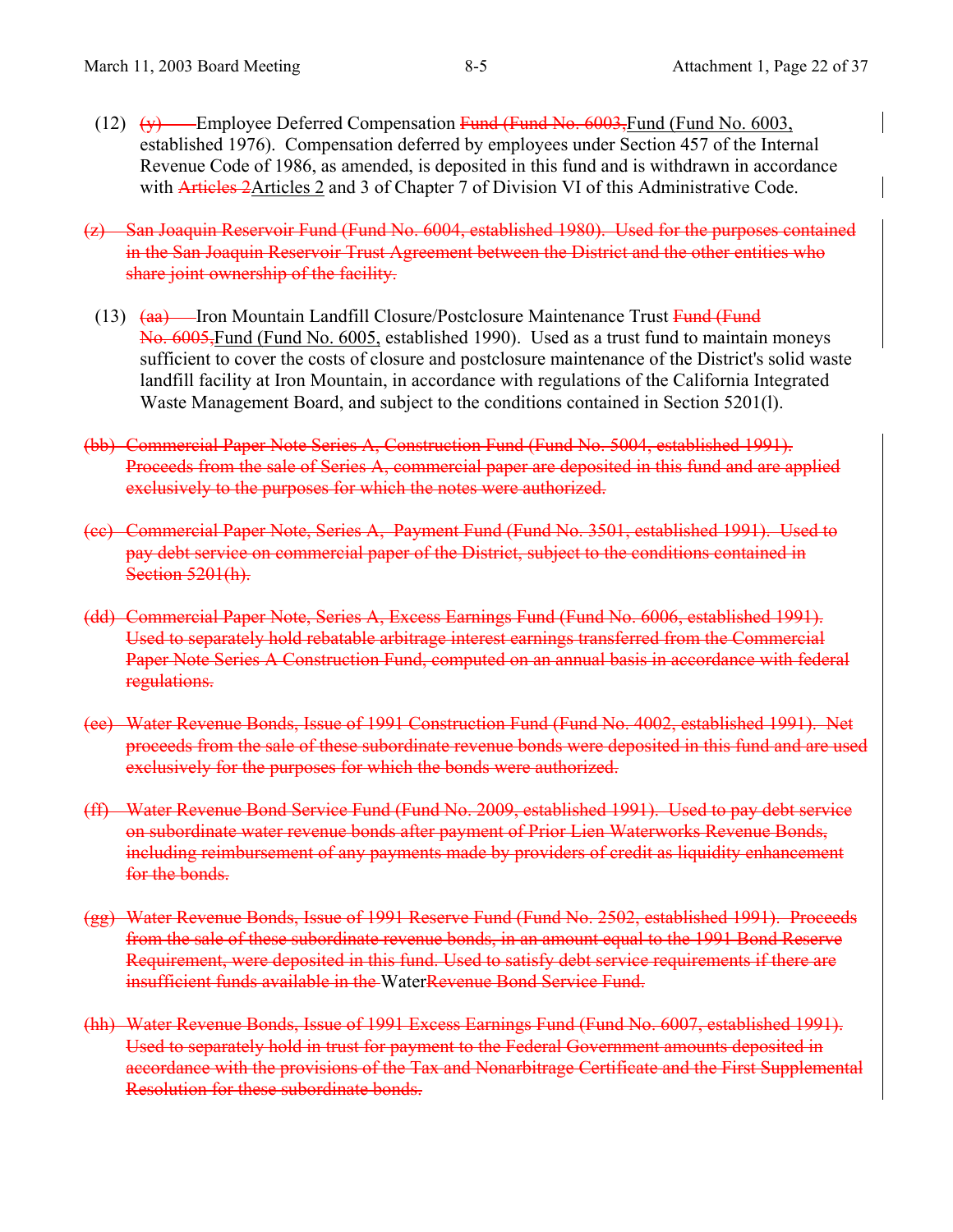(12)  $\left(\psi\right)$  Employee Deferred Compensation Fund (Fund No. 6003, Fund (Fund No. 6003, established 1976). Compensation deferred by employees under Section 457 of the Internal Revenue Code of 1986, as amended, is deposited in this fund and is withdrawn in accordance with **Articles 2**Articles 2 and 3 of Chapter 7 of Division VI of this Administrative Code.

(z) San Joaquin Reservoir Fund (Fund No. 6004, established 1980). Used for the purposes contained in the San Joaquin Reservoir Trust Agreement between the District and the other entities who share joint ownership of the facility.

- (13) <del>(aa)</del> Iron Mountain Landfill Closure/Postclosure Maintenance Trust Fund (Fund No. 6005,Fund (Fund No. 6005, established 1990). Used as a trust fund to maintain moneys sufficient to cover the costs of closure and postclosure maintenance of the District's solid waste landfill facility at Iron Mountain, in accordance with regulations of the California Integrated Waste Management Board, and subject to the conditions contained in Section 5201(l).
- (bb) Commercial Paper Note Series A, Construction Fund (Fund No. 5004, established 1991). Proceeds from the sale of Series A, commercial paper are deposited in this fund and are applied exclusively to the purposes for which the notes were authorized.
- (cc) Commercial Paper Note, Series A, Payment Fund (Fund No. 3501, established 1991). Used to pay debt service on commercial paper of the District, subject to the conditions contained in Section 5201(h).
- (dd) Commercial Paper Note, Series A, Excess Earnings Fund (Fund No. 6006, established 1991). Used to separately hold rebatable arbitrage interest earnings transferred from the Commercial Paper Note Series A Construction Fund, computed on an annual basis in accordance with federal regulations.
- (ee) Water Revenue Bonds, Issue of 1991 Construction Fund (Fund No. 4002, established 1991). Net proceeds from the sale of these subordinate revenue bonds were deposited in this fund and are used exclusively for the purposes for which the bonds were authorized.
- (ff) Water Revenue Bond Service Fund (Fund No. 2009, established 1991). Used to pay debt service on subordinate water revenue bonds after payment of Prior Lien Waterworks Revenue Bonds, including reimbursement of any payments made by providers of credit as liquidity enhancement for the bonds.
- (gg) Water Revenue Bonds, Issue of 1991 Reserve Fund (Fund No. 2502, established 1991). Proceeds from the sale of these subordinate revenue bonds, in an amount equal to the 1991 Bond Reserve Requirement, were deposited in this fund. Used to satisfy debt service requirements if there are insufficient funds available in the WaterRevenue Bond Service Fund.
- (hh) Water Revenue Bonds, Issue of 1991 Excess Earnings Fund (Fund No. 6007, established 1991). Used to separately hold in trust for payment to the Federal Government amounts deposited in accordance with the provisions of the Tax and Nonarbitrage Certificate and the First Supplemental Resolution for these subordinate bonds.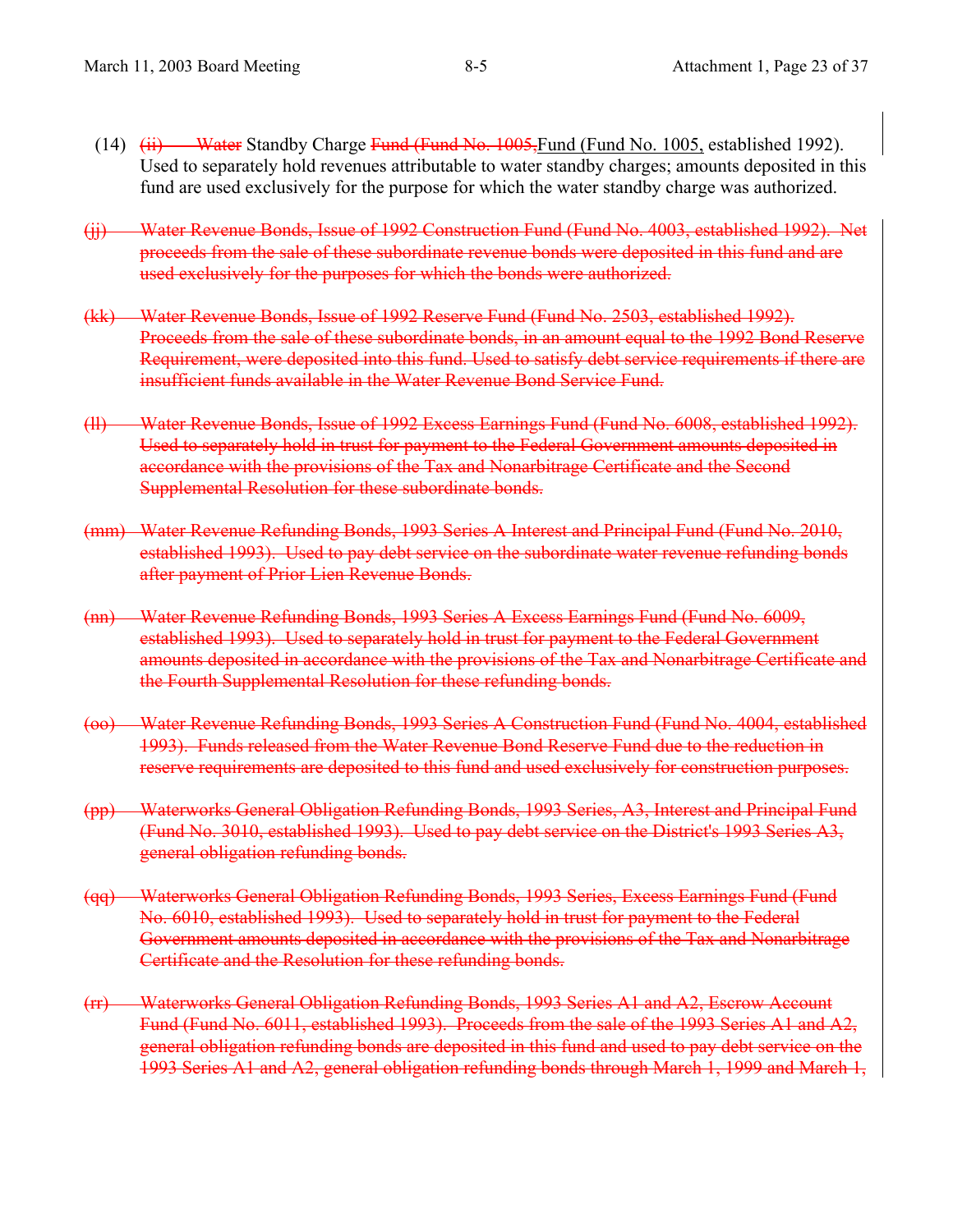- (14) (ii) Water Standby Charge Fund (Fund No. 1005, Fund (Fund No. 1005, established 1992). Used to separately hold revenues attributable to water standby charges; amounts deposited in this fund are used exclusively for the purpose for which the water standby charge was authorized.
- (jj) Water Revenue Bonds, Issue of 1992 Construction Fund (Fund No. 4003, established 1992). Net proceeds from the sale of these subordinate revenue bonds were deposited in this fund and are used exclusively for the purposes for which the bonds were authorized.
- (kk) Water Revenue Bonds, Issue of 1992 Reserve Fund (Fund No. 2503, established 1992). Proceeds from the sale of these subordinate bonds, in an amount equal to the 1992 Bond Reserve Requirement, were deposited into this fund. Used to satisfy debt service requirements if there are insufficient funds available in the Water Revenue Bond Service Fund.
- (ll) Water Revenue Bonds, Issue of 1992 Excess Earnings Fund (Fund No. 6008, established 1992). Used to separately hold in trust for payment to the Federal Government amounts deposited in accordance with the provisions of the Tax and Nonarbitrage Certificate and the Second Supplemental Resolution for these subordinate bonds.
- (mm) Water Revenue Refunding Bonds, 1993 Series A Interest and Principal Fund (Fund No. 2010, established 1993). Used to pay debt service on the subordinate water revenue refunding bonds after payment of Prior Lien Revenue Bonds.
- (nn) Water Revenue Refunding Bonds, 1993 Series A Excess Earnings Fund (Fund No. 6009, established 1993). Used to separately hold in trust for payment to the Federal Government amounts deposited in accordance with the provisions of the Tax and Nonarbitrage Certificate and the Fourth Supplemental Resolution for these refunding bonds.
- (oo) Water Revenue Refunding Bonds, 1993 Series A Construction Fund (Fund No. 4004, established 1993). Funds released from the Water Revenue Bond Reserve Fund due to the reduction in reserve requirements are deposited to this fund and used exclusively for construction purposes.
- (pp) Waterworks General Obligation Refunding Bonds, 1993 Series, A3, Interest and Principal Fund (Fund No. 3010, established 1993). Used to pay debt service on the District's 1993 Series A3, general obligation refunding bonds.
- (qq) Waterworks General Obligation Refunding Bonds, 1993 Series, Excess Earnings Fund (Fund No. 6010, established 1993). Used to separately hold in trust for payment to the Federal Government amounts deposited in accordance with the provisions of the Tax and Nonarbitrage Certificate and the Resolution for these refunding bonds.
- (rr) Waterworks General Obligation Refunding Bonds, 1993 Series A1 and A2, Escrow Account Fund (Fund No. 6011, established 1993). Proceeds from the sale of the 1993 Series A1 and A2, general obligation refunding bonds are deposited in this fund and used to pay debt service on the 1993 Series A1 and A2, general obligation refunding bonds through March 1, 1999 and March 1,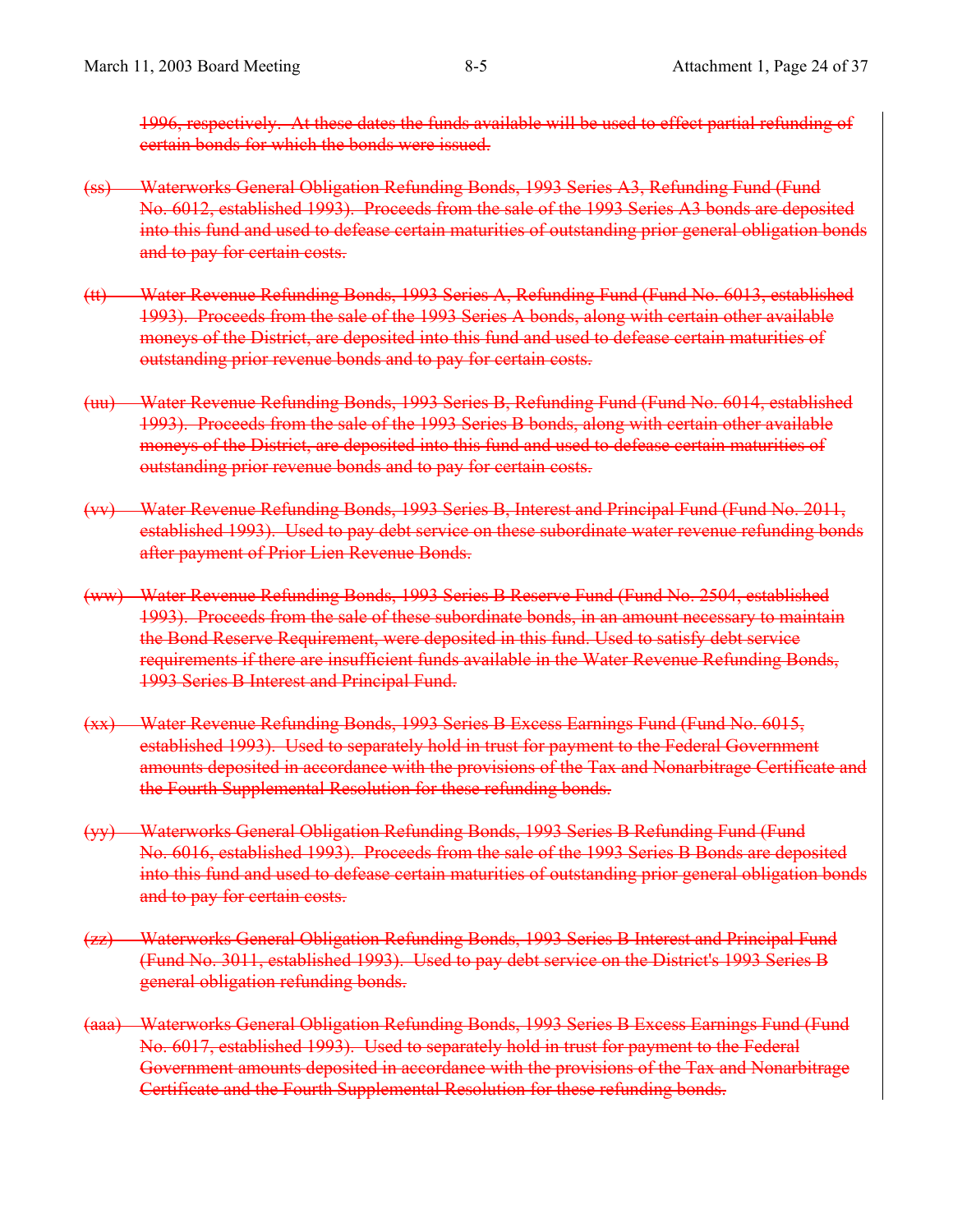1996, respectively. At these dates the funds available will be used to effect partial refunding of certain bonds for which the bonds were issued.

- (ss) Waterworks General Obligation Refunding Bonds, 1993 Series A3, Refunding Fund (Fund No. 6012, established 1993). Proceeds from the sale of the 1993 Series A3 bonds are deposited into this fund and used to defease certain maturities of outstanding prior general obligation bonds and to pay for certain costs.
- (tt) Water Revenue Refunding Bonds, 1993 Series A, Refunding Fund (Fund No. 6013, established 1993). Proceeds from the sale of the 1993 Series A bonds, along with certain other available moneys of the District, are deposited into this fund and used to defease certain maturities of outstanding prior revenue bonds and to pay for certain costs.
- (uu) Water Revenue Refunding Bonds, 1993 Series B, Refunding Fund (Fund No. 6014, established 1993). Proceeds from the sale of the 1993 Series B bonds, along with certain other available moneys of the District, are deposited into this fund and used to defease certain maturities of outstanding prior revenue bonds and to pay for certain costs.
- (vv) Water Revenue Refunding Bonds, 1993 Series B, Interest and Principal Fund (Fund No. 2011, established 1993). Used to pay debt service on these subordinate water revenue refunding bonds after payment of Prior Lien Revenue Bonds.
- (ww) Water Revenue Refunding Bonds, 1993 Series B Reserve Fund (Fund No. 2504, established 1993). Proceeds from the sale of these subordinate bonds, in an amount necessary to maintain the Bond Reserve Requirement, were deposited in this fund. Used to satisfy debt service requirements if there are insufficient funds available in the Water Revenue Refunding Bonds, 1993 Series B Interest and Principal Fund.
- (xx) Water Revenue Refunding Bonds, 1993 Series B Excess Earnings Fund (Fund No. 6015, established 1993). Used to separately hold in trust for payment to the Federal Government amounts deposited in accordance with the provisions of the Tax and Nonarbitrage Certificate and the Fourth Supplemental Resolution for these refunding bonds.
- (yy) Waterworks General Obligation Refunding Bonds, 1993 Series B Refunding Fund (Fund No. 6016, established 1993). Proceeds from the sale of the 1993 Series B Bonds are deposited into this fund and used to defease certain maturities of outstanding prior general obligation bonds and to pay for certain costs.
- (zz) Waterworks General Obligation Refunding Bonds, 1993 Series B Interest and Principal Fund (Fund No. 3011, established 1993). Used to pay debt service on the District's 1993 Series B general obligation refunding bonds.
- (aaa) Waterworks General Obligation Refunding Bonds, 1993 Series B Excess Earnings Fund (Fund No. 6017, established 1993). Used to separately hold in trust for payment to the Federal Government amounts deposited in accordance with the provisions of the Tax and Nonarbitrage Certificate and the Fourth Supplemental Resolution for these refunding bonds.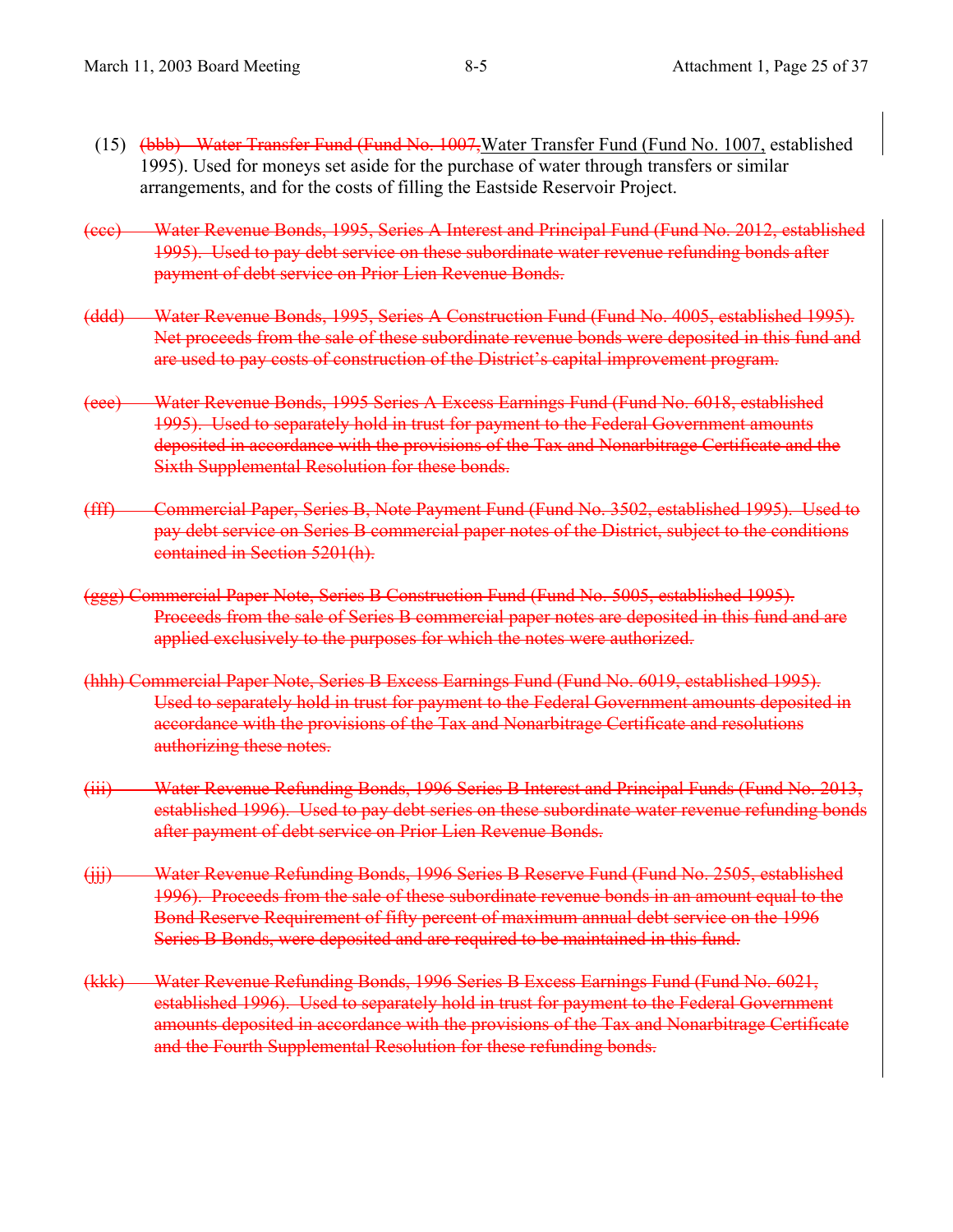- (15) (bbb) Water Transfer Fund (Fund No. 1007, Water Transfer Fund (Fund No. 1007, established 1995). Used for moneys set aside for the purchase of water through transfers or similar arrangements, and for the costs of filling the Eastside Reservoir Project.
- (ccc) Water Revenue Bonds, 1995, Series A Interest and Principal Fund (Fund No. 2012, established 1995). Used to pay debt service on these subordinate water revenue refunding bonds after payment of debt service on Prior Lien Revenue Bonds.
- (ddd) Water Revenue Bonds, 1995, Series A Construction Fund (Fund No. 4005, established 1995). Net proceeds from the sale of these subordinate revenue bonds were deposited in this fund and are used to pay costs of construction of the District's capital improvement program.
- (eee) Water Revenue Bonds, 1995 Series A Excess Earnings Fund (Fund No. 6018, established 1995). Used to separately hold in trust for payment to the Federal Government amounts deposited in accordance with the provisions of the Tax and Nonarbitrage Certificate and the Sixth Supplemental Resolution for these bonds.
- (fff) Commercial Paper, Series B, Note Payment Fund (Fund No. 3502, established 1995). Used to pay debt service on Series B commercial paper notes of the District, subject to the conditions contained in Section 5201(h).
- (ggg) Commercial Paper Note, Series B Construction Fund (Fund No. 5005, established 1995). Proceeds from the sale of Series B commercial paper notes are deposited in this fund and are applied exclusively to the purposes for which the notes were authorized.
- (hhh) Commercial Paper Note, Series B Excess Earnings Fund (Fund No. 6019, established 1995). Used to separately hold in trust for payment to the Federal Government amounts deposited in accordance with the provisions of the Tax and Nonarbitrage Certificate and resolutions authorizing these notes.
- (iii) Water Revenue Refunding Bonds, 1996 Series B Interest and Principal Funds (Fund No. 2013, established 1996). Used to pay debt series on these subordinate water revenue refunding bonds after payment of debt service on Prior Lien Revenue Bonds.
- (jjj) Water Revenue Refunding Bonds, 1996 Series B Reserve Fund (Fund No. 2505, established 1996). Proceeds from the sale of these subordinate revenue bonds in an amount equal to the Bond Reserve Requirement of fifty percent of maximum annual debt service on the 1996 Series B Bonds, were deposited and are required to be maintained in this fund.
- (kkk) Water Revenue Refunding Bonds, 1996 Series B Excess Earnings Fund (Fund No. 6021, established 1996). Used to separately hold in trust for payment to the Federal Government amounts deposited in accordance with the provisions of the Tax and Nonarbitrage Certificate and the Fourth Supplemental Resolution for these refunding bonds.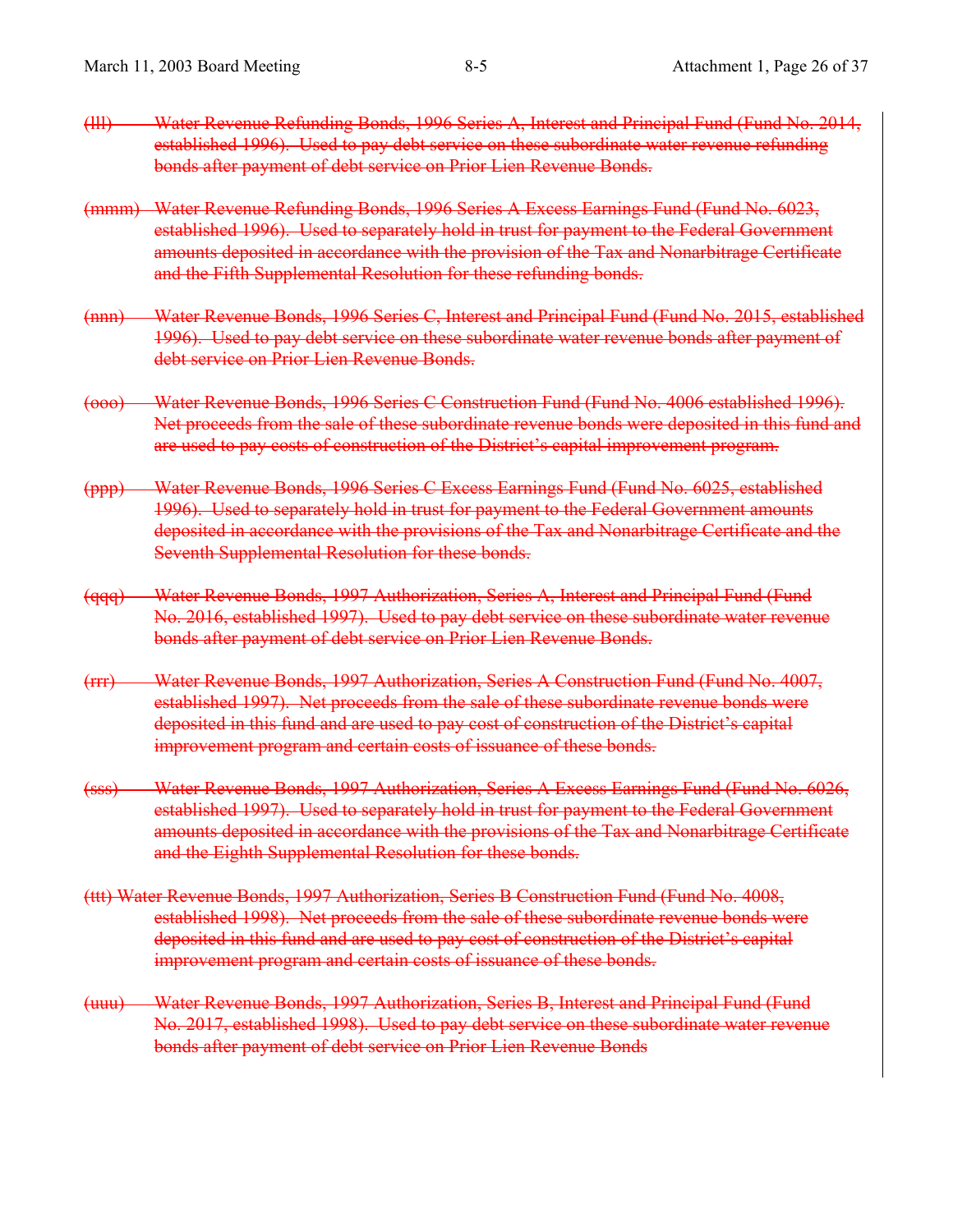- (lll) Water Revenue Refunding Bonds, 1996 Series A, Interest and Principal Fund (Fund No. 2014, established 1996). Used to pay debt service on these subordinate water revenue refunding bonds after payment of debt service on Prior Lien Revenue Bonds.
- (mmm) Water Revenue Refunding Bonds, 1996 Series A Excess Earnings Fund (Fund No. 6023, established 1996). Used to separately hold in trust for payment to the Federal Government amounts deposited in accordance with the provision of the Tax and Nonarbitrage Certificate and the Fifth Supplemental Resolution for these refunding bonds.
- (nnn) Water Revenue Bonds, 1996 Series C, Interest and Principal Fund (Fund No. 2015, established 1996). Used to pay debt service on these subordinate water revenue bonds after payment of debt service on Prior Lien Revenue Bonds.
- (ooo) Water Revenue Bonds, 1996 Series C Construction Fund (Fund No. 4006 established 1996). Net proceeds from the sale of these subordinate revenue bonds were deposited in this fund and are used to pay costs of construction of the District's capital improvement program.
- (ppp) Water Revenue Bonds, 1996 Series C Excess Earnings Fund (Fund No. 6025, established 1996). Used to separately hold in trust for payment to the Federal Government amounts deposited in accordance with the provisions of the Tax and Nonarbitrage Certificate and the Seventh Supplemental Resolution for these bonds.
- (qqq) Water Revenue Bonds, 1997 Authorization, Series A, Interest and Principal Fund (Fund No. 2016, established 1997). Used to pay debt service on these subordinate water revenue bonds after payment of debt service on Prior Lien Revenue Bonds.
- (rrr) Water Revenue Bonds, 1997 Authorization, Series A Construction Fund (Fund No. 4007, established 1997). Net proceeds from the sale of these subordinate revenue bonds were deposited in this fund and are used to pay cost of construction of the District's capital improvement program and certain costs of issuance of these bonds.
- (sss) Water Revenue Bonds, 1997 Authorization, Series A Excess Earnings Fund (Fund No. 6026, established 1997). Used to separately hold in trust for payment to the Federal Government amounts deposited in accordance with the provisions of the Tax and Nonarbitrage Certificate and the Eighth Supplemental Resolution for these bonds.
- (ttt) Water Revenue Bonds, 1997 Authorization, Series B Construction Fund (Fund No. 4008, established 1998). Net proceeds from the sale of these subordinate revenue bonds were deposited in this fund and are used to pay cost of construction of the District's capital improvement program and certain costs of issuance of these bonds.
- (uuu) Water Revenue Bonds, 1997 Authorization, Series B, Interest and Principal Fund (Fund No. 2017, established 1998). Used to pay debt service on these subordinate water revenue bonds after payment of debt service on Prior Lien Revenue Bonds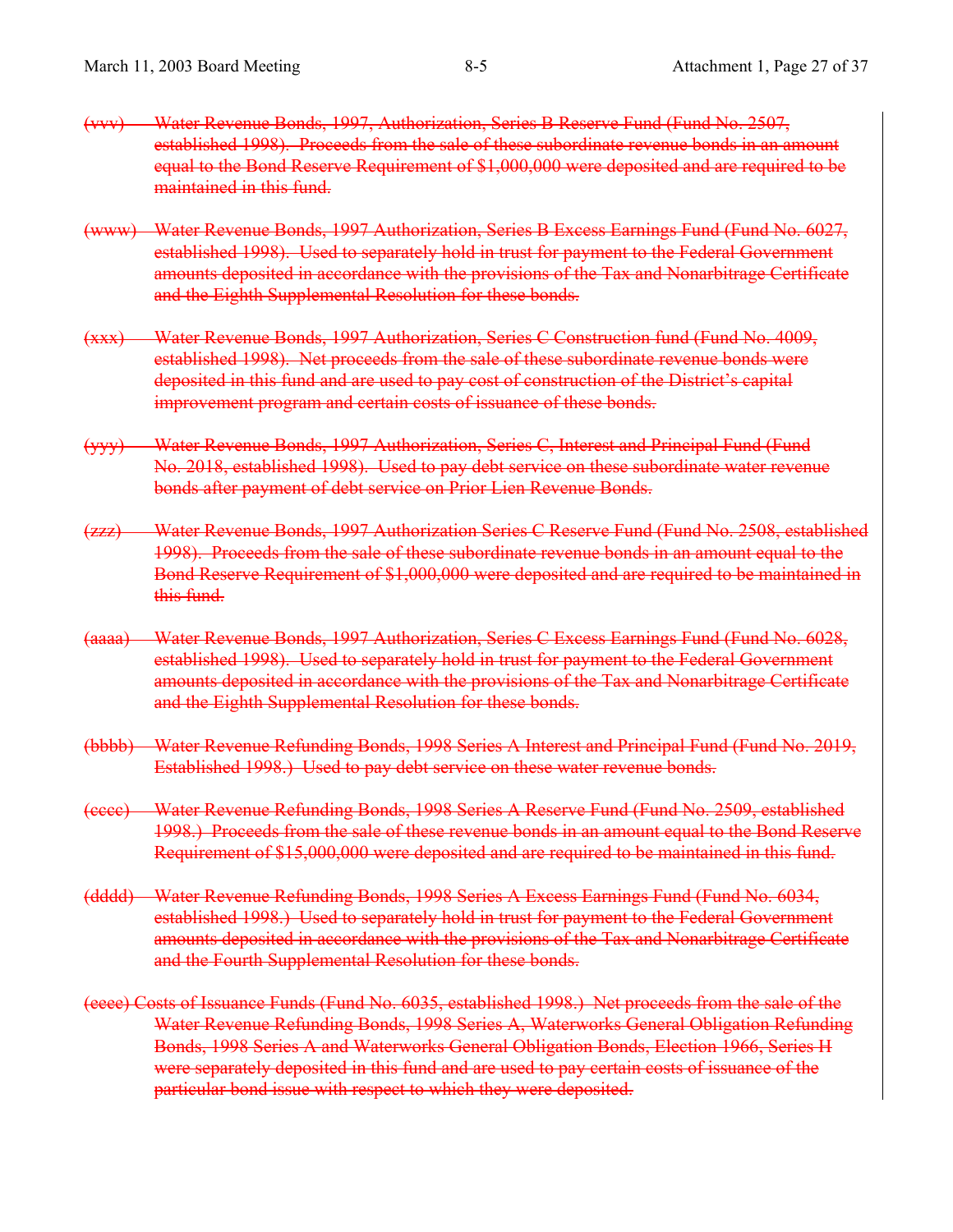- (vvv) Water Revenue Bonds, 1997, Authorization, Series B Reserve Fund (Fund No. 2507, established 1998). Proceeds from the sale of these subordinate revenue bonds in an amount equal to the Bond Reserve Requirement of \$1,000,000 were deposited and are required to be maintained in this fund.
- (www) Water Revenue Bonds, 1997 Authorization, Series B Excess Earnings Fund (Fund No. 6027, established 1998). Used to separately hold in trust for payment to the Federal Government amounts deposited in accordance with the provisions of the Tax and Nonarbitrage Certificate and the Eighth Supplemental Resolution for these bonds.
- (xxx) Water Revenue Bonds, 1997 Authorization, Series C Construction fund (Fund No. 4009, established 1998). Net proceeds from the sale of these subordinate revenue bonds were deposited in this fund and are used to pay cost of construction of the District's capital improvement program and certain costs of issuance of these bonds.
- (yyy) Water Revenue Bonds, 1997 Authorization, Series C, Interest and Principal Fund (Fund No. 2018, established 1998). Used to pay debt service on these subordinate water revenue bonds after payment of debt service on Prior Lien Revenue Bonds.
- (zzz) Water Revenue Bonds, 1997 Authorization Series C Reserve Fund (Fund No. 2508, established 1998). Proceeds from the sale of these subordinate revenue bonds in an amount equal to the Bond Reserve Requirement of \$1,000,000 were deposited and are required to be maintained in this fund.
- (aaaa) Water Revenue Bonds, 1997 Authorization, Series C Excess Earnings Fund (Fund No. 6028, established 1998). Used to separately hold in trust for payment to the Federal Government amounts deposited in accordance with the provisions of the Tax and Nonarbitrage Certificate and the Eighth Supplemental Resolution for these bonds.
- (bbbb) Water Revenue Refunding Bonds, 1998 Series A Interest and Principal Fund (Fund No. 2019, Established 1998.) Used to pay debt service on these water revenue bonds.
- (cccc) Water Revenue Refunding Bonds, 1998 Series A Reserve Fund (Fund No. 2509, established 1998.) Proceeds from the sale of these revenue bonds in an amount equal to the Bond Reserve Requirement of \$15,000,000 were deposited and are required to be maintained in this fund.
- (dddd) Water Revenue Refunding Bonds, 1998 Series A Excess Earnings Fund (Fund No. 6034, established 1998.) Used to separately hold in trust for payment to the Federal Government amounts deposited in accordance with the provisions of the Tax and Nonarbitrage Certificate and the Fourth Supplemental Resolution for these bonds.
- (eeee) Costs of Issuance Funds (Fund No. 6035, established 1998.) Net proceeds from the sale of the Water Revenue Refunding Bonds, 1998 Series A, Waterworks General Obligation Refunding Bonds, 1998 Series A and Waterworks General Obligation Bonds, Election 1966, Series H were separately deposited in this fund and are used to pay certain costs of issuance of the particular bond issue with respect to which they were deposited.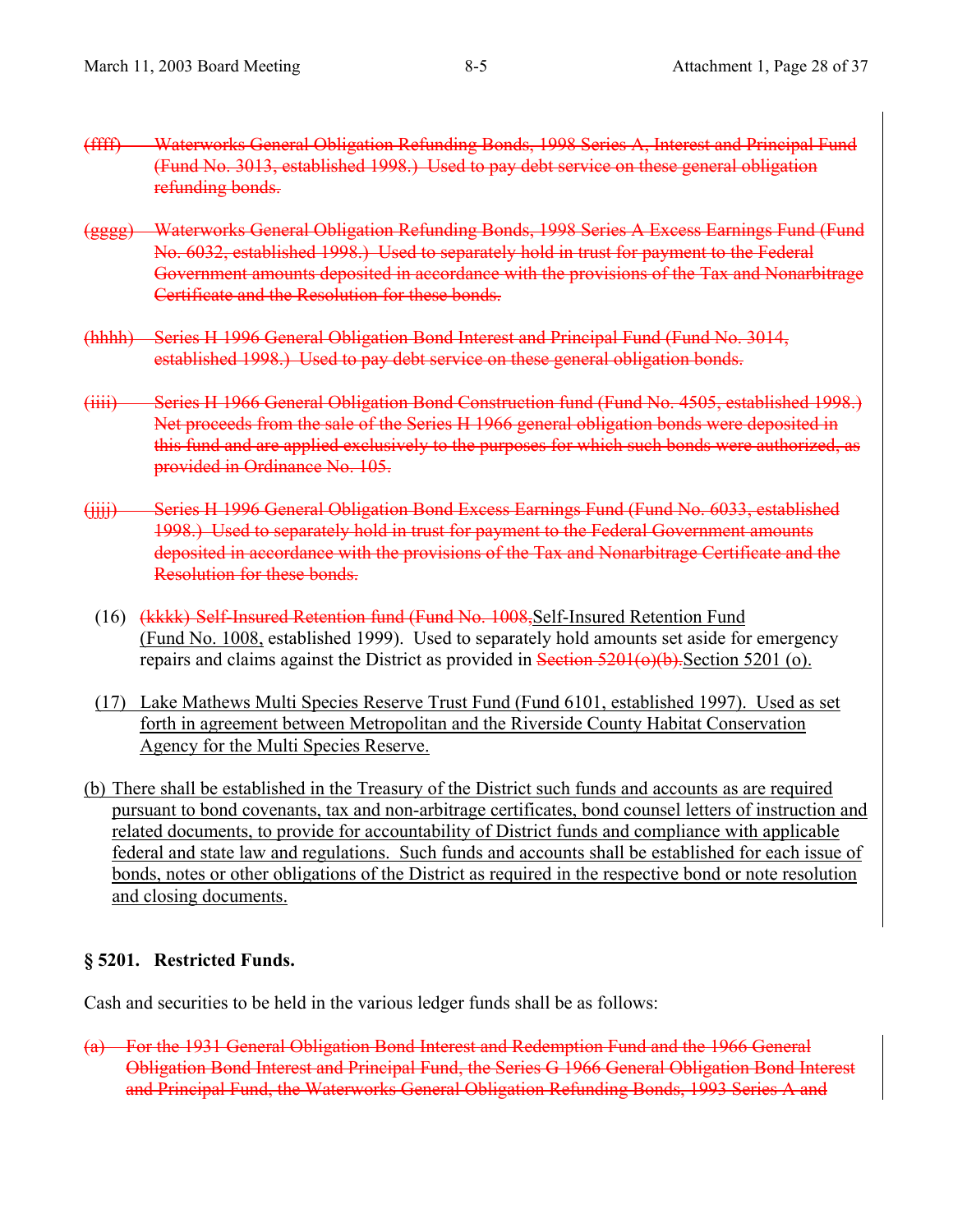- (ffff) Waterworks General Obligation Refunding Bonds, 1998 Series A, Interest and Principal Fund (Fund No. 3013, established 1998.) Used to pay debt service on these general obligation refunding bonds.
- (gggg) Waterworks General Obligation Refunding Bonds, 1998 Series A Excess Earnings Fund (Fund No. 6032, established 1998.) Used to separately hold in trust for payment to the Federal Government amounts deposited in accordance with the provisions of the Tax and Nonarbitrage Certificate and the Resolution for these bonds.
- (hhhh) Series H 1996 General Obligation Bond Interest and Principal Fund (Fund No. 3014, established 1998.) Used to pay debt service on these general obligation bonds.
- (iiii) Series H 1966 General Obligation Bond Construction fund (Fund No. 4505, established 1998.) Net proceeds from the sale of the Series H 1966 general obligation bonds were deposited in this fund and are applied exclusively to the purposes for which such bonds were authorized, as provided in Ordinance No. 105.
- (jjjj) Series H 1996 General Obligation Bond Excess Earnings Fund (Fund No. 6033, established 1998.) Used to separately hold in trust for payment to the Federal Government amounts deposited in accordance with the provisions of the Tax and Nonarbitrage Certificate and the Resolution for these bonds.
	- (16) (kkkk) Self-Insured Retention fund (Fund No. 1008, Self-Insured Retention Fund (Fund No. 1008, established 1999). Used to separately hold amounts set aside for emergency repairs and claims against the District as provided in Section  $5201(\theta)$ . Section 5201 (o).
	- (17) Lake Mathews Multi Species Reserve Trust Fund (Fund 6101, established 1997). Used as set forth in agreement between Metropolitan and the Riverside County Habitat Conservation Agency for the Multi Species Reserve.
- (b) There shall be established in the Treasury of the District such funds and accounts as are required pursuant to bond covenants, tax and non-arbitrage certificates, bond counsel letters of instruction and related documents, to provide for accountability of District funds and compliance with applicable federal and state law and regulations. Such funds and accounts shall be established for each issue of bonds, notes or other obligations of the District as required in the respective bond or note resolution and closing documents.

## **§ 5201. Restricted Funds.**

Cash and securities to be held in the various ledger funds shall be as follows:

(a) For the 1931 General Obligation Bond Interest and Redemption Fund and the 1966 General Obligation Bond Interest and Principal Fund, the Series G 1966 General Obligation Bond Interest and Principal Fund, the Waterworks General Obligation Refunding Bonds, 1993 Series A and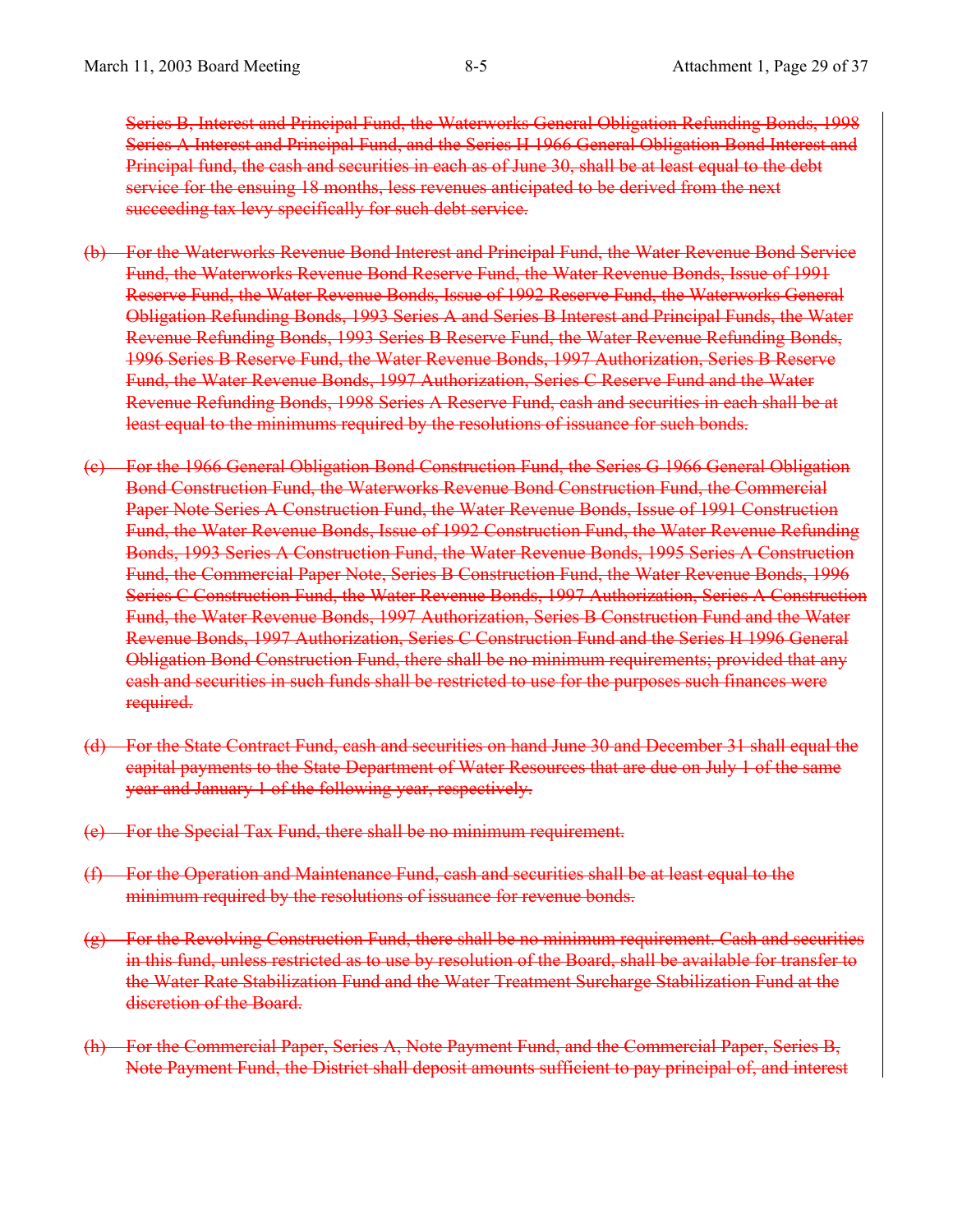Series B, Interest and Principal Fund, the Waterworks General Obligation Refunding Bonds, 1998 Series A Interest and Principal Fund, and the Series H 1966 General Obligation Bond Interest and Principal fund, the cash and securities in each as of June 30, shall be at least equal to the debt service for the ensuing 18 months, less revenues anticipated to be derived from the next succeeding tax levy specifically for such debt service.

- (b) For the Waterworks Revenue Bond Interest and Principal Fund, the Water Revenue Bond Service Fund, the Waterworks Revenue Bond Reserve Fund, the Water Revenue Bonds, Issue of 1991 Reserve Fund, the Water Revenue Bonds, Issue of 1992 Reserve Fund, the Waterworks General Obligation Refunding Bonds, 1993 Series A and Series B Interest and Principal Funds, the Water Revenue Refunding Bonds, 1993 Series B Reserve Fund, the Water Revenue Refunding Bonds, 1996 Series B Reserve Fund, the Water Revenue Bonds, 1997 Authorization, Series B Reserve Fund, the Water Revenue Bonds, 1997 Authorization, Series C Reserve Fund and the Water Revenue Refunding Bonds, 1998 Series A Reserve Fund, cash and securities in each shall be at least equal to the minimums required by the resolutions of issuance for such bonds.
- (c) For the 1966 General Obligation Bond Construction Fund, the Series G 1966 General Obligation Bond Construction Fund, the Waterworks Revenue Bond Construction Fund, the Commercial Paper Note Series A Construction Fund, the Water Revenue Bonds, Issue of 1991 Construction Fund, the Water Revenue Bonds, Issue of 1992 Construction Fund, the Water Revenue Refunding Bonds, 1993 Series A Construction Fund, the Water Revenue Bonds, 1995 Series A Construction Fund, the Commercial Paper Note, Series B Construction Fund, the Water Revenue Bonds, 1996 Series C Construction Fund, the Water Revenue Bonds, 1997 Authorization, Series A Construction Fund, the Water Revenue Bonds, 1997 Authorization, Series B Construction Fund and the Water Revenue Bonds, 1997 Authorization, Series C Construction Fund and the Series H 1996 General Obligation Bond Construction Fund, there shall be no minimum requirements; provided that any cash and securities in such funds shall be restricted to use for the purposes such finances were required.
- (d) For the State Contract Fund, cash and securities on hand June 30 and December 31 shall equal the capital payments to the State Department of Water Resources that are due on July 1 of the same year and January 1 of the following year, respectively.
- (e) For the Special Tax Fund, there shall be no minimum requirement.
- (f) For the Operation and Maintenance Fund, cash and securities shall be at least equal to the minimum required by the resolutions of issuance for revenue bonds.
- (g) For the Revolving Construction Fund, there shall be no minimum requirement. Cash and securities in this fund, unless restricted as to use by resolution of the Board, shall be available for transfer to the Water Rate Stabilization Fund and the Water Treatment Surcharge Stabilization Fund at the discretion of the Board.
- (h) For the Commercial Paper, Series A, Note Payment Fund, and the Commercial Paper, Series B, Note Payment Fund, the District shall deposit amounts sufficient to pay principal of, and interest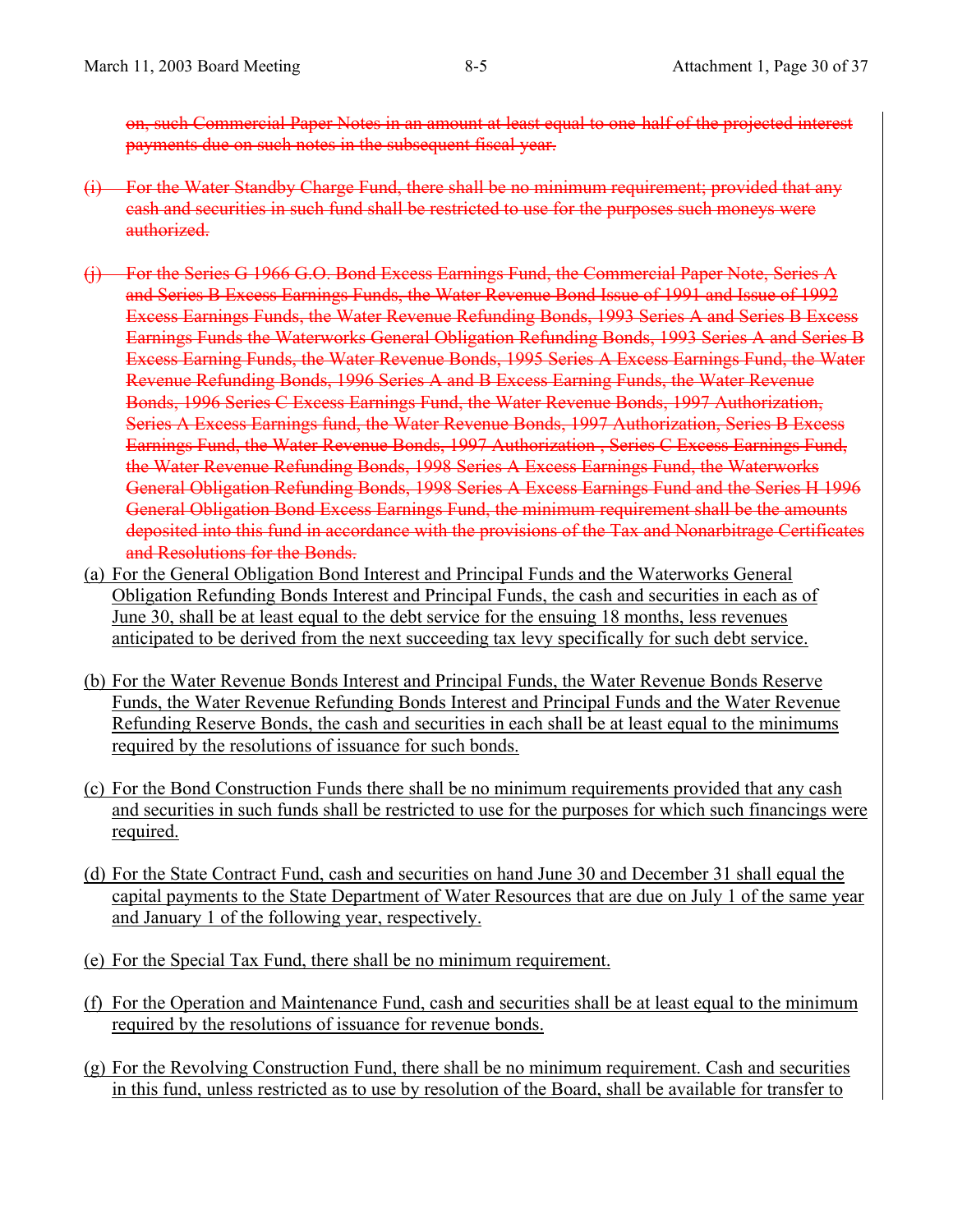on, such Commercial Paper Notes in an amount at least equal to one-half of the projected interest payments due on such notes in the subsequent fiscal year.

- (i) For the Water Standby Charge Fund, there shall be no minimum requirement; provided that any cash and securities in such fund shall be restricted to use for the purposes such moneys were authorized.
- (j) For the Series G 1966 G.O. Bond Excess Earnings Fund, the Commercial Paper Note, Series A and Series B Excess Earnings Funds, the Water Revenue Bond Issue of 1991 and Issue of 1992 Excess Earnings Funds, the Water Revenue Refunding Bonds, 1993 Series A and Series B Excess Earnings Funds the Waterworks General Obligation Refunding Bonds, 1993 Series A and Series B Excess Earning Funds, the Water Revenue Bonds, 1995 Series A Excess Earnings Fund, the Water Revenue Refunding Bonds, 1996 Series A and B Excess Earning Funds, the Water Revenue Bonds, 1996 Series C Excess Earnings Fund, the Water Revenue Bonds, 1997 Authorization, Series A Excess Earnings fund, the Water Revenue Bonds, 1997 Authorization, Series B Excess Earnings Fund, the Water Revenue Bonds, 1997 Authorization , Series C Excess Earnings Fund, the Water Revenue Refunding Bonds, 1998 Series A Excess Earnings Fund, the Waterworks General Obligation Refunding Bonds, 1998 Series A Excess Earnings Fund and the Series H 1996 General Obligation Bond Excess Earnings Fund, the minimum requirement shall be the amounts deposited into this fund in accordance with the provisions of the Tax and Nonarbitrage Certificates and Resolutions for the Bonds.
- (a) For the General Obligation Bond Interest and Principal Funds and the Waterworks General Obligation Refunding Bonds Interest and Principal Funds, the cash and securities in each as of June 30, shall be at least equal to the debt service for the ensuing 18 months, less revenues anticipated to be derived from the next succeeding tax levy specifically for such debt service.
- (b) For the Water Revenue Bonds Interest and Principal Funds, the Water Revenue Bonds Reserve Funds, the Water Revenue Refunding Bonds Interest and Principal Funds and the Water Revenue Refunding Reserve Bonds, the cash and securities in each shall be at least equal to the minimums required by the resolutions of issuance for such bonds.
- (c) For the Bond Construction Funds there shall be no minimum requirements provided that any cash and securities in such funds shall be restricted to use for the purposes for which such financings were required.
- (d) For the State Contract Fund, cash and securities on hand June 30 and December 31 shall equal the capital payments to the State Department of Water Resources that are due on July 1 of the same year and January 1 of the following year, respectively.
- (e) For the Special Tax Fund, there shall be no minimum requirement.
- (f) For the Operation and Maintenance Fund, cash and securities shall be at least equal to the minimum required by the resolutions of issuance for revenue bonds.
- (g) For the Revolving Construction Fund, there shall be no minimum requirement. Cash and securities in this fund, unless restricted as to use by resolution of the Board, shall be available for transfer to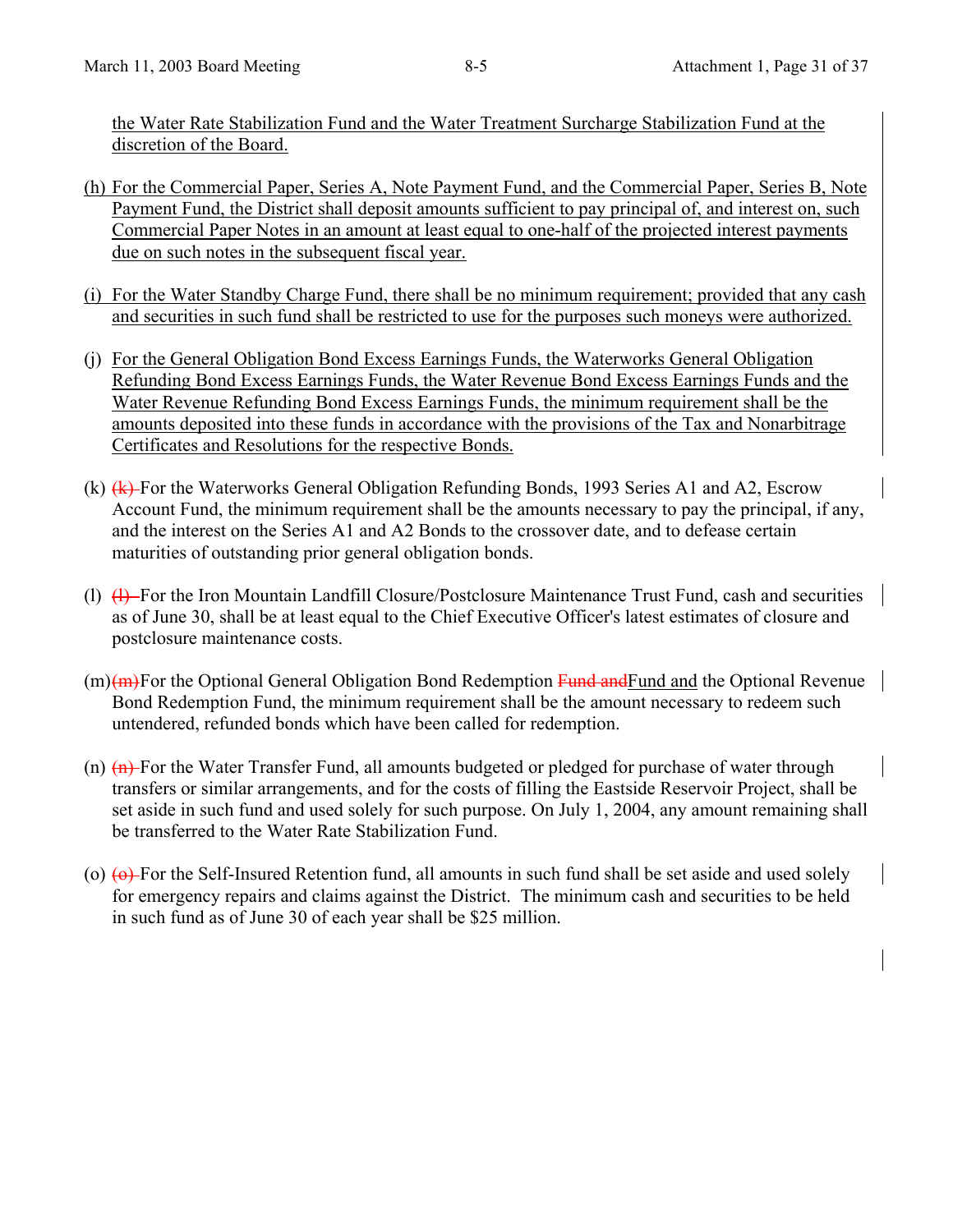the Water Rate Stabilization Fund and the Water Treatment Surcharge Stabilization Fund at the discretion of the Board.

- (h) For the Commercial Paper, Series A, Note Payment Fund, and the Commercial Paper, Series B, Note Payment Fund, the District shall deposit amounts sufficient to pay principal of, and interest on, such Commercial Paper Notes in an amount at least equal to one-half of the projected interest payments due on such notes in the subsequent fiscal year.
- (i) For the Water Standby Charge Fund, there shall be no minimum requirement; provided that any cash and securities in such fund shall be restricted to use for the purposes such moneys were authorized.
- (j) For the General Obligation Bond Excess Earnings Funds, the Waterworks General Obligation Refunding Bond Excess Earnings Funds, the Water Revenue Bond Excess Earnings Funds and the Water Revenue Refunding Bond Excess Earnings Funds, the minimum requirement shall be the amounts deposited into these funds in accordance with the provisions of the Tax and Nonarbitrage Certificates and Resolutions for the respective Bonds.
- (k)  $(k)$  For the Waterworks General Obligation Refunding Bonds, 1993 Series A1 and A2, Escrow Account Fund, the minimum requirement shall be the amounts necessary to pay the principal, if any, and the interest on the Series A1 and A2 Bonds to the crossover date, and to defease certain maturities of outstanding prior general obligation bonds.
- (l)  $(1)$  For the Iron Mountain Landfill Closure/Postclosure Maintenance Trust Fund, cash and securities as of June 30, shall be at least equal to the Chief Executive Officer's latest estimates of closure and postclosure maintenance costs.
- $(m)(m)$ For the Optional General Obligation Bond Redemption Fund and Tund and the Optional Revenue Bond Redemption Fund, the minimum requirement shall be the amount necessary to redeem such untendered, refunded bonds which have been called for redemption.
- (n)  $(n)$  For the Water Transfer Fund, all amounts budgeted or pledged for purchase of water through transfers or similar arrangements, and for the costs of filling the Eastside Reservoir Project, shall be set aside in such fund and used solely for such purpose. On July 1, 2004, any amount remaining shall be transferred to the Water Rate Stabilization Fund.
- (o)  $\leftrightarrow$  For the Self-Insured Retention fund, all amounts in such fund shall be set aside and used solely for emergency repairs and claims against the District. The minimum cash and securities to be held in such fund as of June 30 of each year shall be \$25 million.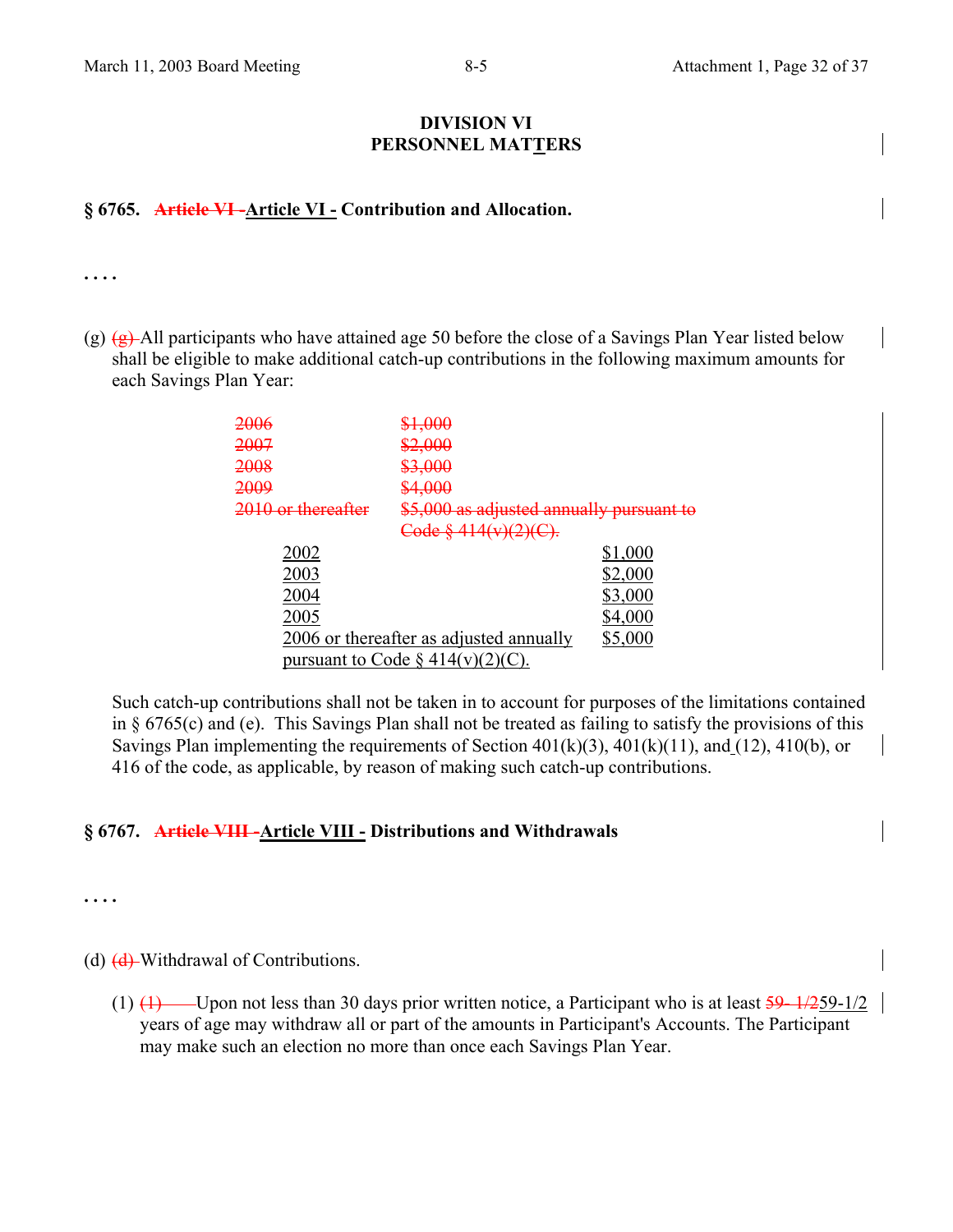#### **DIVISION VI PERSONNEL MATTERS**

## **§ 6765. Article VI -Article VI - Contribution and Allocation.**

**. . . .** 

(g)  $(g)$  All participants who have attained age 50 before the close of a Savings Plan Year listed below shall be eligible to make additional catch-up contributions in the following maximum amounts for each Savings Plan Year:

| <del>2006</del>               | <del>\$1,000</del>                             |         |
|-------------------------------|------------------------------------------------|---------|
| 2007                          | \$2,000                                        |         |
| <del>2008</del>               | \$3,000                                        |         |
| <del>2009</del>               | \$4,000                                        |         |
| <del>2010 or thereafter</del> | \$5,000 as adjusted annually pursuant to       |         |
|                               | <del>Code § 414(v)(2)(C).</del>                |         |
| 2002                          |                                                | \$1,000 |
| 2003                          |                                                | \$2,000 |
| 2004                          |                                                | \$3,000 |
| 2005                          |                                                | \$4,000 |
|                               | <u>2006 or thereafter as adjusted annually</u> | \$5,000 |
|                               | pursuant to Code $\S$ 414(v)(2)(               |         |
|                               |                                                |         |

Such catch-up contributions shall not be taken in to account for purposes of the limitations contained in § 6765(c) and (e). This Savings Plan shall not be treated as failing to satisfy the provisions of this Savings Plan implementing the requirements of Section  $401(k)(3)$ ,  $401(k)(11)$ , and  $(12)$ ,  $410(b)$ , or 416 of the code, as applicable, by reason of making such catch-up contributions.

#### **§ 6767. Article VIII -Article VIII - Distributions and Withdrawals**

**. . . .** 

(d)  $\left( \frac{d}{dx} \right)$  Withdrawal of Contributions.

(1)  $(1)$  Upon not less than 30 days prior written notice, a Participant who is at least  $\frac{59-1}{259-1/2}$ years of age may withdraw all or part of the amounts in Participant's Accounts. The Participant may make such an election no more than once each Savings Plan Year.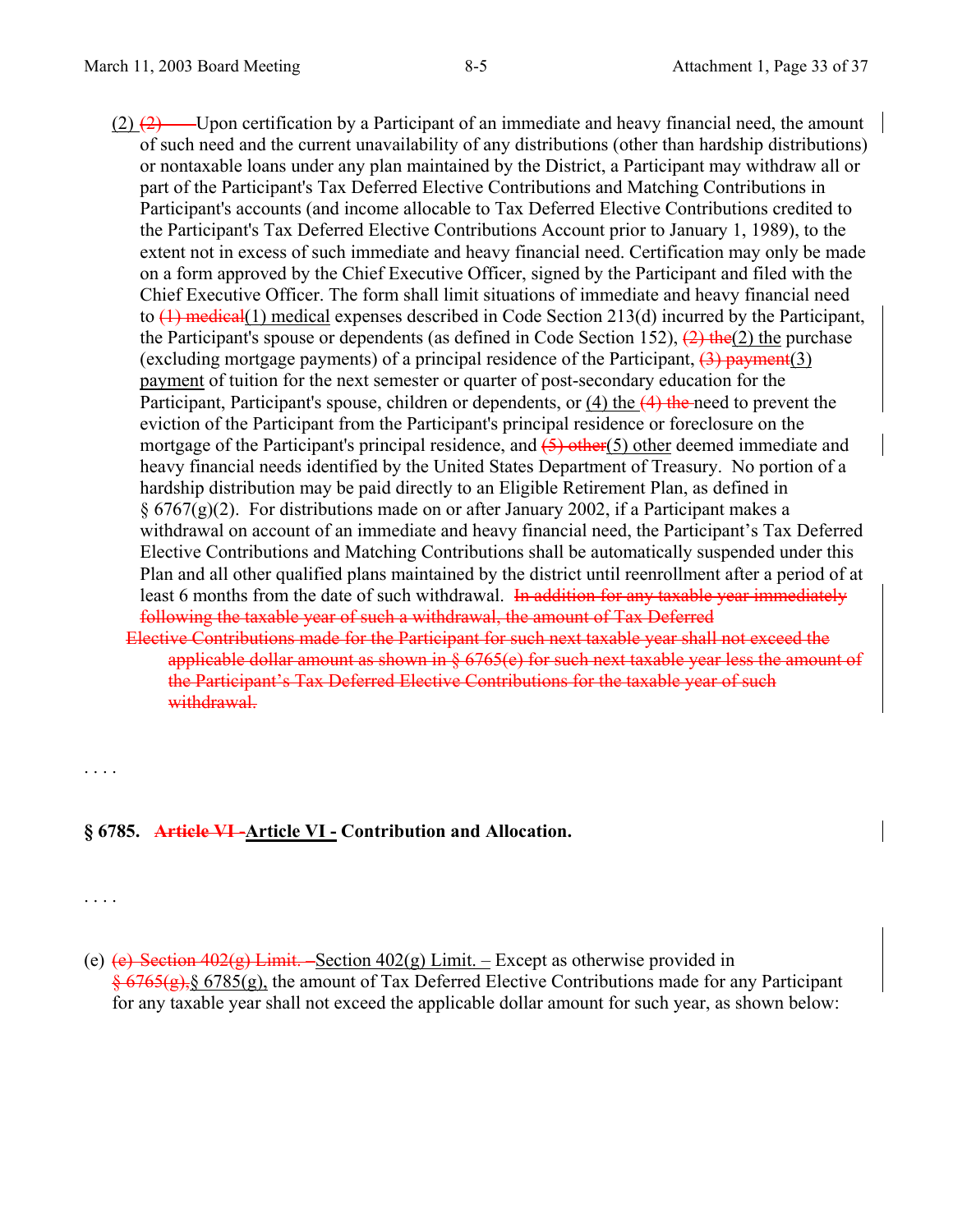- $(2)$   $(2)$  —Upon certification by a Participant of an immediate and heavy financial need, the amount of such need and the current unavailability of any distributions (other than hardship distributions) or nontaxable loans under any plan maintained by the District, a Participant may withdraw all or part of the Participant's Tax Deferred Elective Contributions and Matching Contributions in Participant's accounts (and income allocable to Tax Deferred Elective Contributions credited to the Participant's Tax Deferred Elective Contributions Account prior to January 1, 1989), to the extent not in excess of such immediate and heavy financial need. Certification may only be made on a form approved by the Chief Executive Officer, signed by the Participant and filed with the Chief Executive Officer. The form shall limit situations of immediate and heavy financial need to  $(1)$  medical(1) medical expenses described in Code Section 213(d) incurred by the Participant, the Participant's spouse or dependents (as defined in Code Section 152),  $(2)$  the  $(2)$  the purchase (excluding mortgage payments) of a principal residence of the Participant,  $(3)$  payment $(3)$ payment of tuition for the next semester or quarter of post-secondary education for the Participant, Participant's spouse, children or dependents, or (4) the (4) the need to prevent the eviction of the Participant from the Participant's principal residence or foreclosure on the mortgage of the Participant's principal residence, and  $(5)$  other(5) other deemed immediate and heavy financial needs identified by the United States Department of Treasury. No portion of a hardship distribution may be paid directly to an Eligible Retirement Plan, as defined in  $\S 6767(g)(2)$ . For distributions made on or after January 2002, if a Participant makes a withdrawal on account of an immediate and heavy financial need, the Participant's Tax Deferred Elective Contributions and Matching Contributions shall be automatically suspended under this Plan and all other qualified plans maintained by the district until reenrollment after a period of at least 6 months from the date of such withdrawal. In addition for any taxable year immediately following the taxable year of such a withdrawal, the amount of Tax Deferred
	- Elective Contributions made for the Participant for such next taxable year shall not exceed the applicable dollar amount as shown in § 6765(e) for such next taxable year less the amount of the Participant's Tax Deferred Elective Contributions for the taxable year of such withdrawal.
- **§ 6785. Article VI -Article VI Contribution and Allocation.**

. . . .

. . . .

(e) (e) Section  $402(g)$  Limit. – Section  $402(g)$  Limit. – Except as otherwise provided in  $\frac{6}{9}$  6765(g),  $\frac{6}{9}$  6785(g), the amount of Tax Deferred Elective Contributions made for any Participant for any taxable year shall not exceed the applicable dollar amount for such year, as shown below: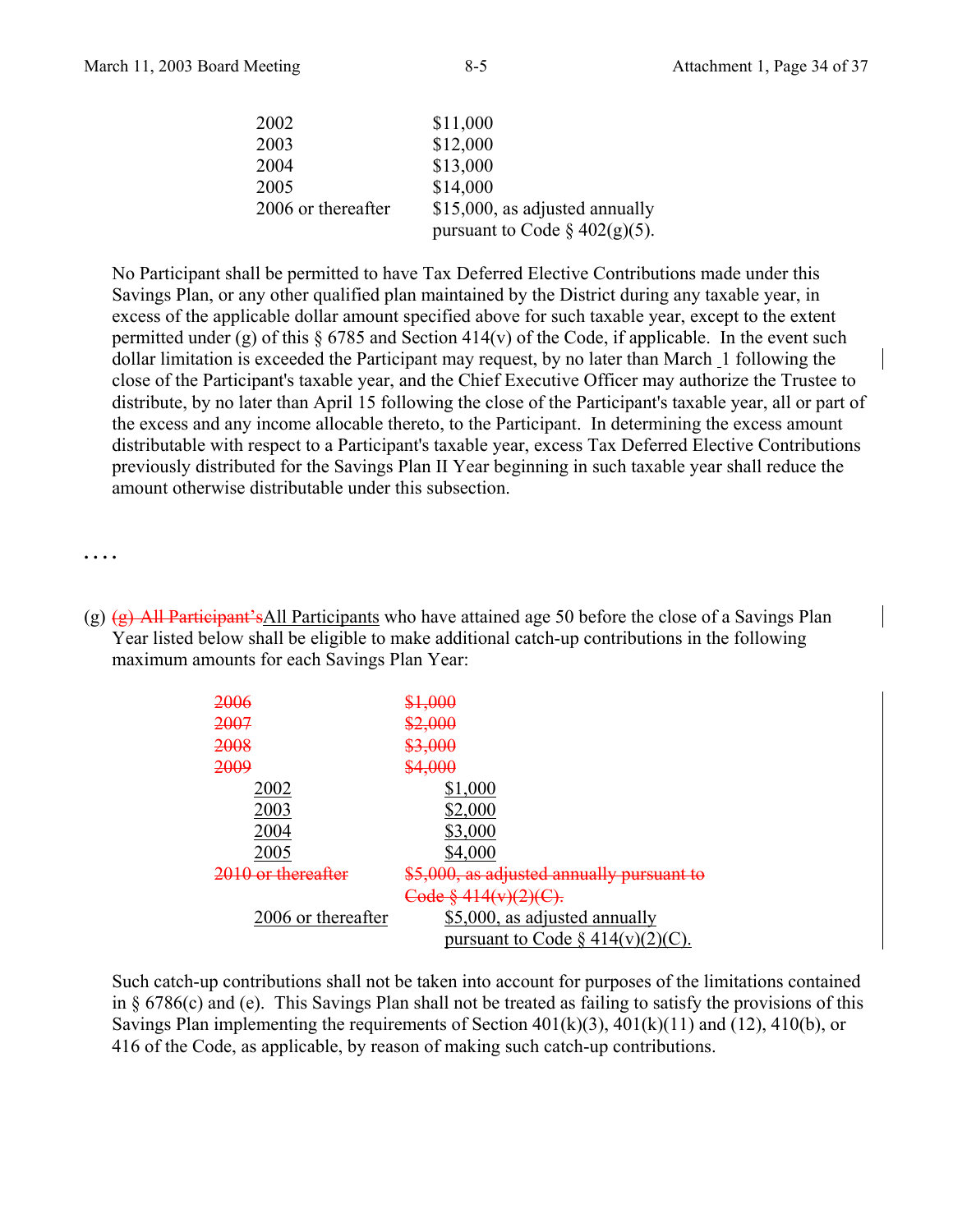| 2002               | \$11,000                         |
|--------------------|----------------------------------|
| 2003               | \$12,000                         |
| 2004               | \$13,000                         |
| 2005               | \$14,000                         |
| 2006 or thereafter | \$15,000, as adjusted annually   |
|                    | pursuant to Code $\S$ 402(g)(5). |

No Participant shall be permitted to have Tax Deferred Elective Contributions made under this Savings Plan, or any other qualified plan maintained by the District during any taxable year, in excess of the applicable dollar amount specified above for such taxable year, except to the extent permitted under (g) of this  $\S 6785$  and Section 414(v) of the Code, if applicable. In the event such dollar limitation is exceeded the Participant may request, by no later than March 1 following the close of the Participant's taxable year, and the Chief Executive Officer may authorize the Trustee to distribute, by no later than April 15 following the close of the Participant's taxable year, all or part of the excess and any income allocable thereto, to the Participant. In determining the excess amount distributable with respect to a Participant's taxable year, excess Tax Deferred Elective Contributions previously distributed for the Savings Plan II Year beginning in such taxable year shall reduce the amount otherwise distributable under this subsection.

**. . . .** 

(g)  $(g)$  All Participant's All Participants who have attained age 50 before the close of a Savings Plan Year listed below shall be eligible to make additional catch-up contributions in the following maximum amounts for each Savings Plan Year:

| <del>2006</del>    | ᡇ᠇ᡪᠣᡃᠣ᠌ᡛ                               |
|--------------------|----------------------------------------|
| 2007               | \$2,000                                |
| 2008               | \$3,000                                |
| 2009               | \$4,000                                |
| 2002               | \$1,000                                |
| 2003               | \$2,000                                |
| 2004               | \$3,000                                |
| 2005               | \$4,000                                |
| ) or thereafter    | \$5,000, as adjusted annually pursuant |
|                    | Code § 414(v)(2)(C).                   |
| 2006 or thereafter | \$5,000, as adjusted annually          |
|                    | pursuant to Code $\S$ 414(v)(2)(C).    |

Such catch-up contributions shall not be taken into account for purposes of the limitations contained in § 6786(c) and (e). This Savings Plan shall not be treated as failing to satisfy the provisions of this Savings Plan implementing the requirements of Section  $401(k)(3)$ ,  $401(k)(11)$  and  $(12)$ ,  $410(b)$ , or 416 of the Code, as applicable, by reason of making such catch-up contributions.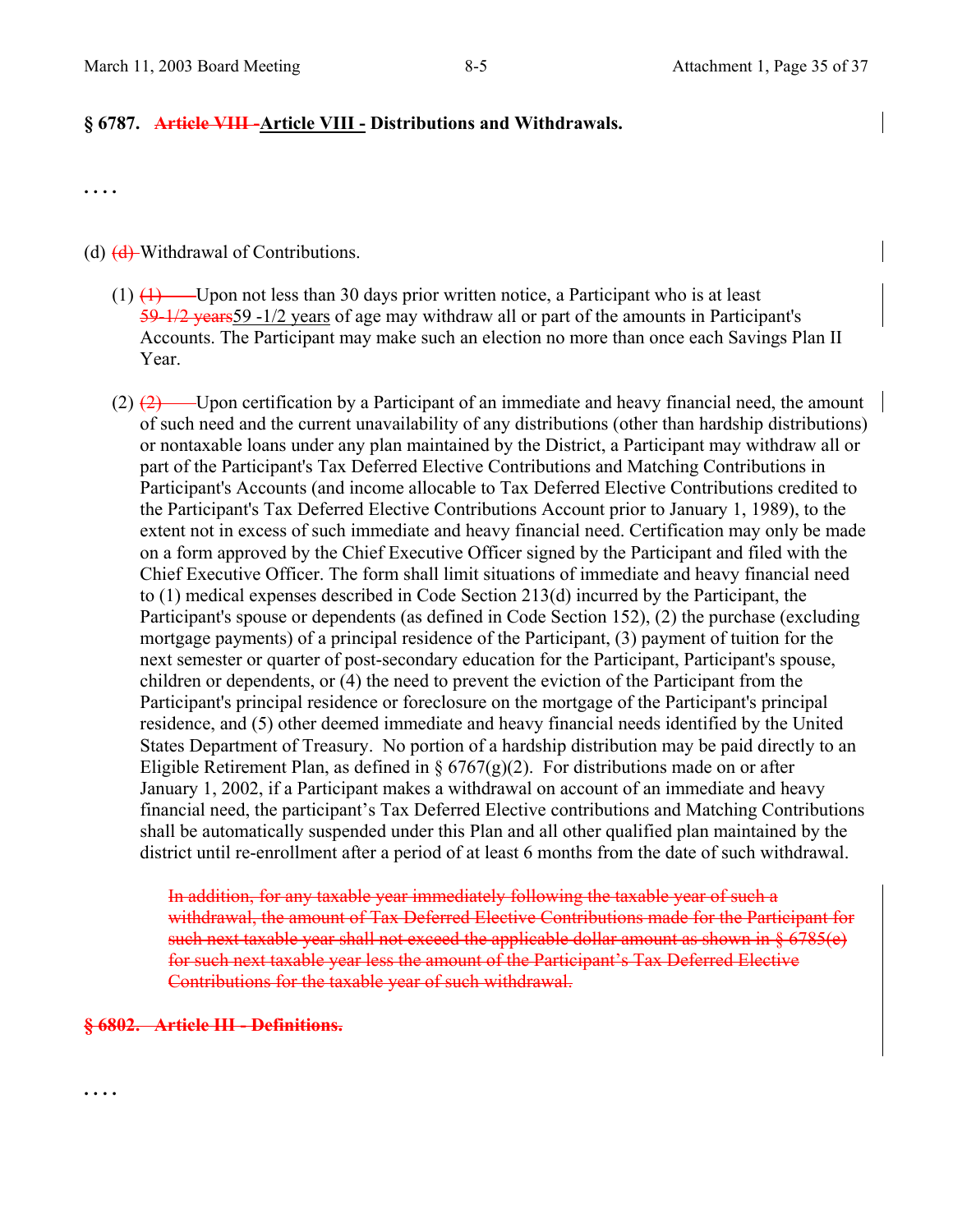#### **§ 6787. Article VIII -Article VIII - Distributions and Withdrawals.**

**. . . .** 

(d)  $\left( \frac{d}{dx} \right)$  Withdrawal of Contributions.

- $(1)$   $(1)$  Upon not less than 30 days prior written notice, a Participant who is at least 59-1/2 years59 -1/2 years of age may withdraw all or part of the amounts in Participant's Accounts. The Participant may make such an election no more than once each Savings Plan II Year.
- $(2)$   $(2)$  Upon certification by a Participant of an immediate and heavy financial need, the amount of such need and the current unavailability of any distributions (other than hardship distributions) or nontaxable loans under any plan maintained by the District, a Participant may withdraw all or part of the Participant's Tax Deferred Elective Contributions and Matching Contributions in Participant's Accounts (and income allocable to Tax Deferred Elective Contributions credited to the Participant's Tax Deferred Elective Contributions Account prior to January 1, 1989), to the extent not in excess of such immediate and heavy financial need. Certification may only be made on a form approved by the Chief Executive Officer signed by the Participant and filed with the Chief Executive Officer. The form shall limit situations of immediate and heavy financial need to (1) medical expenses described in Code Section 213(d) incurred by the Participant, the Participant's spouse or dependents (as defined in Code Section 152), (2) the purchase (excluding mortgage payments) of a principal residence of the Participant, (3) payment of tuition for the next semester or quarter of post-secondary education for the Participant, Participant's spouse, children or dependents, or (4) the need to prevent the eviction of the Participant from the Participant's principal residence or foreclosure on the mortgage of the Participant's principal residence, and (5) other deemed immediate and heavy financial needs identified by the United States Department of Treasury. No portion of a hardship distribution may be paid directly to an Eligible Retirement Plan, as defined in  $\S 6767(g)(2)$ . For distributions made on or after January 1, 2002, if a Participant makes a withdrawal on account of an immediate and heavy financial need, the participant's Tax Deferred Elective contributions and Matching Contributions shall be automatically suspended under this Plan and all other qualified plan maintained by the district until re-enrollment after a period of at least 6 months from the date of such withdrawal.

In addition, for any taxable year immediately following the taxable year of such a withdrawal, the amount of Tax Deferred Elective Contributions made for the Participant for such next taxable year shall not exceed the applicable dollar amount as shown in § 6785(e) for such next taxable year less the amount of the Participant's Tax Deferred Elective Contributions for the taxable year of such withdrawal.

#### **§ 6802. Article III - Definitions.**

**. . . .**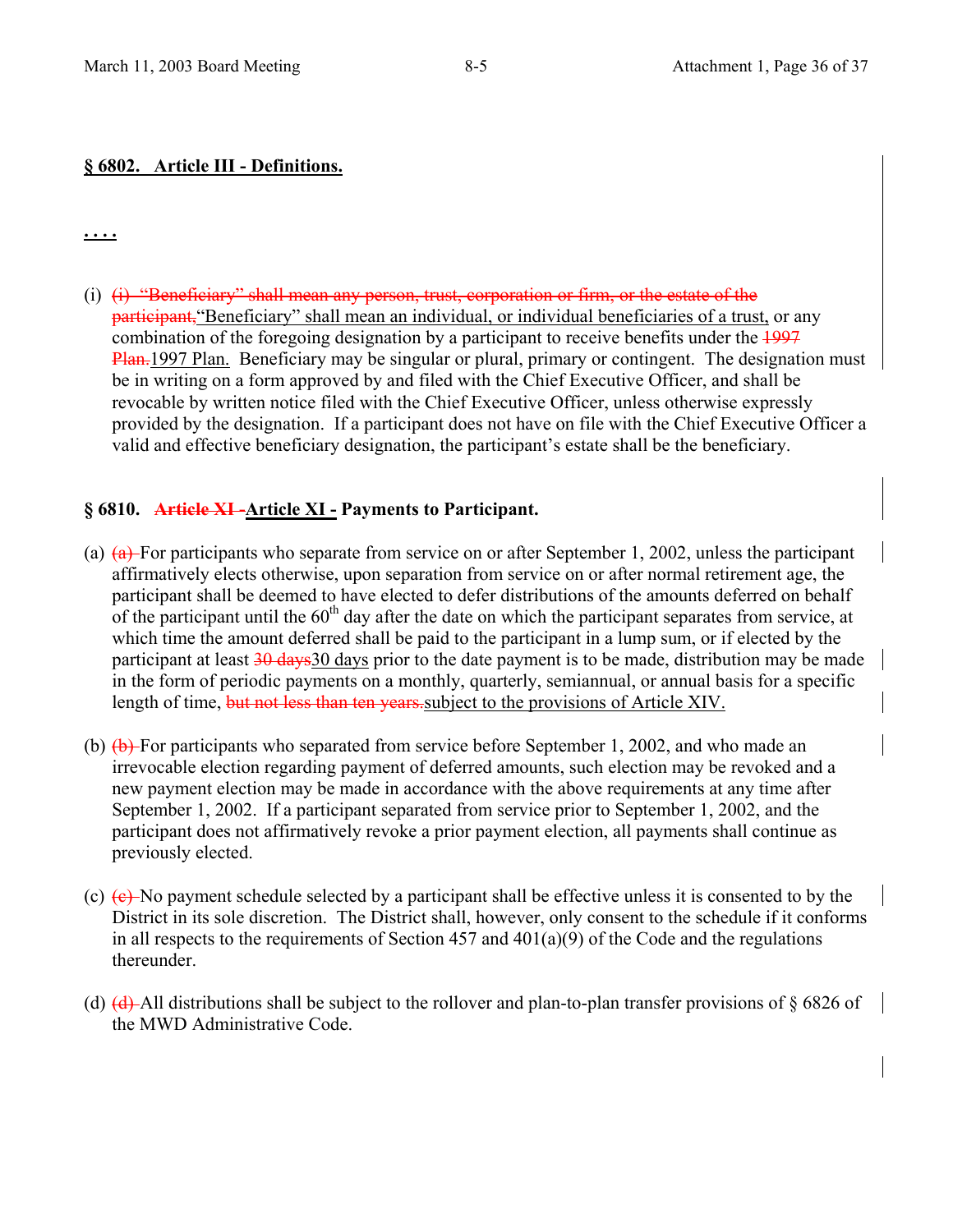#### **§ 6802. Article III - Definitions.**

**. . . .**

(i)  $(i)$  "Beneficiary" shall mean any person, trust, corporation or firm, or the estate of the **participant**, "Beneficiary" shall mean an individual, or individual beneficiaries of a trust, or any combination of the foregoing designation by a participant to receive benefits under the 1997 Plan. 1997 Plan. Beneficiary may be singular or plural, primary or contingent. The designation must be in writing on a form approved by and filed with the Chief Executive Officer, and shall be revocable by written notice filed with the Chief Executive Officer, unless otherwise expressly provided by the designation. If a participant does not have on file with the Chief Executive Officer a valid and effective beneficiary designation, the participant's estate shall be the beneficiary.

#### **§ 6810. Article XI -Article XI - Payments to Participant.**

- (a)  $(a)$  For participants who separate from service on or after September 1, 2002, unless the participant affirmatively elects otherwise, upon separation from service on or after normal retirement age, the participant shall be deemed to have elected to defer distributions of the amounts deferred on behalf of the participant until the  $60<sup>th</sup>$  day after the date on which the participant separates from service, at which time the amount deferred shall be paid to the participant in a lump sum, or if elected by the participant at least 30 days 30 days prior to the date payment is to be made, distribution may be made in the form of periodic payments on a monthly, quarterly, semiannual, or annual basis for a specific length of time, but not less than ten years subject to the provisions of Article XIV.
- (b)  $(b)$  For participants who separated from service before September 1, 2002, and who made an irrevocable election regarding payment of deferred amounts, such election may be revoked and a new payment election may be made in accordance with the above requirements at any time after September 1, 2002. If a participant separated from service prior to September 1, 2002, and the participant does not affirmatively revoke a prior payment election, all payments shall continue as previously elected.
- (c)  $(e)$  No payment schedule selected by a participant shall be effective unless it is consented to by the District in its sole discretion. The District shall, however, only consent to the schedule if it conforms in all respects to the requirements of Section 457 and 401(a)(9) of the Code and the regulations thereunder.
- (d)  $(d)$ -All distributions shall be subject to the rollover and plan-to-plan transfer provisions of  $\S 6826$  of the MWD Administrative Code.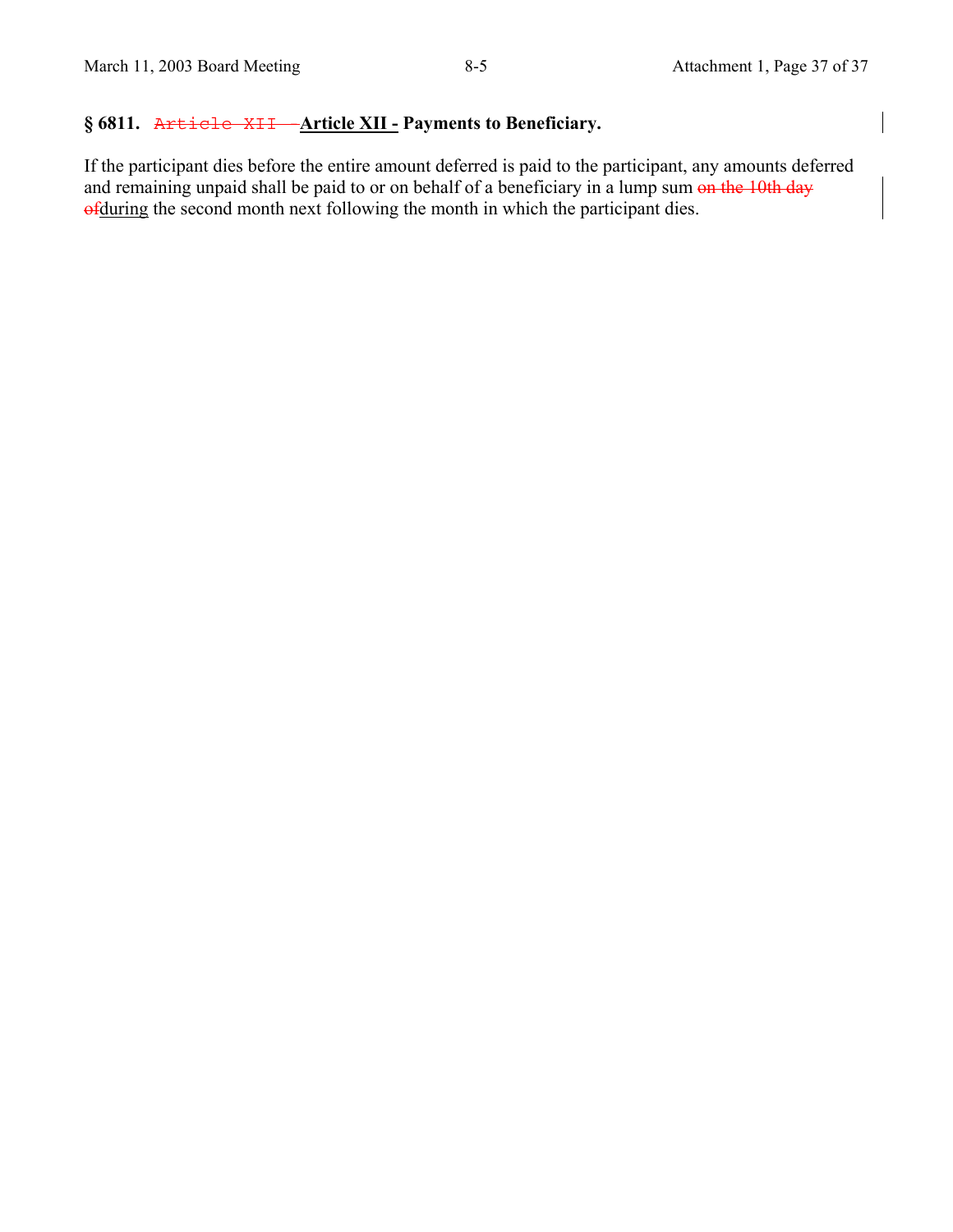# **§ 6811.** Article XII -**Article XII - Payments to Beneficiary.**

If the participant dies before the entire amount deferred is paid to the participant, any amounts deferred and remaining unpaid shall be paid to or on behalf of a beneficiary in a lump sum on the 10th day of during the second month next following the month in which the participant dies.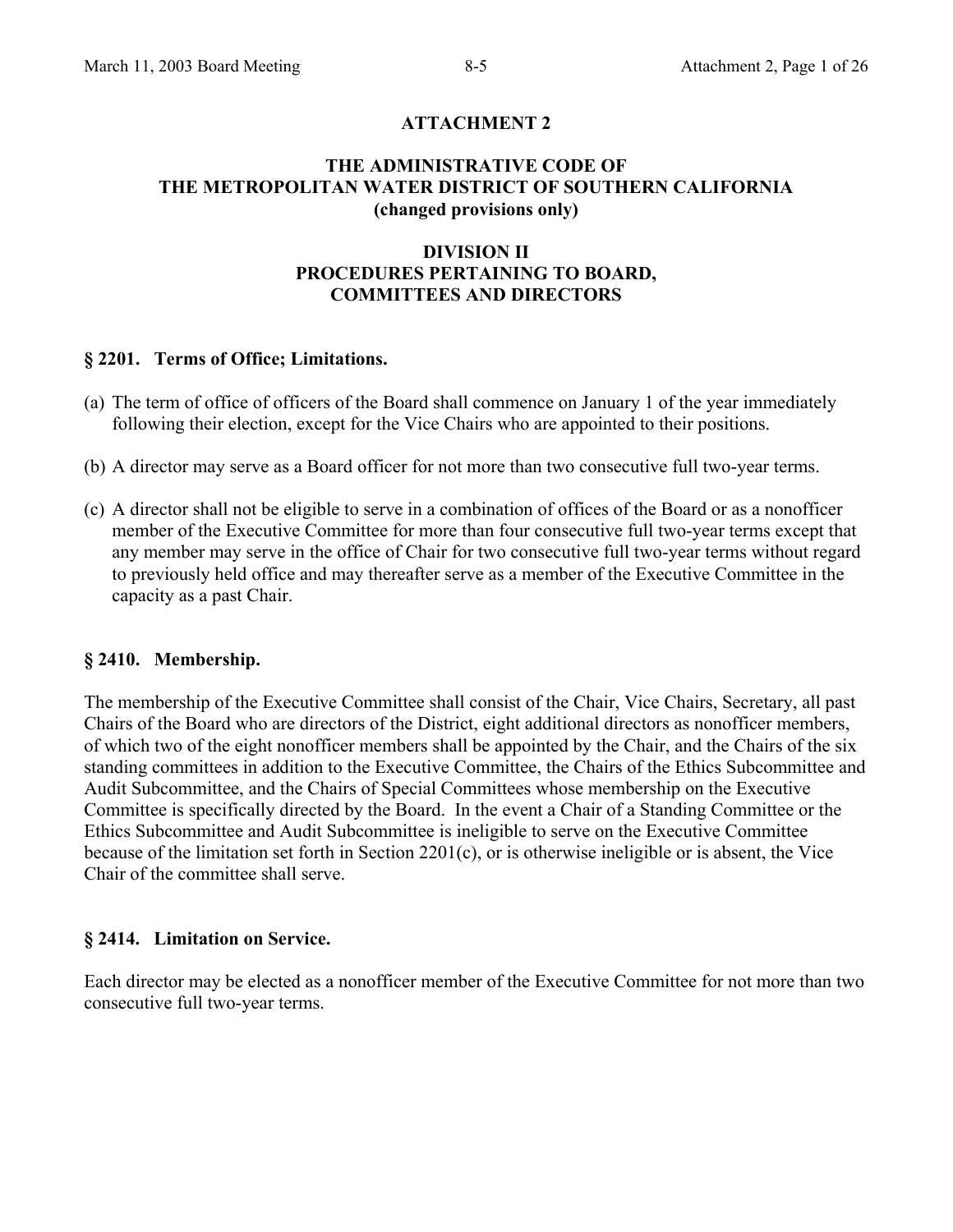## **ATTACHMENT 2**

#### **THE ADMINISTRATIVE CODE OF THE METROPOLITAN WATER DISTRICT OF SOUTHERN CALIFORNIA (changed provisions only)**

## **DIVISION II PROCEDURES PERTAINING TO BOARD, COMMITTEES AND DIRECTORS**

#### **§ 2201. Terms of Office; Limitations.**

- (a) The term of office of officers of the Board shall commence on January 1 of the year immediately following their election, except for the Vice Chairs who are appointed to their positions.
- (b) A director may serve as a Board officer for not more than two consecutive full two-year terms.
- (c) A director shall not be eligible to serve in a combination of offices of the Board or as a nonofficer member of the Executive Committee for more than four consecutive full two-year terms except that any member may serve in the office of Chair for two consecutive full two-year terms without regard to previously held office and may thereafter serve as a member of the Executive Committee in the capacity as a past Chair.

#### **§ 2410. Membership.**

The membership of the Executive Committee shall consist of the Chair, Vice Chairs, Secretary, all past Chairs of the Board who are directors of the District, eight additional directors as nonofficer members, of which two of the eight nonofficer members shall be appointed by the Chair, and the Chairs of the six standing committees in addition to the Executive Committee, the Chairs of the Ethics Subcommittee and Audit Subcommittee, and the Chairs of Special Committees whose membership on the Executive Committee is specifically directed by the Board. In the event a Chair of a Standing Committee or the Ethics Subcommittee and Audit Subcommittee is ineligible to serve on the Executive Committee because of the limitation set forth in Section 2201(c), or is otherwise ineligible or is absent, the Vice Chair of the committee shall serve.

#### **§ 2414. Limitation on Service.**

Each director may be elected as a nonofficer member of the Executive Committee for not more than two consecutive full two-year terms.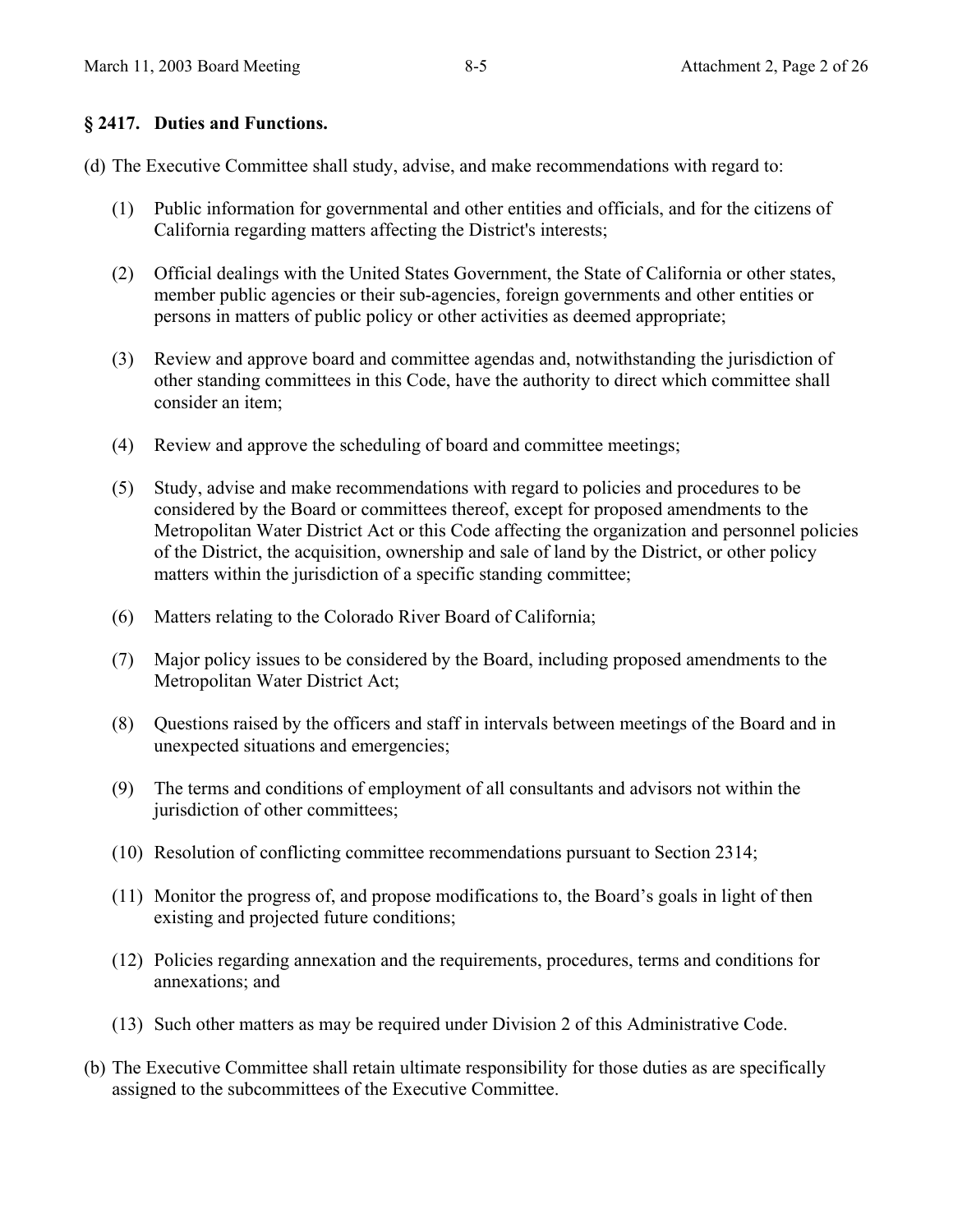## **§ 2417. Duties and Functions.**

(d) The Executive Committee shall study, advise, and make recommendations with regard to:

- (1) Public information for governmental and other entities and officials, and for the citizens of California regarding matters affecting the District's interests;
- (2) Official dealings with the United States Government, the State of California or other states, member public agencies or their sub-agencies, foreign governments and other entities or persons in matters of public policy or other activities as deemed appropriate;
- (3) Review and approve board and committee agendas and, notwithstanding the jurisdiction of other standing committees in this Code, have the authority to direct which committee shall consider an item;
- (4) Review and approve the scheduling of board and committee meetings;
- (5) Study, advise and make recommendations with regard to policies and procedures to be considered by the Board or committees thereof, except for proposed amendments to the Metropolitan Water District Act or this Code affecting the organization and personnel policies of the District, the acquisition, ownership and sale of land by the District, or other policy matters within the jurisdiction of a specific standing committee;
- (6) Matters relating to the Colorado River Board of California;
- (7) Major policy issues to be considered by the Board, including proposed amendments to the Metropolitan Water District Act;
- (8) Questions raised by the officers and staff in intervals between meetings of the Board and in unexpected situations and emergencies;
- (9) The terms and conditions of employment of all consultants and advisors not within the jurisdiction of other committees;
- (10) Resolution of conflicting committee recommendations pursuant to Section 2314;
- (11) Monitor the progress of, and propose modifications to, the Board's goals in light of then existing and projected future conditions;
- (12) Policies regarding annexation and the requirements, procedures, terms and conditions for annexations; and
- (13) Such other matters as may be required under Division 2 of this Administrative Code.
- (b) The Executive Committee shall retain ultimate responsibility for those duties as are specifically assigned to the subcommittees of the Executive Committee.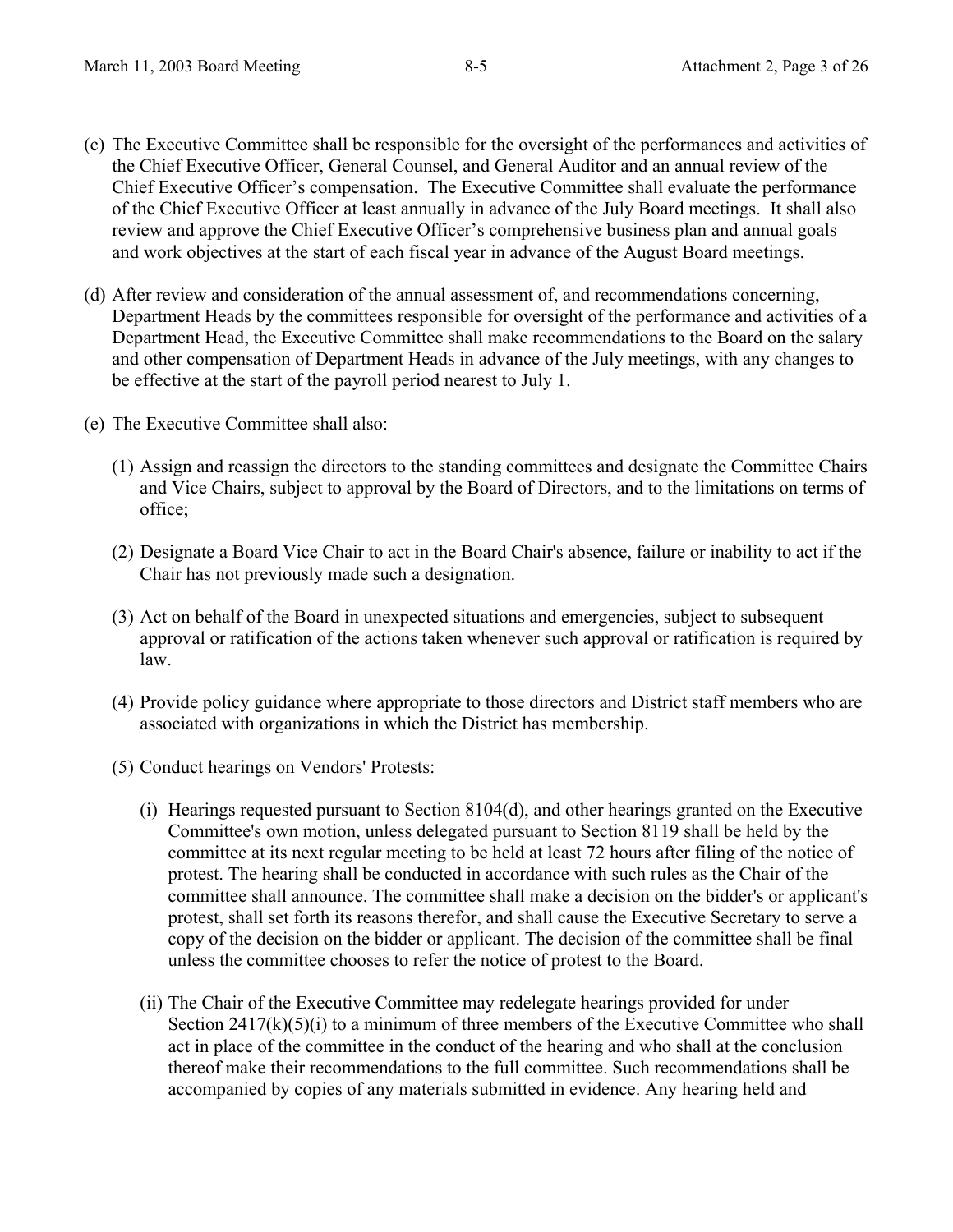- (c) The Executive Committee shall be responsible for the oversight of the performances and activities of the Chief Executive Officer, General Counsel, and General Auditor and an annual review of the Chief Executive Officer's compensation. The Executive Committee shall evaluate the performance of the Chief Executive Officer at least annually in advance of the July Board meetings. It shall also review and approve the Chief Executive Officer's comprehensive business plan and annual goals and work objectives at the start of each fiscal year in advance of the August Board meetings.
- (d) After review and consideration of the annual assessment of, and recommendations concerning, Department Heads by the committees responsible for oversight of the performance and activities of a Department Head, the Executive Committee shall make recommendations to the Board on the salary and other compensation of Department Heads in advance of the July meetings, with any changes to be effective at the start of the payroll period nearest to July 1.
- (e) The Executive Committee shall also:
	- (1) Assign and reassign the directors to the standing committees and designate the Committee Chairs and Vice Chairs, subject to approval by the Board of Directors, and to the limitations on terms of office;
	- (2) Designate a Board Vice Chair to act in the Board Chair's absence, failure or inability to act if the Chair has not previously made such a designation.
	- (3) Act on behalf of the Board in unexpected situations and emergencies, subject to subsequent approval or ratification of the actions taken whenever such approval or ratification is required by law.
	- (4) Provide policy guidance where appropriate to those directors and District staff members who are associated with organizations in which the District has membership.
	- (5) Conduct hearings on Vendors' Protests:
		- (i) Hearings requested pursuant to Section 8104(d), and other hearings granted on the Executive Committee's own motion, unless delegated pursuant to Section 8119 shall be held by the committee at its next regular meeting to be held at least 72 hours after filing of the notice of protest. The hearing shall be conducted in accordance with such rules as the Chair of the committee shall announce. The committee shall make a decision on the bidder's or applicant's protest, shall set forth its reasons therefor, and shall cause the Executive Secretary to serve a copy of the decision on the bidder or applicant. The decision of the committee shall be final unless the committee chooses to refer the notice of protest to the Board.
		- (ii) The Chair of the Executive Committee may redelegate hearings provided for under Section  $2417(k)(5)(i)$  to a minimum of three members of the Executive Committee who shall act in place of the committee in the conduct of the hearing and who shall at the conclusion thereof make their recommendations to the full committee. Such recommendations shall be accompanied by copies of any materials submitted in evidence. Any hearing held and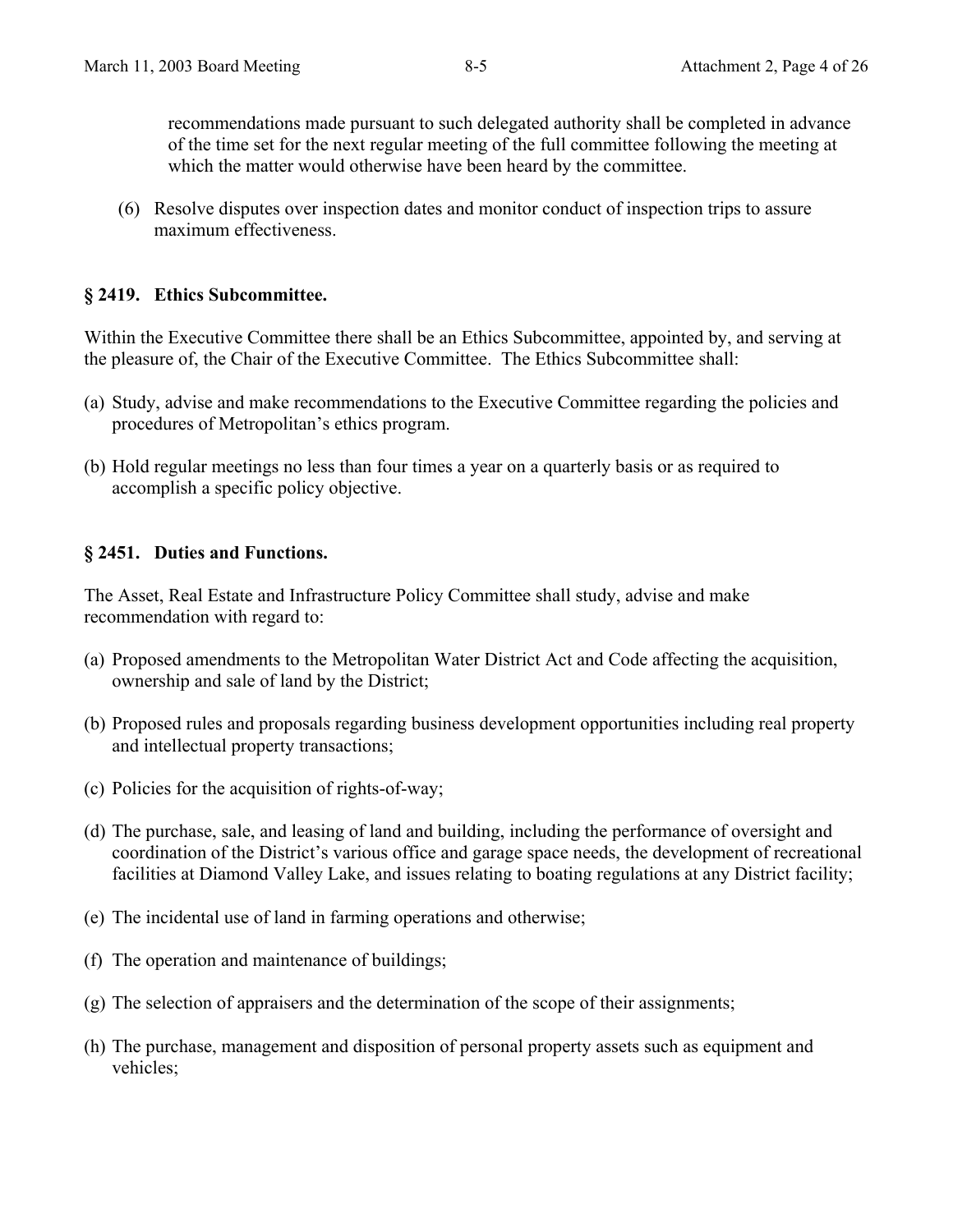recommendations made pursuant to such delegated authority shall be completed in advance of the time set for the next regular meeting of the full committee following the meeting at which the matter would otherwise have been heard by the committee.

(6) Resolve disputes over inspection dates and monitor conduct of inspection trips to assure maximum effectiveness.

#### **§ 2419. Ethics Subcommittee.**

Within the Executive Committee there shall be an Ethics Subcommittee, appointed by, and serving at the pleasure of, the Chair of the Executive Committee. The Ethics Subcommittee shall:

- (a) Study, advise and make recommendations to the Executive Committee regarding the policies and procedures of Metropolitan's ethics program.
- (b) Hold regular meetings no less than four times a year on a quarterly basis or as required to accomplish a specific policy objective.

#### **§ 2451. Duties and Functions.**

The Asset, Real Estate and Infrastructure Policy Committee shall study, advise and make recommendation with regard to:

- (a) Proposed amendments to the Metropolitan Water District Act and Code affecting the acquisition, ownership and sale of land by the District;
- (b) Proposed rules and proposals regarding business development opportunities including real property and intellectual property transactions;
- (c) Policies for the acquisition of rights-of-way;
- (d) The purchase, sale, and leasing of land and building, including the performance of oversight and coordination of the District's various office and garage space needs, the development of recreational facilities at Diamond Valley Lake, and issues relating to boating regulations at any District facility;
- (e) The incidental use of land in farming operations and otherwise;
- (f) The operation and maintenance of buildings;
- (g) The selection of appraisers and the determination of the scope of their assignments;
- (h) The purchase, management and disposition of personal property assets such as equipment and vehicles;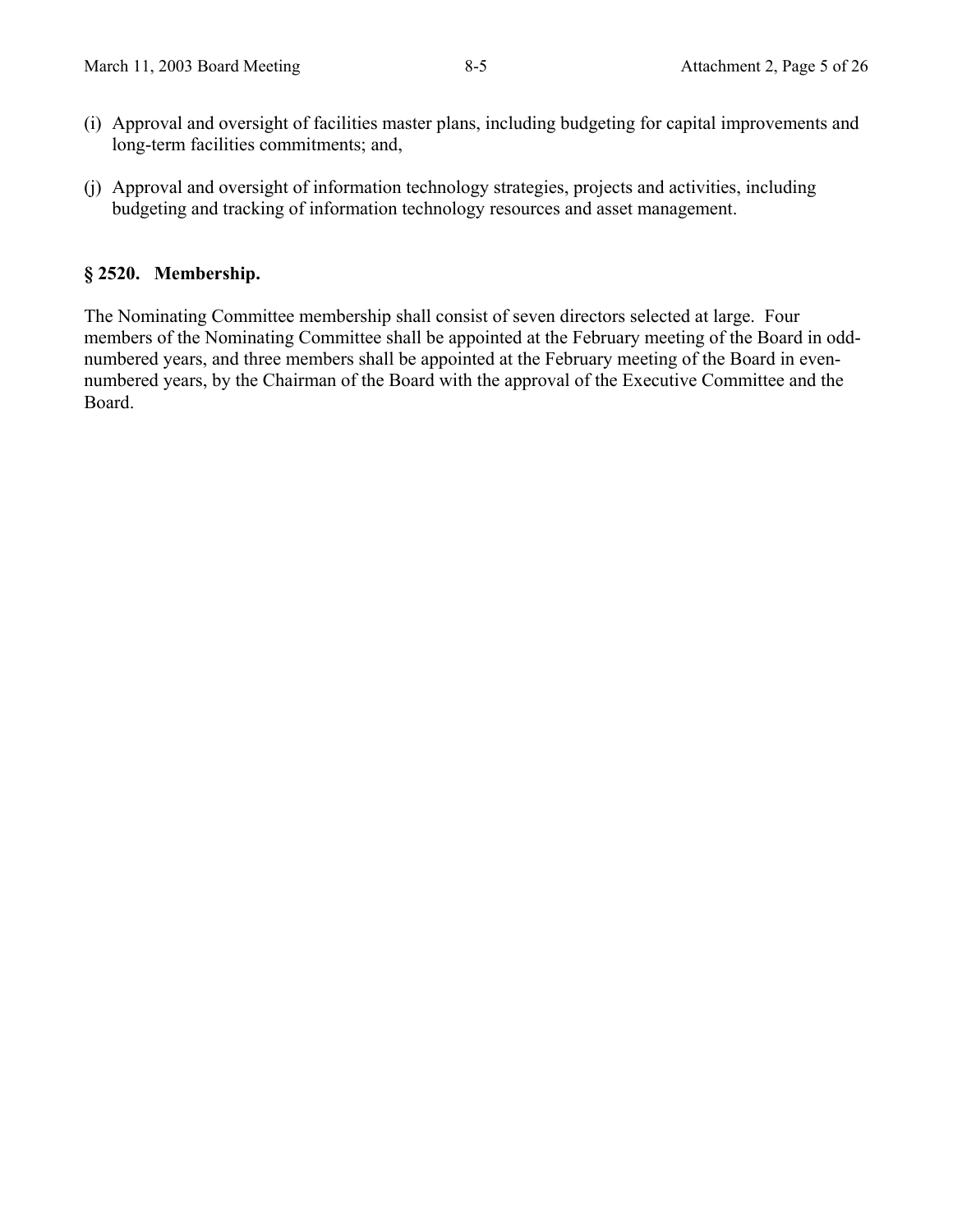- (i) Approval and oversight of facilities master plans, including budgeting for capital improvements and long-term facilities commitments; and,
- (j) Approval and oversight of information technology strategies, projects and activities, including budgeting and tracking of information technology resources and asset management.

## **§ 2520. Membership.**

The Nominating Committee membership shall consist of seven directors selected at large. Four members of the Nominating Committee shall be appointed at the February meeting of the Board in oddnumbered years, and three members shall be appointed at the February meeting of the Board in evennumbered years, by the Chairman of the Board with the approval of the Executive Committee and the Board.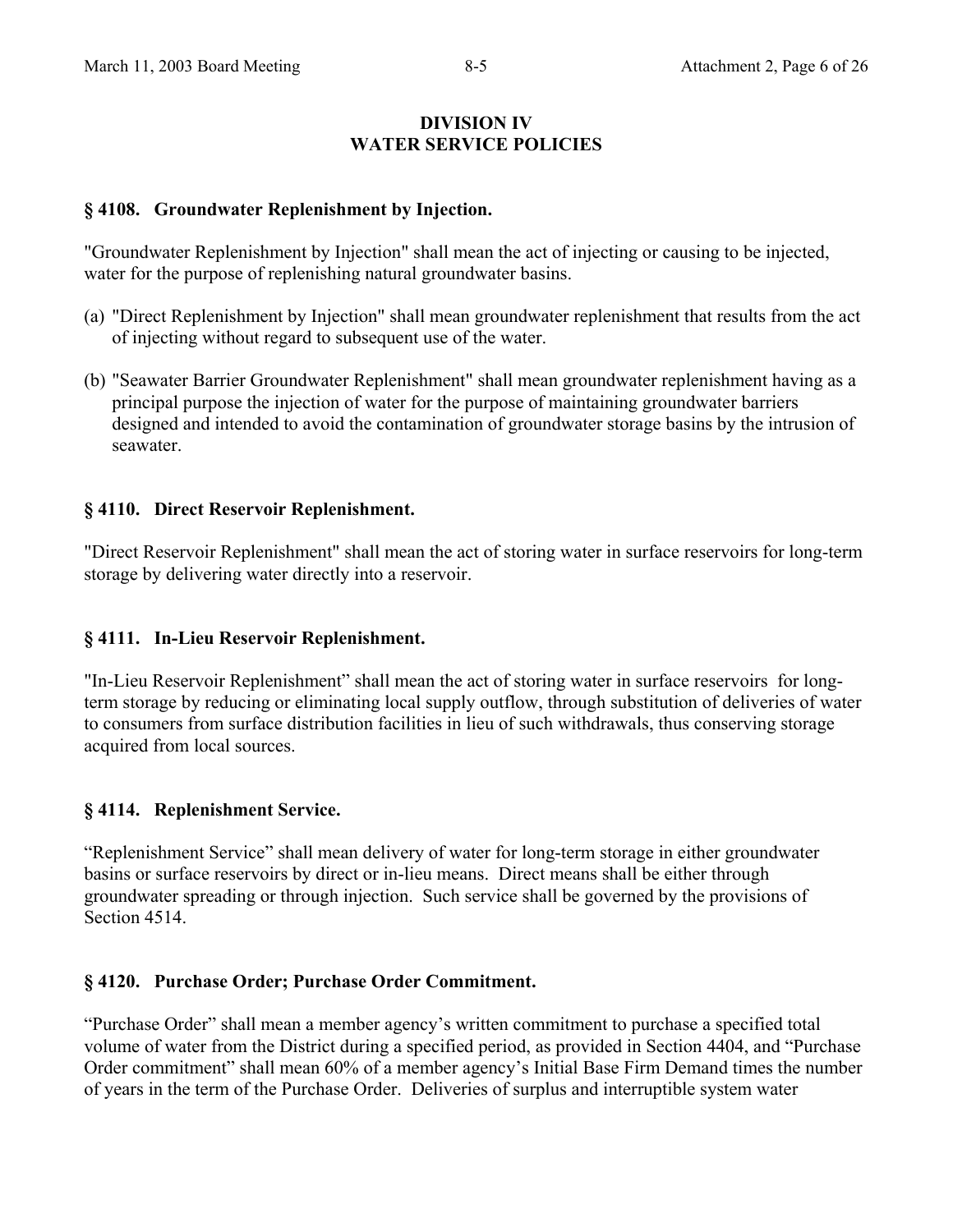#### **DIVISION IV WATER SERVICE POLICIES**

## **§ 4108. Groundwater Replenishment by Injection.**

"Groundwater Replenishment by Injection" shall mean the act of injecting or causing to be injected, water for the purpose of replenishing natural groundwater basins.

- (a) "Direct Replenishment by Injection" shall mean groundwater replenishment that results from the act of injecting without regard to subsequent use of the water.
- (b) "Seawater Barrier Groundwater Replenishment" shall mean groundwater replenishment having as a principal purpose the injection of water for the purpose of maintaining groundwater barriers designed and intended to avoid the contamination of groundwater storage basins by the intrusion of seawater.

## **§ 4110. Direct Reservoir Replenishment.**

"Direct Reservoir Replenishment" shall mean the act of storing water in surface reservoirs for long-term storage by delivering water directly into a reservoir.

## **§ 4111. In-Lieu Reservoir Replenishment.**

"In-Lieu Reservoir Replenishment" shall mean the act of storing water in surface reservoirs for longterm storage by reducing or eliminating local supply outflow, through substitution of deliveries of water to consumers from surface distribution facilities in lieu of such withdrawals, thus conserving storage acquired from local sources.

## **§ 4114. Replenishment Service.**

"Replenishment Service" shall mean delivery of water for long-term storage in either groundwater basins or surface reservoirs by direct or in-lieu means. Direct means shall be either through groundwater spreading or through injection. Such service shall be governed by the provisions of Section 4514.

#### **§ 4120. Purchase Order; Purchase Order Commitment.**

"Purchase Order" shall mean a member agency's written commitment to purchase a specified total volume of water from the District during a specified period, as provided in Section 4404, and "Purchase Order commitment" shall mean 60% of a member agency's Initial Base Firm Demand times the number of years in the term of the Purchase Order. Deliveries of surplus and interruptible system water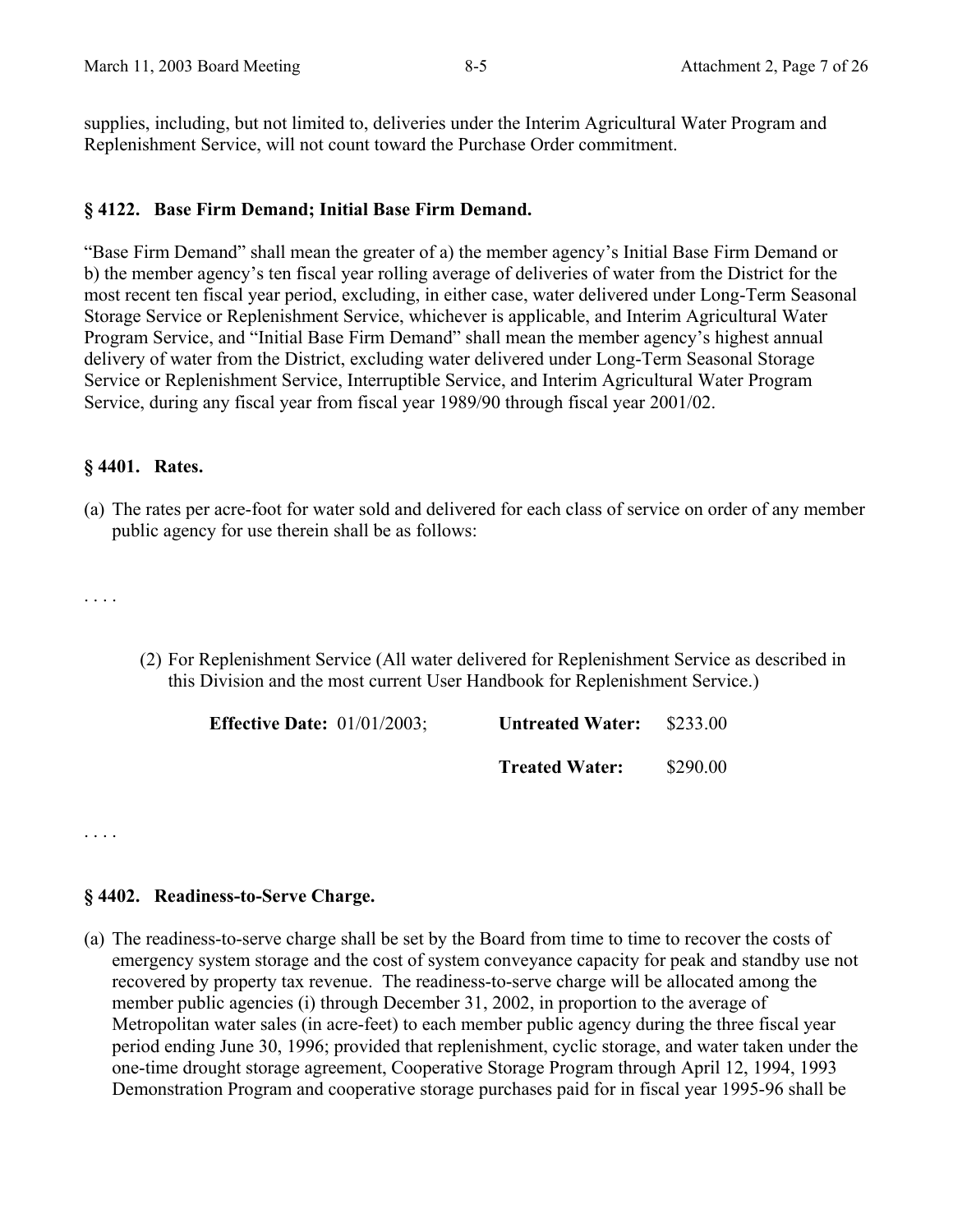supplies, including, but not limited to, deliveries under the Interim Agricultural Water Program and Replenishment Service, will not count toward the Purchase Order commitment.

## **§ 4122. Base Firm Demand; Initial Base Firm Demand.**

"Base Firm Demand" shall mean the greater of a) the member agency's Initial Base Firm Demand or b) the member agency's ten fiscal year rolling average of deliveries of water from the District for the most recent ten fiscal year period, excluding, in either case, water delivered under Long-Term Seasonal Storage Service or Replenishment Service, whichever is applicable, and Interim Agricultural Water Program Service, and "Initial Base Firm Demand" shall mean the member agency's highest annual delivery of water from the District, excluding water delivered under Long-Term Seasonal Storage Service or Replenishment Service, Interruptible Service, and Interim Agricultural Water Program Service, during any fiscal year from fiscal year 1989/90 through fiscal year 2001/02.

## **§ 4401. Rates.**

(a) The rates per acre-foot for water sold and delivered for each class of service on order of any member public agency for use therein shall be as follows:

. . . .

(2) For Replenishment Service (All water delivered for Replenishment Service as described in this Division and the most current User Handbook for Replenishment Service.)

| <b>Effective Date:</b> $01/01/2003$ ; | <b>Untreated Water:</b> | \$233.00 |
|---------------------------------------|-------------------------|----------|
|                                       | <b>Treated Water:</b>   | \$290.00 |

. . . .

#### **§ 4402. Readiness-to-Serve Charge.**

(a) The readiness-to-serve charge shall be set by the Board from time to time to recover the costs of emergency system storage and the cost of system conveyance capacity for peak and standby use not recovered by property tax revenue. The readiness-to-serve charge will be allocated among the member public agencies (i) through December 31, 2002, in proportion to the average of Metropolitan water sales (in acre-feet) to each member public agency during the three fiscal year period ending June 30, 1996; provided that replenishment, cyclic storage, and water taken under the one-time drought storage agreement, Cooperative Storage Program through April 12, 1994, 1993 Demonstration Program and cooperative storage purchases paid for in fiscal year 1995-96 shall be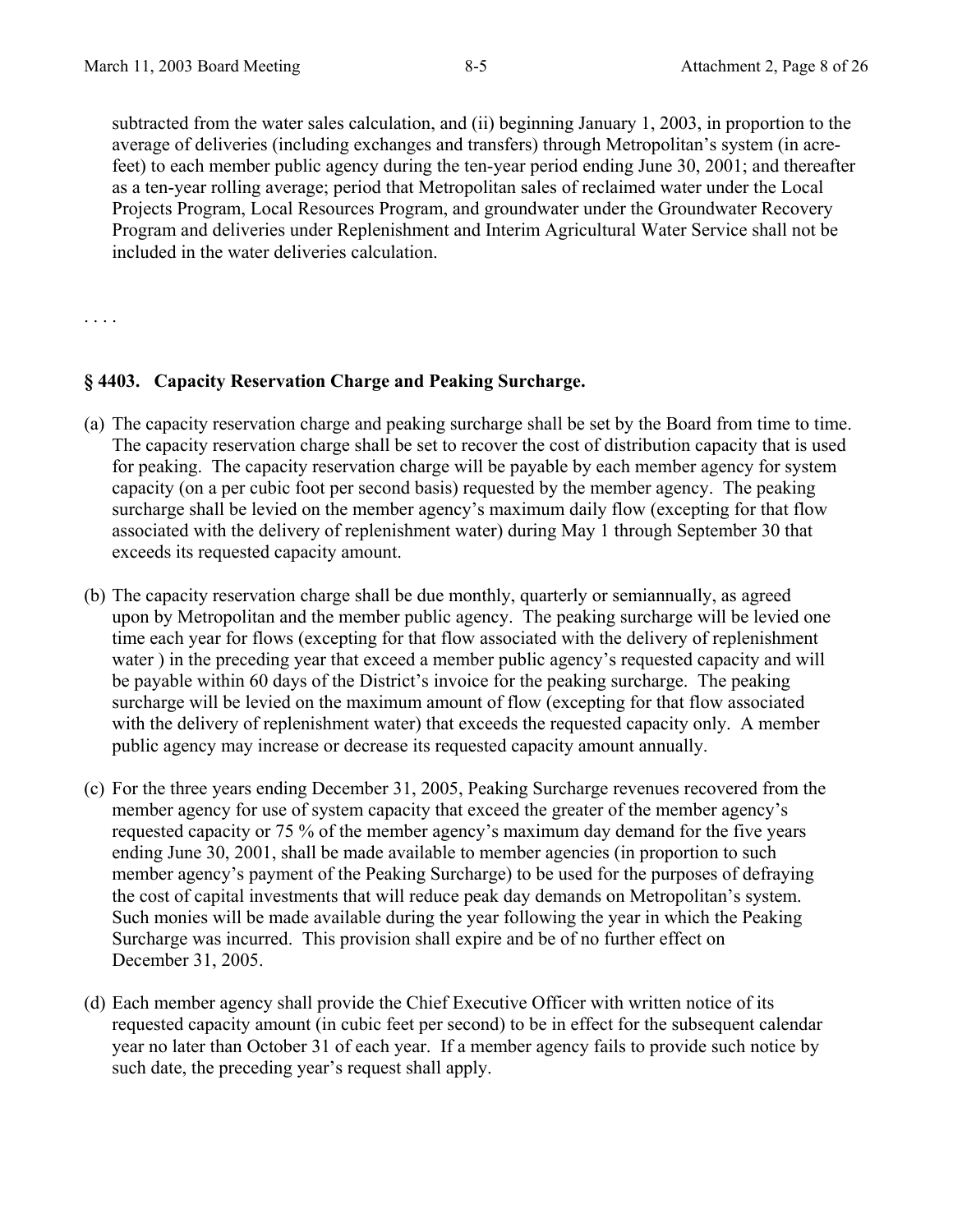subtracted from the water sales calculation, and (ii) beginning January 1, 2003, in proportion to the average of deliveries (including exchanges and transfers) through Metropolitan's system (in acrefeet) to each member public agency during the ten-year period ending June 30, 2001; and thereafter as a ten-year rolling average; period that Metropolitan sales of reclaimed water under the Local Projects Program, Local Resources Program, and groundwater under the Groundwater Recovery Program and deliveries under Replenishment and Interim Agricultural Water Service shall not be included in the water deliveries calculation.

. . . .

#### **§ 4403. Capacity Reservation Charge and Peaking Surcharge.**

- (a) The capacity reservation charge and peaking surcharge shall be set by the Board from time to time. The capacity reservation charge shall be set to recover the cost of distribution capacity that is used for peaking. The capacity reservation charge will be payable by each member agency for system capacity (on a per cubic foot per second basis) requested by the member agency. The peaking surcharge shall be levied on the member agency's maximum daily flow (excepting for that flow associated with the delivery of replenishment water) during May 1 through September 30 that exceeds its requested capacity amount.
- (b) The capacity reservation charge shall be due monthly, quarterly or semiannually, as agreed upon by Metropolitan and the member public agency. The peaking surcharge will be levied one time each year for flows (excepting for that flow associated with the delivery of replenishment water ) in the preceding year that exceed a member public agency's requested capacity and will be payable within 60 days of the District's invoice for the peaking surcharge. The peaking surcharge will be levied on the maximum amount of flow (excepting for that flow associated with the delivery of replenishment water) that exceeds the requested capacity only. A member public agency may increase or decrease its requested capacity amount annually.
- (c) For the three years ending December 31, 2005, Peaking Surcharge revenues recovered from the member agency for use of system capacity that exceed the greater of the member agency's requested capacity or 75 % of the member agency's maximum day demand for the five years ending June 30, 2001, shall be made available to member agencies (in proportion to such member agency's payment of the Peaking Surcharge) to be used for the purposes of defraying the cost of capital investments that will reduce peak day demands on Metropolitan's system. Such monies will be made available during the year following the year in which the Peaking Surcharge was incurred. This provision shall expire and be of no further effect on December 31, 2005.
- (d) Each member agency shall provide the Chief Executive Officer with written notice of its requested capacity amount (in cubic feet per second) to be in effect for the subsequent calendar year no later than October 31 of each year. If a member agency fails to provide such notice by such date, the preceding year's request shall apply.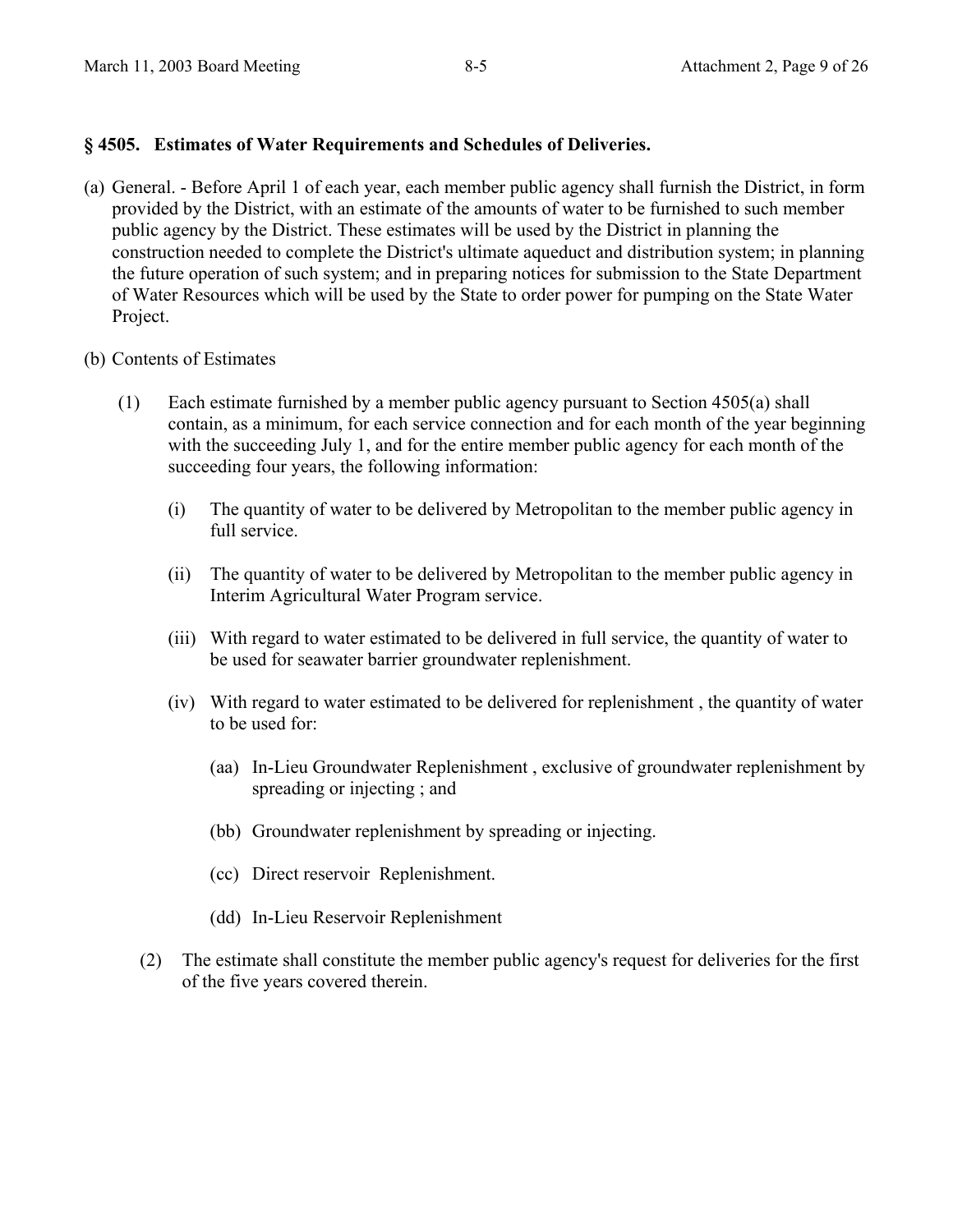## **§ 4505. Estimates of Water Requirements and Schedules of Deliveries.**

- (a) General. Before April 1 of each year, each member public agency shall furnish the District, in form provided by the District, with an estimate of the amounts of water to be furnished to such member public agency by the District. These estimates will be used by the District in planning the construction needed to complete the District's ultimate aqueduct and distribution system; in planning the future operation of such system; and in preparing notices for submission to the State Department of Water Resources which will be used by the State to order power for pumping on the State Water Project.
- (b) Contents of Estimates
	- (1) Each estimate furnished by a member public agency pursuant to Section 4505(a) shall contain, as a minimum, for each service connection and for each month of the year beginning with the succeeding July 1, and for the entire member public agency for each month of the succeeding four years, the following information:
		- (i) The quantity of water to be delivered by Metropolitan to the member public agency in full service.
		- (ii) The quantity of water to be delivered by Metropolitan to the member public agency in Interim Agricultural Water Program service.
		- (iii) With regard to water estimated to be delivered in full service, the quantity of water to be used for seawater barrier groundwater replenishment.
		- (iv) With regard to water estimated to be delivered for replenishment , the quantity of water to be used for:
			- (aa) In-Lieu Groundwater Replenishment , exclusive of groundwater replenishment by spreading or injecting ; and
			- (bb) Groundwater replenishment by spreading or injecting.
			- (cc) Direct reservoir Replenishment.
			- (dd) In-Lieu Reservoir Replenishment
		- (2) The estimate shall constitute the member public agency's request for deliveries for the first of the five years covered therein.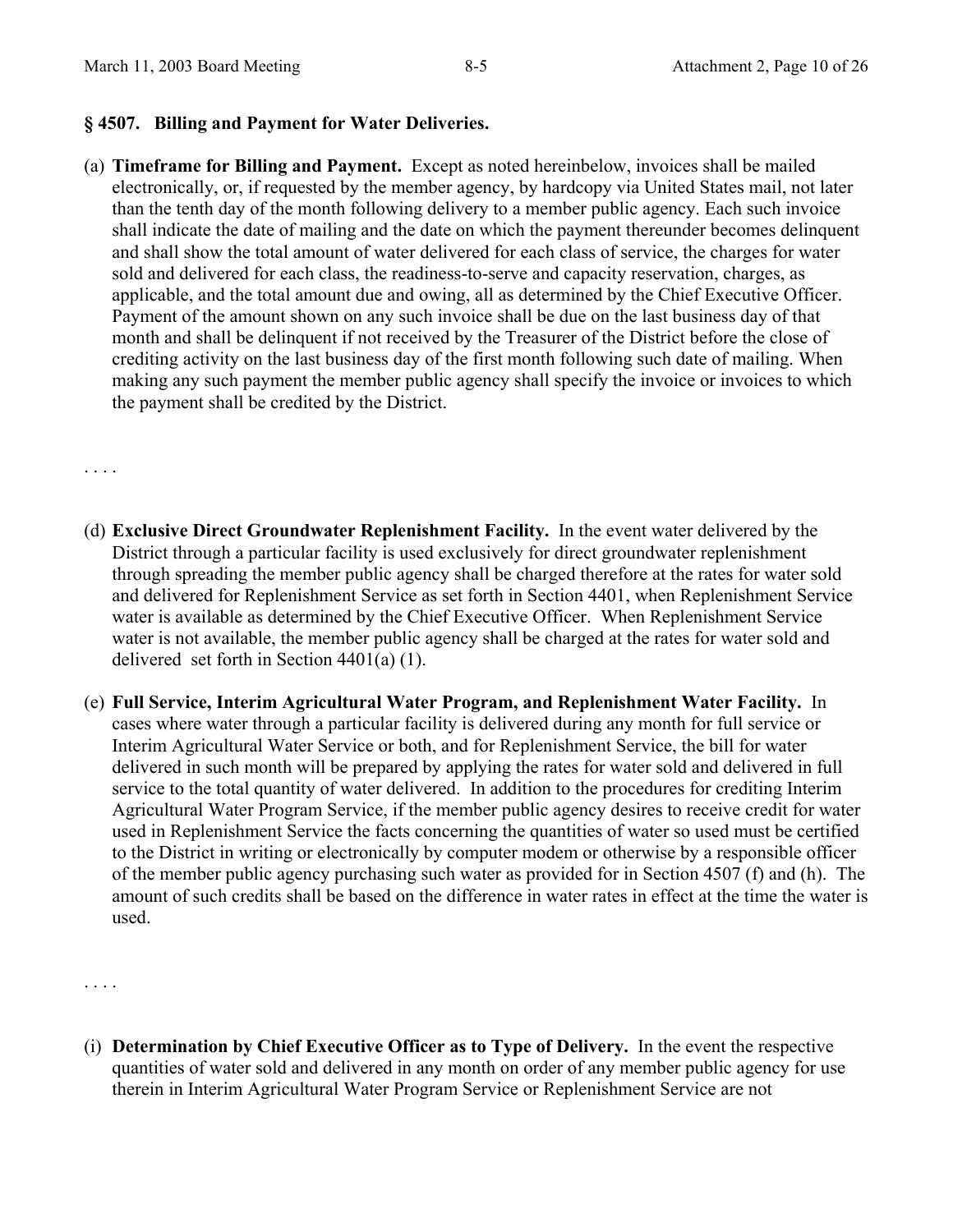#### **§ 4507. Billing and Payment for Water Deliveries.**

(a) **Timeframe for Billing and Payment.** Except as noted hereinbelow, invoices shall be mailed electronically, or, if requested by the member agency, by hardcopy via United States mail, not later than the tenth day of the month following delivery to a member public agency. Each such invoice shall indicate the date of mailing and the date on which the payment thereunder becomes delinquent and shall show the total amount of water delivered for each class of service, the charges for water sold and delivered for each class, the readiness-to-serve and capacity reservation, charges, as applicable, and the total amount due and owing, all as determined by the Chief Executive Officer. Payment of the amount shown on any such invoice shall be due on the last business day of that month and shall be delinquent if not received by the Treasurer of the District before the close of crediting activity on the last business day of the first month following such date of mailing. When making any such payment the member public agency shall specify the invoice or invoices to which the payment shall be credited by the District.

. . . .

- (d) **Exclusive Direct Groundwater Replenishment Facility.** In the event water delivered by the District through a particular facility is used exclusively for direct groundwater replenishment through spreading the member public agency shall be charged therefore at the rates for water sold and delivered for Replenishment Service as set forth in Section 4401, when Replenishment Service water is available as determined by the Chief Executive Officer. When Replenishment Service water is not available, the member public agency shall be charged at the rates for water sold and delivered set forth in Section 4401(a) (1).
- (e) **Full Service, Interim Agricultural Water Program, and Replenishment Water Facility.** In cases where water through a particular facility is delivered during any month for full service or Interim Agricultural Water Service or both, and for Replenishment Service, the bill for water delivered in such month will be prepared by applying the rates for water sold and delivered in full service to the total quantity of water delivered. In addition to the procedures for crediting Interim Agricultural Water Program Service, if the member public agency desires to receive credit for water used in Replenishment Service the facts concerning the quantities of water so used must be certified to the District in writing or electronically by computer modem or otherwise by a responsible officer of the member public agency purchasing such water as provided for in Section 4507 (f) and (h). The amount of such credits shall be based on the difference in water rates in effect at the time the water is used.

. . . .

(i) **Determination by Chief Executive Officer as to Type of Delivery.** In the event the respective quantities of water sold and delivered in any month on order of any member public agency for use therein in Interim Agricultural Water Program Service or Replenishment Service are not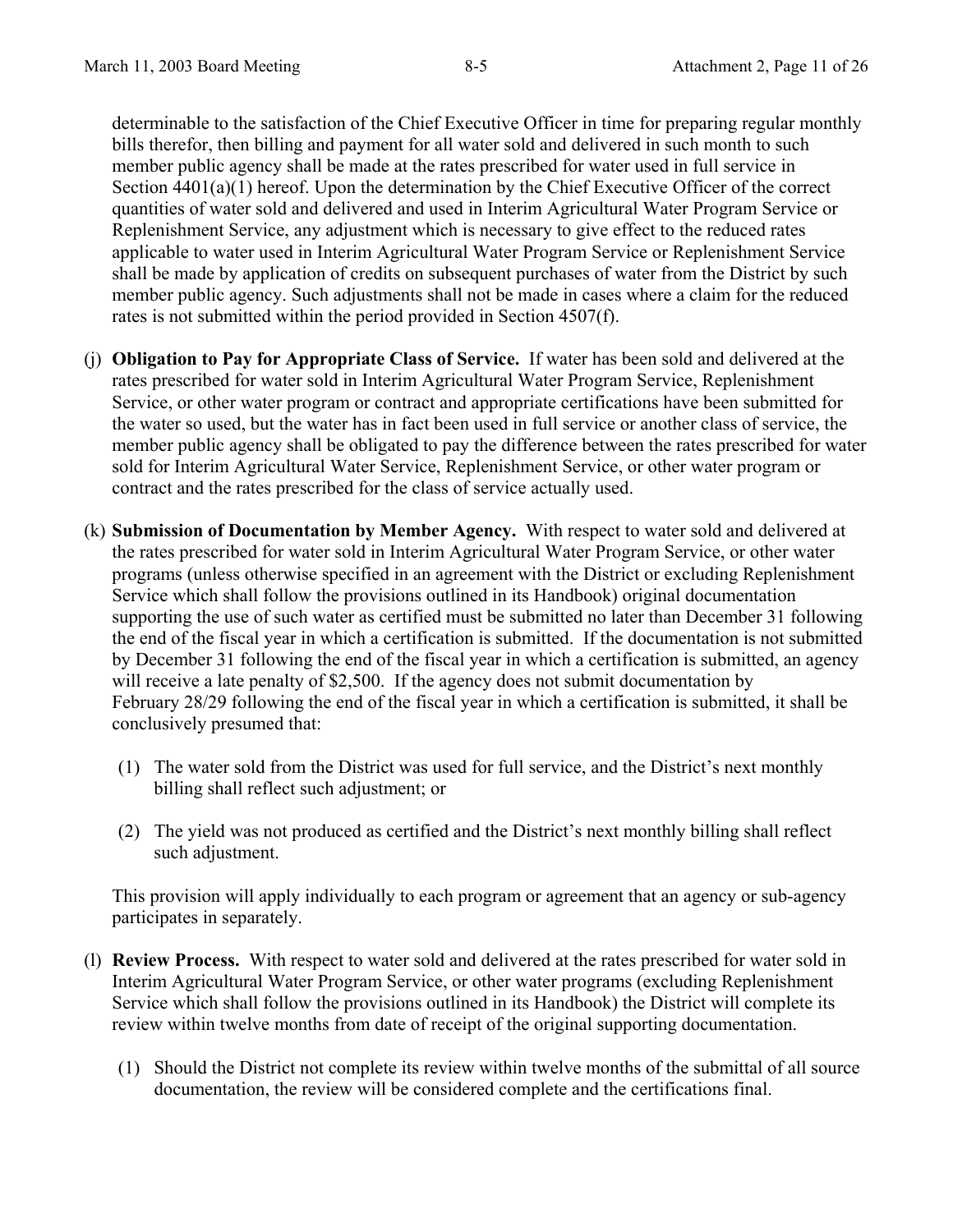determinable to the satisfaction of the Chief Executive Officer in time for preparing regular monthly bills therefor, then billing and payment for all water sold and delivered in such month to such member public agency shall be made at the rates prescribed for water used in full service in Section  $4401(a)(1)$  hereof. Upon the determination by the Chief Executive Officer of the correct quantities of water sold and delivered and used in Interim Agricultural Water Program Service or Replenishment Service, any adjustment which is necessary to give effect to the reduced rates applicable to water used in Interim Agricultural Water Program Service or Replenishment Service shall be made by application of credits on subsequent purchases of water from the District by such member public agency. Such adjustments shall not be made in cases where a claim for the reduced rates is not submitted within the period provided in Section 4507(f).

- (j) **Obligation to Pay for Appropriate Class of Service.** If water has been sold and delivered at the rates prescribed for water sold in Interim Agricultural Water Program Service, Replenishment Service, or other water program or contract and appropriate certifications have been submitted for the water so used, but the water has in fact been used in full service or another class of service, the member public agency shall be obligated to pay the difference between the rates prescribed for water sold for Interim Agricultural Water Service, Replenishment Service, or other water program or contract and the rates prescribed for the class of service actually used.
- (k) **Submission of Documentation by Member Agency.** With respect to water sold and delivered at the rates prescribed for water sold in Interim Agricultural Water Program Service, or other water programs (unless otherwise specified in an agreement with the District or excluding Replenishment Service which shall follow the provisions outlined in its Handbook) original documentation supporting the use of such water as certified must be submitted no later than December 31 following the end of the fiscal year in which a certification is submitted. If the documentation is not submitted by December 31 following the end of the fiscal year in which a certification is submitted, an agency will receive a late penalty of \$2,500. If the agency does not submit documentation by February 28/29 following the end of the fiscal year in which a certification is submitted, it shall be conclusively presumed that:
	- (1) The water sold from the District was used for full service, and the District's next monthly billing shall reflect such adjustment; or
	- (2) The yield was not produced as certified and the District's next monthly billing shall reflect such adjustment.

This provision will apply individually to each program or agreement that an agency or sub-agency participates in separately.

- (l) **Review Process.** With respect to water sold and delivered at the rates prescribed for water sold in Interim Agricultural Water Program Service, or other water programs (excluding Replenishment Service which shall follow the provisions outlined in its Handbook) the District will complete its review within twelve months from date of receipt of the original supporting documentation.
	- (1) Should the District not complete its review within twelve months of the submittal of all source documentation, the review will be considered complete and the certifications final.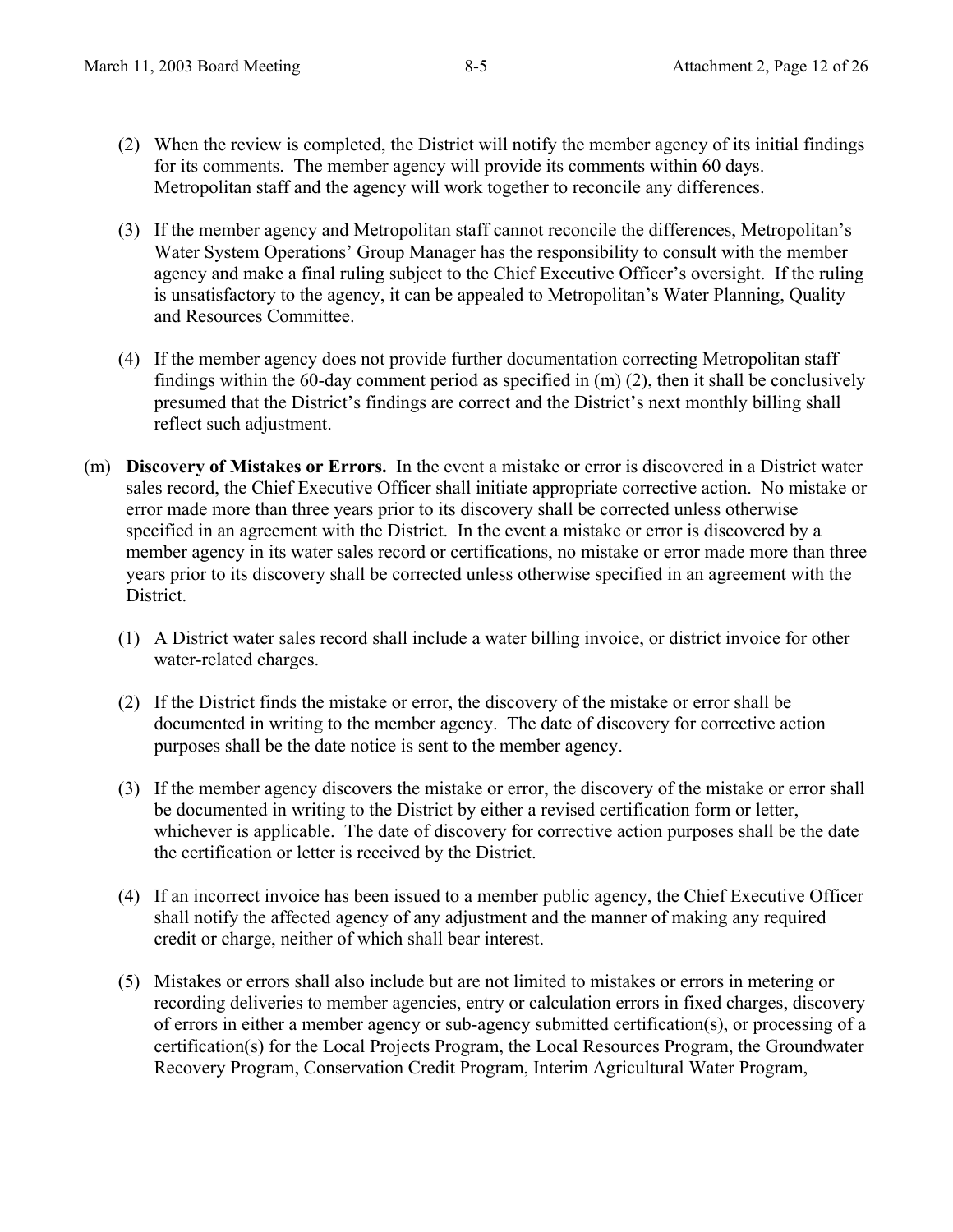- (2) When the review is completed, the District will notify the member agency of its initial findings for its comments. The member agency will provide its comments within 60 days. Metropolitan staff and the agency will work together to reconcile any differences.
- (3) If the member agency and Metropolitan staff cannot reconcile the differences, Metropolitan's Water System Operations' Group Manager has the responsibility to consult with the member agency and make a final ruling subject to the Chief Executive Officer's oversight. If the ruling is unsatisfactory to the agency, it can be appealed to Metropolitan's Water Planning, Quality and Resources Committee.
- (4) If the member agency does not provide further documentation correcting Metropolitan staff findings within the 60-day comment period as specified in (m) (2), then it shall be conclusively presumed that the District's findings are correct and the District's next monthly billing shall reflect such adjustment.
- (m) **Discovery of Mistakes or Errors.** In the event a mistake or error is discovered in a District water sales record, the Chief Executive Officer shall initiate appropriate corrective action. No mistake or error made more than three years prior to its discovery shall be corrected unless otherwise specified in an agreement with the District. In the event a mistake or error is discovered by a member agency in its water sales record or certifications, no mistake or error made more than three years prior to its discovery shall be corrected unless otherwise specified in an agreement with the District.
	- (1) A District water sales record shall include a water billing invoice, or district invoice for other water-related charges.
	- (2) If the District finds the mistake or error, the discovery of the mistake or error shall be documented in writing to the member agency. The date of discovery for corrective action purposes shall be the date notice is sent to the member agency.
	- (3) If the member agency discovers the mistake or error, the discovery of the mistake or error shall be documented in writing to the District by either a revised certification form or letter, whichever is applicable. The date of discovery for corrective action purposes shall be the date the certification or letter is received by the District.
	- (4) If an incorrect invoice has been issued to a member public agency, the Chief Executive Officer shall notify the affected agency of any adjustment and the manner of making any required credit or charge, neither of which shall bear interest.
	- (5) Mistakes or errors shall also include but are not limited to mistakes or errors in metering or recording deliveries to member agencies, entry or calculation errors in fixed charges, discovery of errors in either a member agency or sub-agency submitted certification(s), or processing of a certification(s) for the Local Projects Program, the Local Resources Program, the Groundwater Recovery Program, Conservation Credit Program, Interim Agricultural Water Program,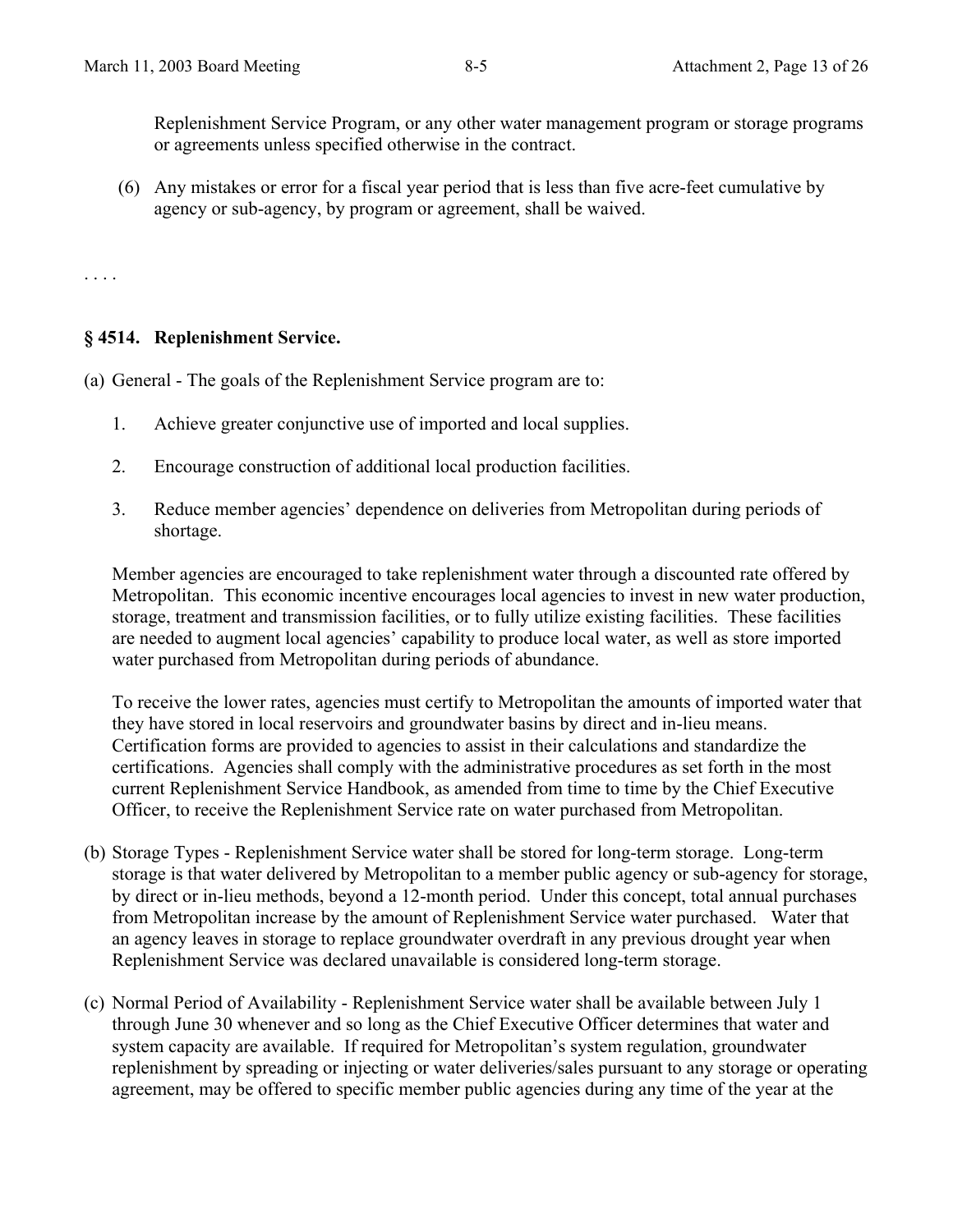Replenishment Service Program, or any other water management program or storage programs or agreements unless specified otherwise in the contract.

(6) Any mistakes or error for a fiscal year period that is less than five acre-feet cumulative by agency or sub-agency, by program or agreement, shall be waived.

. . . .

#### **§ 4514. Replenishment Service.**

(a) General - The goals of the Replenishment Service program are to:

- 1. Achieve greater conjunctive use of imported and local supplies.
- 2. Encourage construction of additional local production facilities.
- 3. Reduce member agencies' dependence on deliveries from Metropolitan during periods of shortage.

Member agencies are encouraged to take replenishment water through a discounted rate offered by Metropolitan. This economic incentive encourages local agencies to invest in new water production, storage, treatment and transmission facilities, or to fully utilize existing facilities. These facilities are needed to augment local agencies' capability to produce local water, as well as store imported water purchased from Metropolitan during periods of abundance.

To receive the lower rates, agencies must certify to Metropolitan the amounts of imported water that they have stored in local reservoirs and groundwater basins by direct and in-lieu means. Certification forms are provided to agencies to assist in their calculations and standardize the certifications. Agencies shall comply with the administrative procedures as set forth in the most current Replenishment Service Handbook, as amended from time to time by the Chief Executive Officer, to receive the Replenishment Service rate on water purchased from Metropolitan.

- (b) Storage Types Replenishment Service water shall be stored for long-term storage. Long-term storage is that water delivered by Metropolitan to a member public agency or sub-agency for storage, by direct or in-lieu methods, beyond a 12-month period. Under this concept, total annual purchases from Metropolitan increase by the amount of Replenishment Service water purchased. Water that an agency leaves in storage to replace groundwater overdraft in any previous drought year when Replenishment Service was declared unavailable is considered long-term storage.
- (c) Normal Period of Availability Replenishment Service water shall be available between July 1 through June 30 whenever and so long as the Chief Executive Officer determines that water and system capacity are available. If required for Metropolitan's system regulation, groundwater replenishment by spreading or injecting or water deliveries/sales pursuant to any storage or operating agreement, may be offered to specific member public agencies during any time of the year at the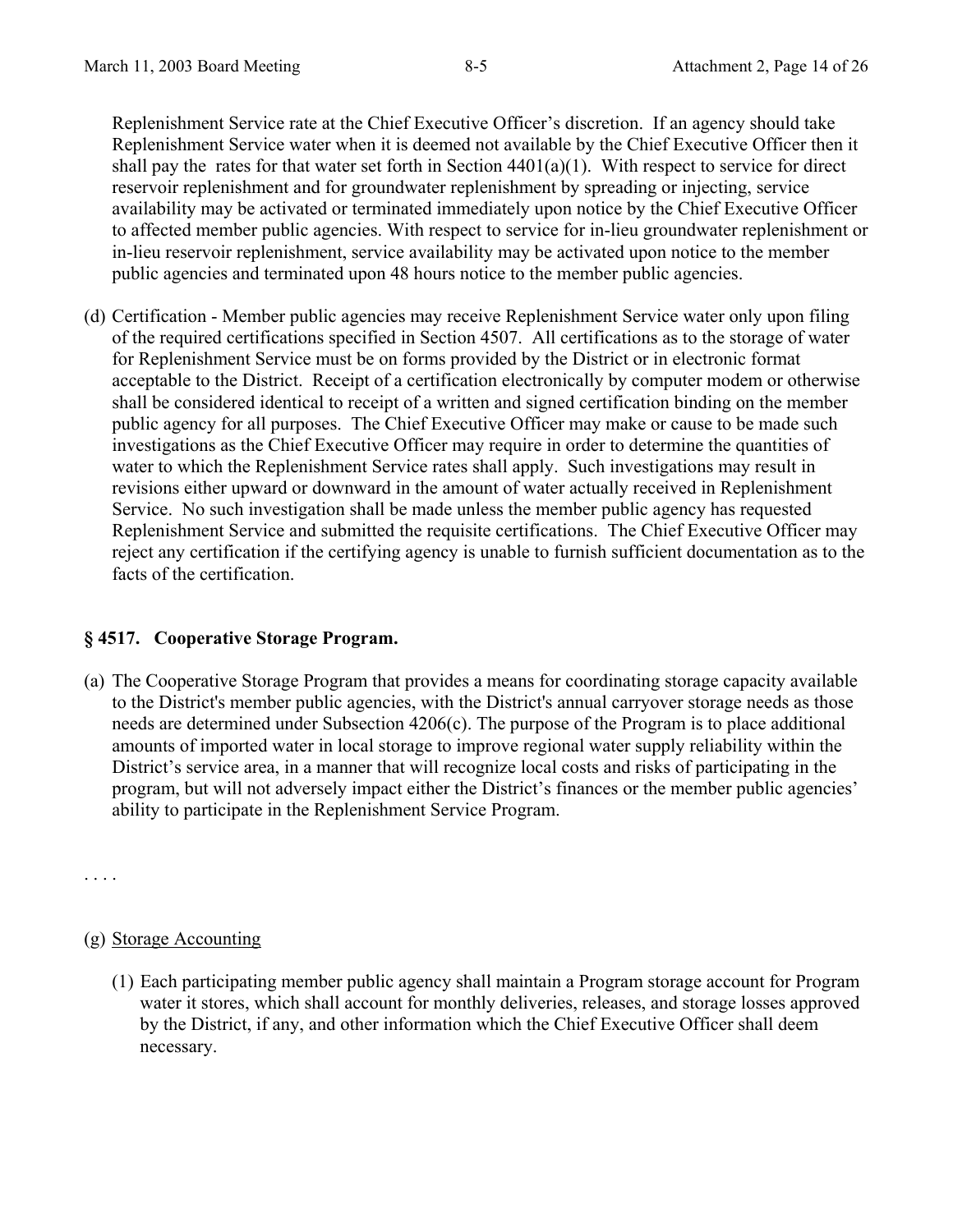Replenishment Service rate at the Chief Executive Officer's discretion. If an agency should take Replenishment Service water when it is deemed not available by the Chief Executive Officer then it shall pay the rates for that water set forth in Section  $4401(a)(1)$ . With respect to service for direct reservoir replenishment and for groundwater replenishment by spreading or injecting, service availability may be activated or terminated immediately upon notice by the Chief Executive Officer to affected member public agencies. With respect to service for in-lieu groundwater replenishment or in-lieu reservoir replenishment, service availability may be activated upon notice to the member public agencies and terminated upon 48 hours notice to the member public agencies.

(d) Certification - Member public agencies may receive Replenishment Service water only upon filing of the required certifications specified in Section 4507. All certifications as to the storage of water for Replenishment Service must be on forms provided by the District or in electronic format acceptable to the District. Receipt of a certification electronically by computer modem or otherwise shall be considered identical to receipt of a written and signed certification binding on the member public agency for all purposes. The Chief Executive Officer may make or cause to be made such investigations as the Chief Executive Officer may require in order to determine the quantities of water to which the Replenishment Service rates shall apply. Such investigations may result in revisions either upward or downward in the amount of water actually received in Replenishment Service. No such investigation shall be made unless the member public agency has requested Replenishment Service and submitted the requisite certifications. The Chief Executive Officer may reject any certification if the certifying agency is unable to furnish sufficient documentation as to the facts of the certification.

## **§ 4517. Cooperative Storage Program.**

(a) The Cooperative Storage Program that provides a means for coordinating storage capacity available to the District's member public agencies, with the District's annual carryover storage needs as those needs are determined under Subsection 4206(c). The purpose of the Program is to place additional amounts of imported water in local storage to improve regional water supply reliability within the District's service area, in a manner that will recognize local costs and risks of participating in the program, but will not adversely impact either the District's finances or the member public agencies' ability to participate in the Replenishment Service Program.

. . . .

## (g) Storage Accounting

(1) Each participating member public agency shall maintain a Program storage account for Program water it stores, which shall account for monthly deliveries, releases, and storage losses approved by the District, if any, and other information which the Chief Executive Officer shall deem necessary.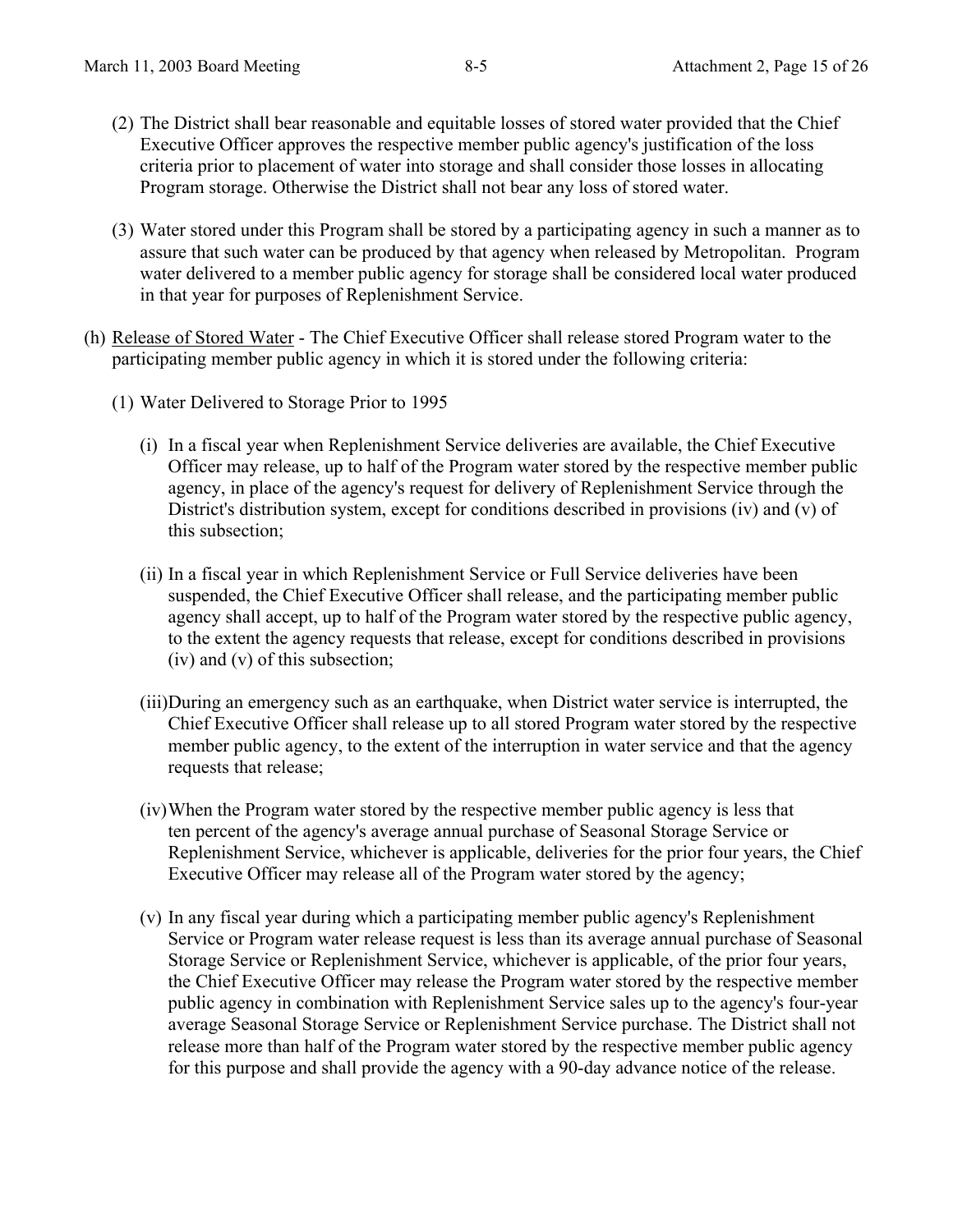- (2) The District shall bear reasonable and equitable losses of stored water provided that the Chief Executive Officer approves the respective member public agency's justification of the loss criteria prior to placement of water into storage and shall consider those losses in allocating Program storage. Otherwise the District shall not bear any loss of stored water.
- (3) Water stored under this Program shall be stored by a participating agency in such a manner as to assure that such water can be produced by that agency when released by Metropolitan. Program water delivered to a member public agency for storage shall be considered local water produced in that year for purposes of Replenishment Service.
- (h) Release of Stored Water The Chief Executive Officer shall release stored Program water to the participating member public agency in which it is stored under the following criteria:
	- (1) Water Delivered to Storage Prior to 1995
		- (i) In a fiscal year when Replenishment Service deliveries are available, the Chief Executive Officer may release, up to half of the Program water stored by the respective member public agency, in place of the agency's request for delivery of Replenishment Service through the District's distribution system, except for conditions described in provisions (iv) and (v) of this subsection;
		- (ii) In a fiscal year in which Replenishment Service or Full Service deliveries have been suspended, the Chief Executive Officer shall release, and the participating member public agency shall accept, up to half of the Program water stored by the respective public agency, to the extent the agency requests that release, except for conditions described in provisions (iv) and (v) of this subsection;
		- (iii)During an emergency such as an earthquake, when District water service is interrupted, the Chief Executive Officer shall release up to all stored Program water stored by the respective member public agency, to the extent of the interruption in water service and that the agency requests that release;
		- (iv) When the Program water stored by the respective member public agency is less that ten percent of the agency's average annual purchase of Seasonal Storage Service or Replenishment Service, whichever is applicable, deliveries for the prior four years, the Chief Executive Officer may release all of the Program water stored by the agency;
		- (v) In any fiscal year during which a participating member public agency's Replenishment Service or Program water release request is less than its average annual purchase of Seasonal Storage Service or Replenishment Service, whichever is applicable, of the prior four years, the Chief Executive Officer may release the Program water stored by the respective member public agency in combination with Replenishment Service sales up to the agency's four-year average Seasonal Storage Service or Replenishment Service purchase. The District shall not release more than half of the Program water stored by the respective member public agency for this purpose and shall provide the agency with a 90-day advance notice of the release.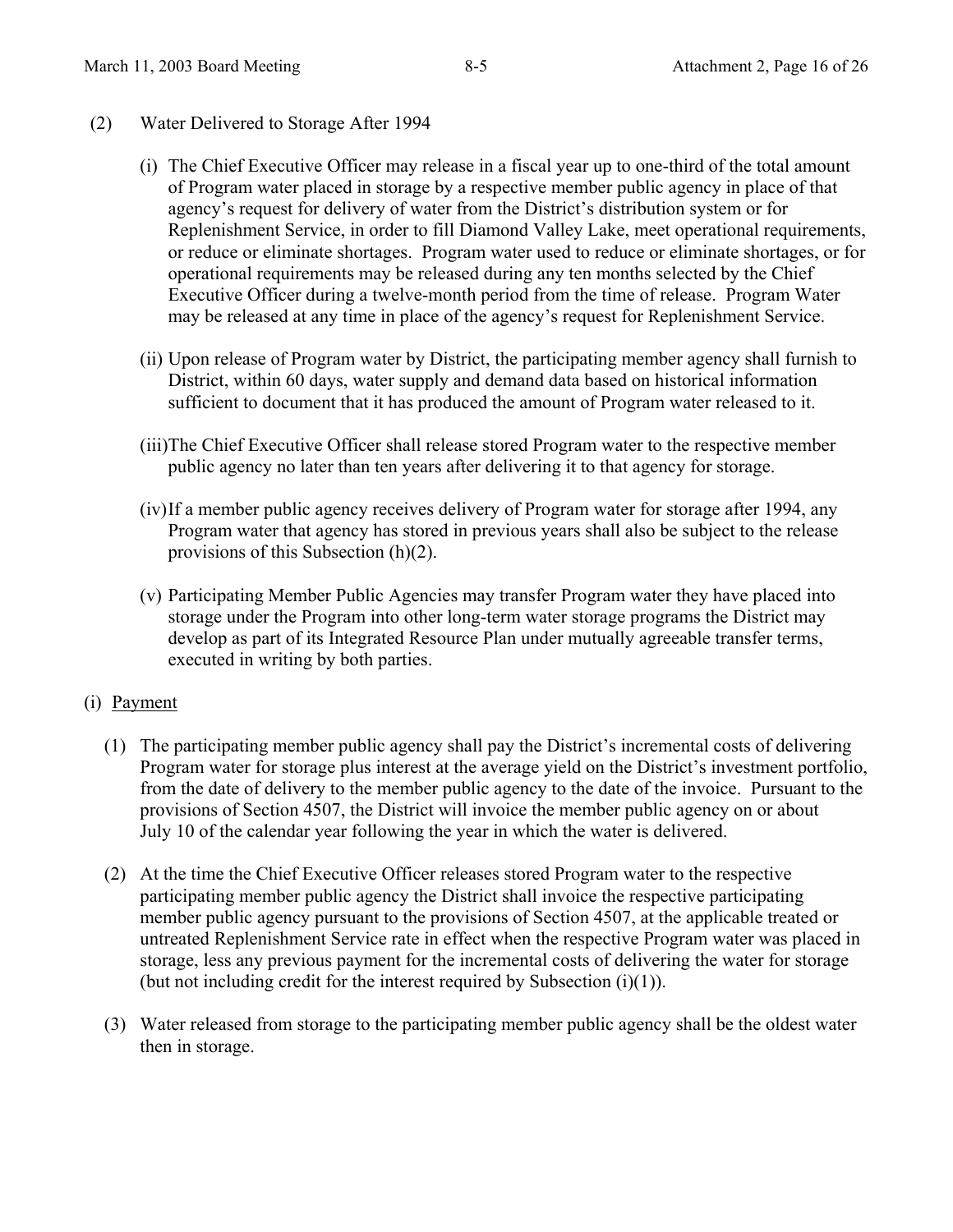- (2) Water Delivered to Storage After 1994
	- (i) The Chief Executive Officer may release in a fiscal year up to one-third of the total amount of Program water placed in storage by a respective member public agency in place of that agency's request for delivery of water from the District's distribution system or for Replenishment Service, in order to fill Diamond Valley Lake, meet operational requirements, or reduce or eliminate shortages. Program water used to reduce or eliminate shortages, or for operational requirements may be released during any ten months selected by the Chief Executive Officer during a twelve-month period from the time of release. Program Water may be released at any time in place of the agency's request for Replenishment Service.
	- (ii) Upon release of Program water by District, the participating member agency shall furnish to District, within 60 days, water supply and demand data based on historical information sufficient to document that it has produced the amount of Program water released to it.
	- (iii)The Chief Executive Officer shall release stored Program water to the respective member public agency no later than ten years after delivering it to that agency for storage.
	- (iv) If a member public agency receives delivery of Program water for storage after 1994, any Program water that agency has stored in previous years shall also be subject to the release provisions of this Subsection (h)(2).
	- (v) Participating Member Public Agencies may transfer Program water they have placed into storage under the Program into other long-term water storage programs the District may develop as part of its Integrated Resource Plan under mutually agreeable transfer terms, executed in writing by both parties.

## (i) Payment

- (1) The participating member public agency shall pay the District's incremental costs of delivering Program water for storage plus interest at the average yield on the District's investment portfolio, from the date of delivery to the member public agency to the date of the invoice. Pursuant to the provisions of Section 4507, the District will invoice the member public agency on or about July 10 of the calendar year following the year in which the water is delivered.
- (2) At the time the Chief Executive Officer releases stored Program water to the respective participating member public agency the District shall invoice the respective participating member public agency pursuant to the provisions of Section 4507, at the applicable treated or untreated Replenishment Service rate in effect when the respective Program water was placed in storage, less any previous payment for the incremental costs of delivering the water for storage (but not including credit for the interest required by Subsection  $(i)(1)$ ).
- (3) Water released from storage to the participating member public agency shall be the oldest water then in storage.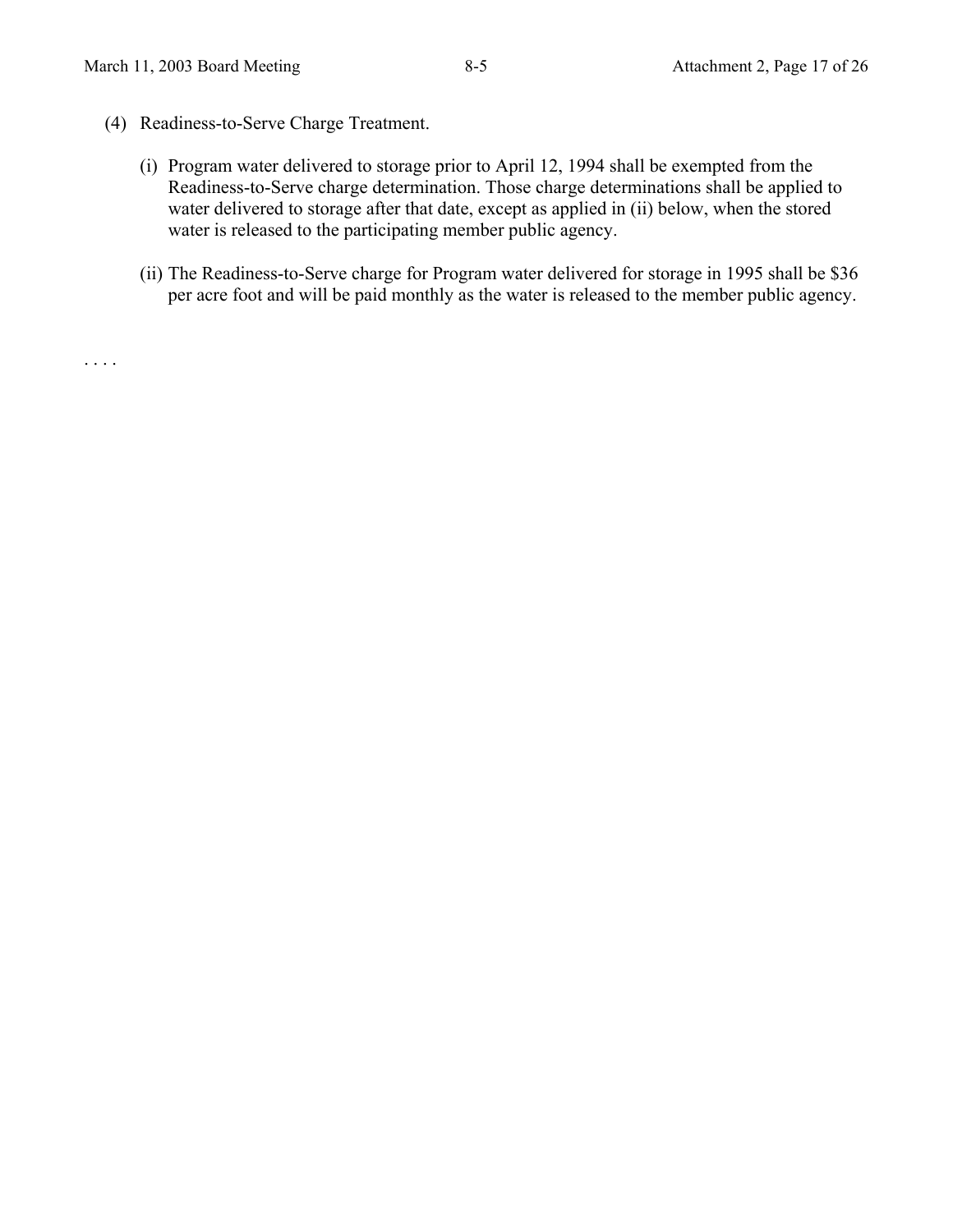- (4) Readiness-to-Serve Charge Treatment.
	- (i) Program water delivered to storage prior to April 12, 1994 shall be exempted from the Readiness-to-Serve charge determination. Those charge determinations shall be applied to water delivered to storage after that date, except as applied in (ii) below, when the stored water is released to the participating member public agency.
	- (ii) The Readiness-to-Serve charge for Program water delivered for storage in 1995 shall be \$36 per acre foot and will be paid monthly as the water is released to the member public agency.

. . . .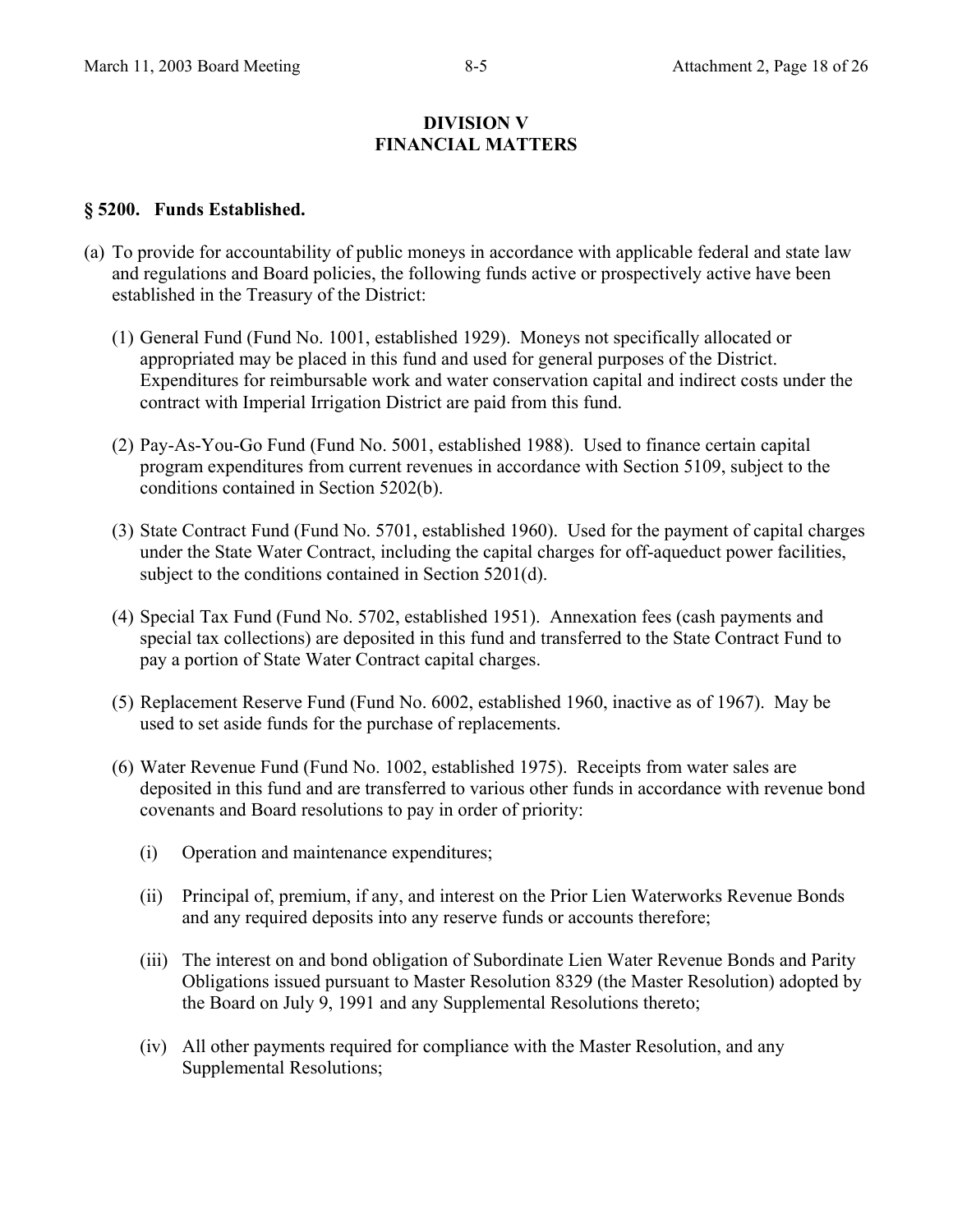#### **DIVISION V FINANCIAL MATTERS**

#### **§ 5200. Funds Established.**

- (a) To provide for accountability of public moneys in accordance with applicable federal and state law and regulations and Board policies, the following funds active or prospectively active have been established in the Treasury of the District:
	- (1) General Fund (Fund No. 1001, established 1929). Moneys not specifically allocated or appropriated may be placed in this fund and used for general purposes of the District. Expenditures for reimbursable work and water conservation capital and indirect costs under the contract with Imperial Irrigation District are paid from this fund.
	- (2) Pay-As-You-Go Fund (Fund No. 5001, established 1988). Used to finance certain capital program expenditures from current revenues in accordance with Section 5109, subject to the conditions contained in Section 5202(b).
	- (3) State Contract Fund (Fund No. 5701, established 1960). Used for the payment of capital charges under the State Water Contract, including the capital charges for off-aqueduct power facilities, subject to the conditions contained in Section 5201(d).
	- (4) Special Tax Fund (Fund No. 5702, established 1951). Annexation fees (cash payments and special tax collections) are deposited in this fund and transferred to the State Contract Fund to pay a portion of State Water Contract capital charges.
	- (5) Replacement Reserve Fund (Fund No. 6002, established 1960, inactive as of 1967). May be used to set aside funds for the purchase of replacements.
	- (6) Water Revenue Fund (Fund No. 1002, established 1975). Receipts from water sales are deposited in this fund and are transferred to various other funds in accordance with revenue bond covenants and Board resolutions to pay in order of priority:
		- (i) Operation and maintenance expenditures;
		- (ii) Principal of, premium, if any, and interest on the Prior Lien Waterworks Revenue Bonds and any required deposits into any reserve funds or accounts therefore;
		- (iii) The interest on and bond obligation of Subordinate Lien Water Revenue Bonds and Parity Obligations issued pursuant to Master Resolution 8329 (the Master Resolution) adopted by the Board on July 9, 1991 and any Supplemental Resolutions thereto;
		- (iv) All other payments required for compliance with the Master Resolution, and any Supplemental Resolutions;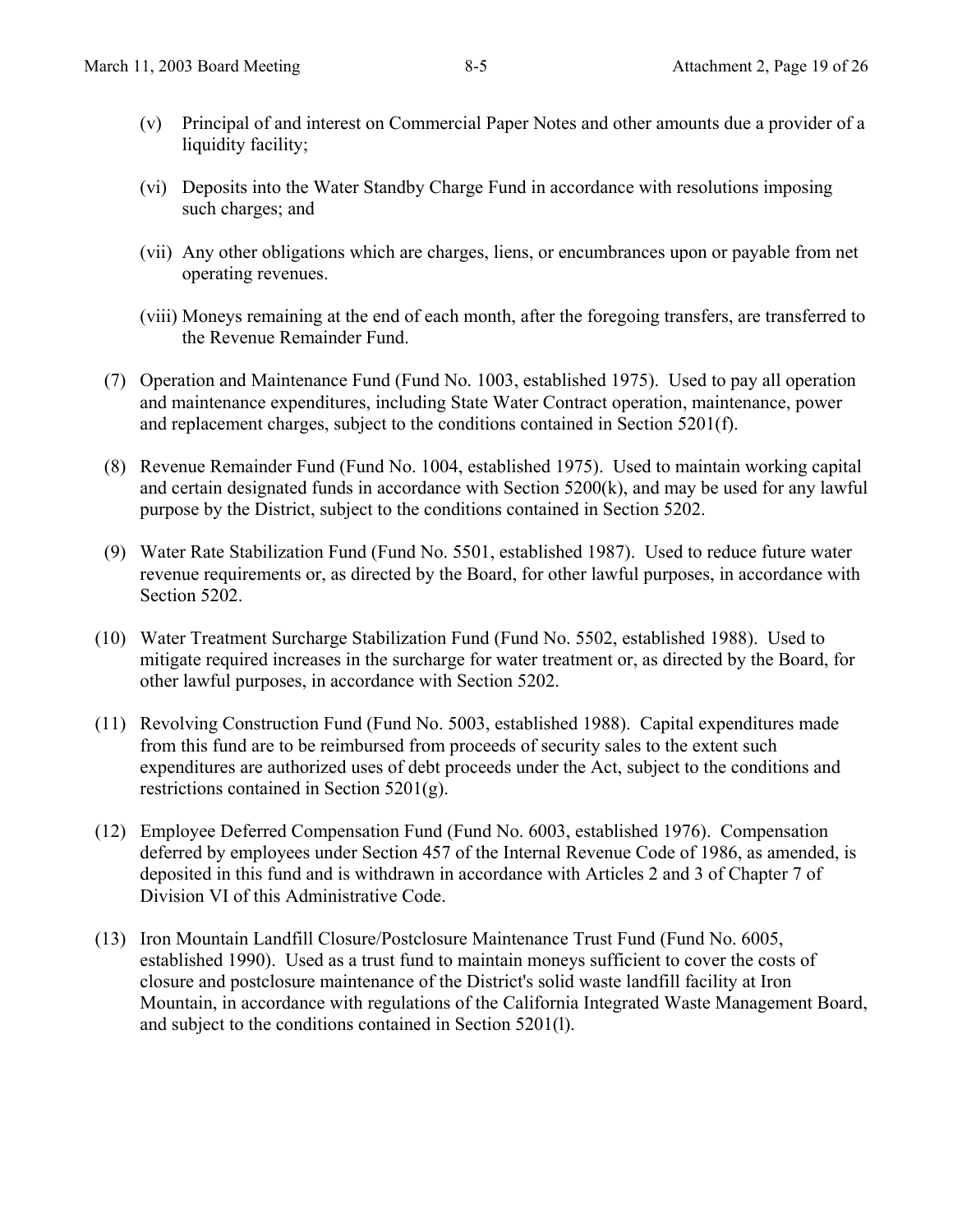- (v) Principal of and interest on Commercial Paper Notes and other amounts due a provider of a liquidity facility;
- (vi) Deposits into the Water Standby Charge Fund in accordance with resolutions imposing such charges; and
- (vii) Any other obligations which are charges, liens, or encumbrances upon or payable from net operating revenues.
- (viii) Moneys remaining at the end of each month, after the foregoing transfers, are transferred to the Revenue Remainder Fund.
- (7) Operation and Maintenance Fund (Fund No. 1003, established 1975). Used to pay all operation and maintenance expenditures, including State Water Contract operation, maintenance, power and replacement charges, subject to the conditions contained in Section 5201(f).
- (8) Revenue Remainder Fund (Fund No. 1004, established 1975). Used to maintain working capital and certain designated funds in accordance with Section 5200(k), and may be used for any lawful purpose by the District, subject to the conditions contained in Section 5202.
- (9) Water Rate Stabilization Fund (Fund No. 5501, established 1987). Used to reduce future water revenue requirements or, as directed by the Board, for other lawful purposes, in accordance with Section 5202.
- (10) Water Treatment Surcharge Stabilization Fund (Fund No. 5502, established 1988). Used to mitigate required increases in the surcharge for water treatment or, as directed by the Board, for other lawful purposes, in accordance with Section 5202.
- (11) Revolving Construction Fund (Fund No. 5003, established 1988). Capital expenditures made from this fund are to be reimbursed from proceeds of security sales to the extent such expenditures are authorized uses of debt proceeds under the Act, subject to the conditions and restrictions contained in Section 5201(g).
- (12) Employee Deferred Compensation Fund (Fund No. 6003, established 1976). Compensation deferred by employees under Section 457 of the Internal Revenue Code of 1986, as amended, is deposited in this fund and is withdrawn in accordance with Articles 2 and 3 of Chapter 7 of Division VI of this Administrative Code.
- (13) Iron Mountain Landfill Closure/Postclosure Maintenance Trust Fund (Fund No. 6005, established 1990). Used as a trust fund to maintain moneys sufficient to cover the costs of closure and postclosure maintenance of the District's solid waste landfill facility at Iron Mountain, in accordance with regulations of the California Integrated Waste Management Board, and subject to the conditions contained in Section 5201(l).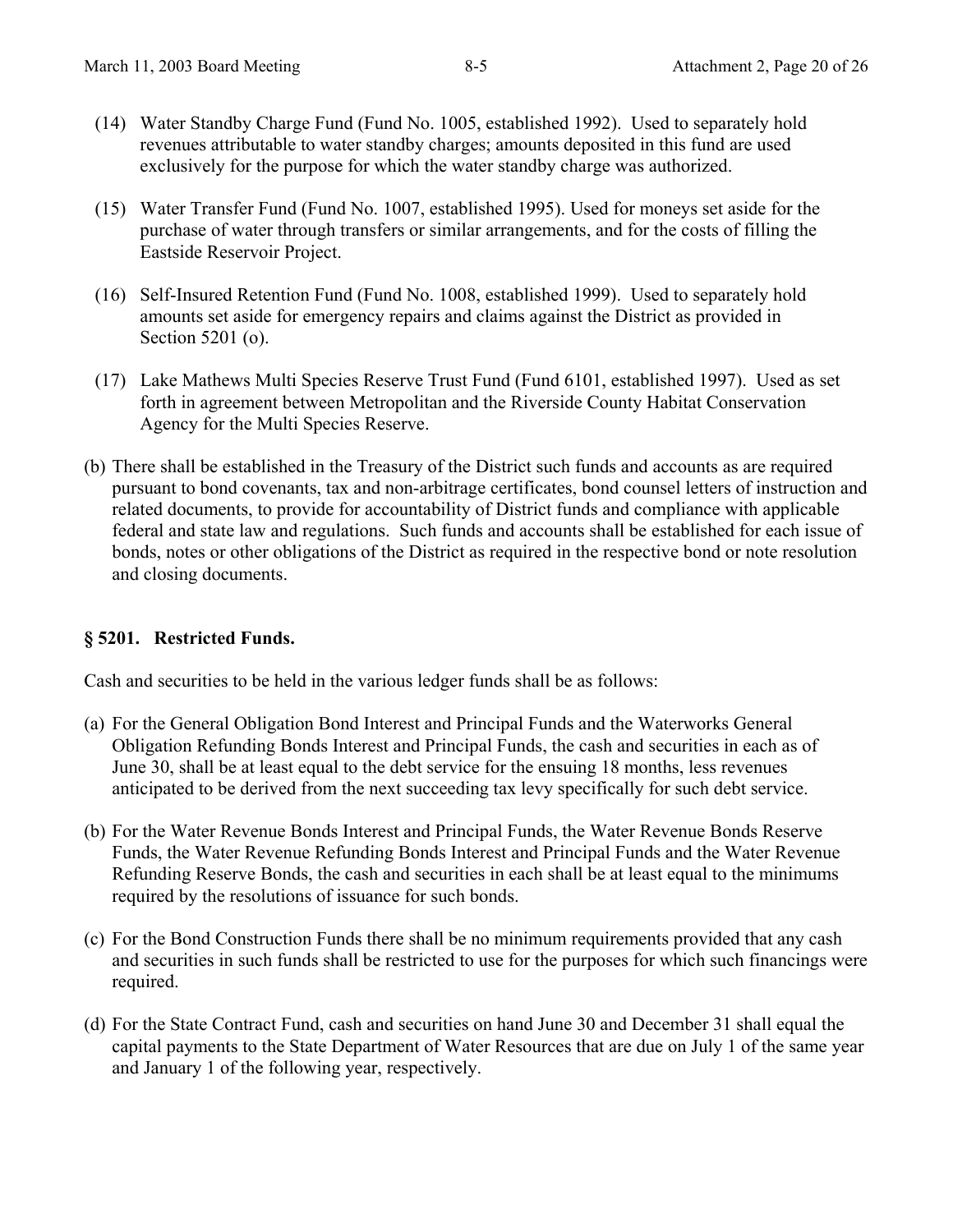- (14) Water Standby Charge Fund (Fund No. 1005, established 1992). Used to separately hold revenues attributable to water standby charges; amounts deposited in this fund are used exclusively for the purpose for which the water standby charge was authorized.
- (15) Water Transfer Fund (Fund No. 1007, established 1995). Used for moneys set aside for the purchase of water through transfers or similar arrangements, and for the costs of filling the Eastside Reservoir Project.
- (16) Self-Insured Retention Fund (Fund No. 1008, established 1999). Used to separately hold amounts set aside for emergency repairs and claims against the District as provided in Section 5201 (o).
- (17) Lake Mathews Multi Species Reserve Trust Fund (Fund 6101, established 1997). Used as set forth in agreement between Metropolitan and the Riverside County Habitat Conservation Agency for the Multi Species Reserve.
- (b) There shall be established in the Treasury of the District such funds and accounts as are required pursuant to bond covenants, tax and non-arbitrage certificates, bond counsel letters of instruction and related documents, to provide for accountability of District funds and compliance with applicable federal and state law and regulations. Such funds and accounts shall be established for each issue of bonds, notes or other obligations of the District as required in the respective bond or note resolution and closing documents.

#### **§ 5201. Restricted Funds.**

Cash and securities to be held in the various ledger funds shall be as follows:

- (a) For the General Obligation Bond Interest and Principal Funds and the Waterworks General Obligation Refunding Bonds Interest and Principal Funds, the cash and securities in each as of June 30, shall be at least equal to the debt service for the ensuing 18 months, less revenues anticipated to be derived from the next succeeding tax levy specifically for such debt service.
- (b) For the Water Revenue Bonds Interest and Principal Funds, the Water Revenue Bonds Reserve Funds, the Water Revenue Refunding Bonds Interest and Principal Funds and the Water Revenue Refunding Reserve Bonds, the cash and securities in each shall be at least equal to the minimums required by the resolutions of issuance for such bonds.
- (c) For the Bond Construction Funds there shall be no minimum requirements provided that any cash and securities in such funds shall be restricted to use for the purposes for which such financings were required.
- (d) For the State Contract Fund, cash and securities on hand June 30 and December 31 shall equal the capital payments to the State Department of Water Resources that are due on July 1 of the same year and January 1 of the following year, respectively.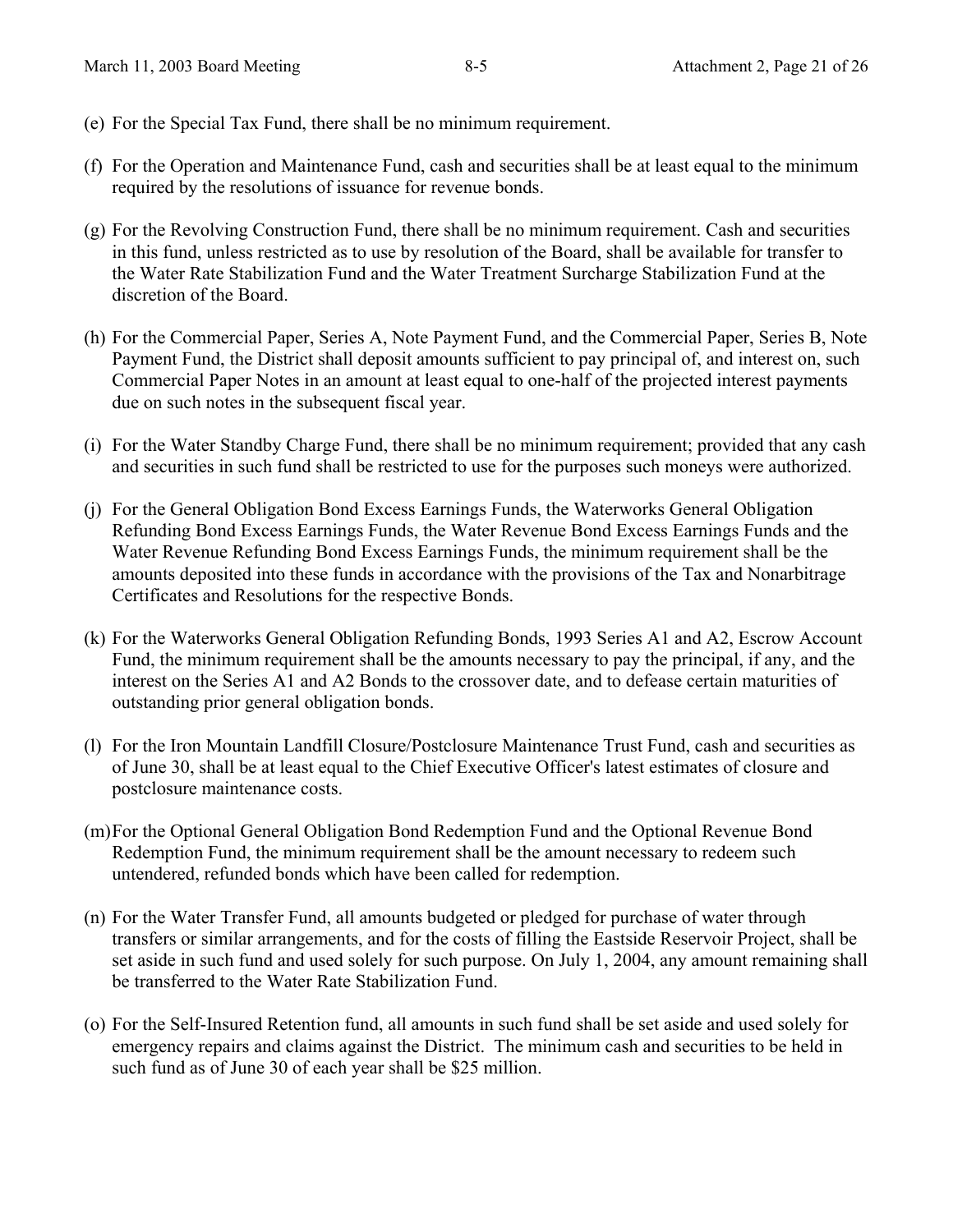- (e) For the Special Tax Fund, there shall be no minimum requirement.
- (f) For the Operation and Maintenance Fund, cash and securities shall be at least equal to the minimum required by the resolutions of issuance for revenue bonds.
- (g) For the Revolving Construction Fund, there shall be no minimum requirement. Cash and securities in this fund, unless restricted as to use by resolution of the Board, shall be available for transfer to the Water Rate Stabilization Fund and the Water Treatment Surcharge Stabilization Fund at the discretion of the Board.
- (h) For the Commercial Paper, Series A, Note Payment Fund, and the Commercial Paper, Series B, Note Payment Fund, the District shall deposit amounts sufficient to pay principal of, and interest on, such Commercial Paper Notes in an amount at least equal to one-half of the projected interest payments due on such notes in the subsequent fiscal year.
- (i) For the Water Standby Charge Fund, there shall be no minimum requirement; provided that any cash and securities in such fund shall be restricted to use for the purposes such moneys were authorized.
- (j) For the General Obligation Bond Excess Earnings Funds, the Waterworks General Obligation Refunding Bond Excess Earnings Funds, the Water Revenue Bond Excess Earnings Funds and the Water Revenue Refunding Bond Excess Earnings Funds, the minimum requirement shall be the amounts deposited into these funds in accordance with the provisions of the Tax and Nonarbitrage Certificates and Resolutions for the respective Bonds.
- (k) For the Waterworks General Obligation Refunding Bonds, 1993 Series A1 and A2, Escrow Account Fund, the minimum requirement shall be the amounts necessary to pay the principal, if any, and the interest on the Series A1 and A2 Bonds to the crossover date, and to defease certain maturities of outstanding prior general obligation bonds.
- (l) For the Iron Mountain Landfill Closure/Postclosure Maintenance Trust Fund, cash and securities as of June 30, shall be at least equal to the Chief Executive Officer's latest estimates of closure and postclosure maintenance costs.
- (m) For the Optional General Obligation Bond Redemption Fund and the Optional Revenue Bond Redemption Fund, the minimum requirement shall be the amount necessary to redeem such untendered, refunded bonds which have been called for redemption.
- (n) For the Water Transfer Fund, all amounts budgeted or pledged for purchase of water through transfers or similar arrangements, and for the costs of filling the Eastside Reservoir Project, shall be set aside in such fund and used solely for such purpose. On July 1, 2004, any amount remaining shall be transferred to the Water Rate Stabilization Fund.
- (o) For the Self-Insured Retention fund, all amounts in such fund shall be set aside and used solely for emergency repairs and claims against the District. The minimum cash and securities to be held in such fund as of June 30 of each year shall be \$25 million.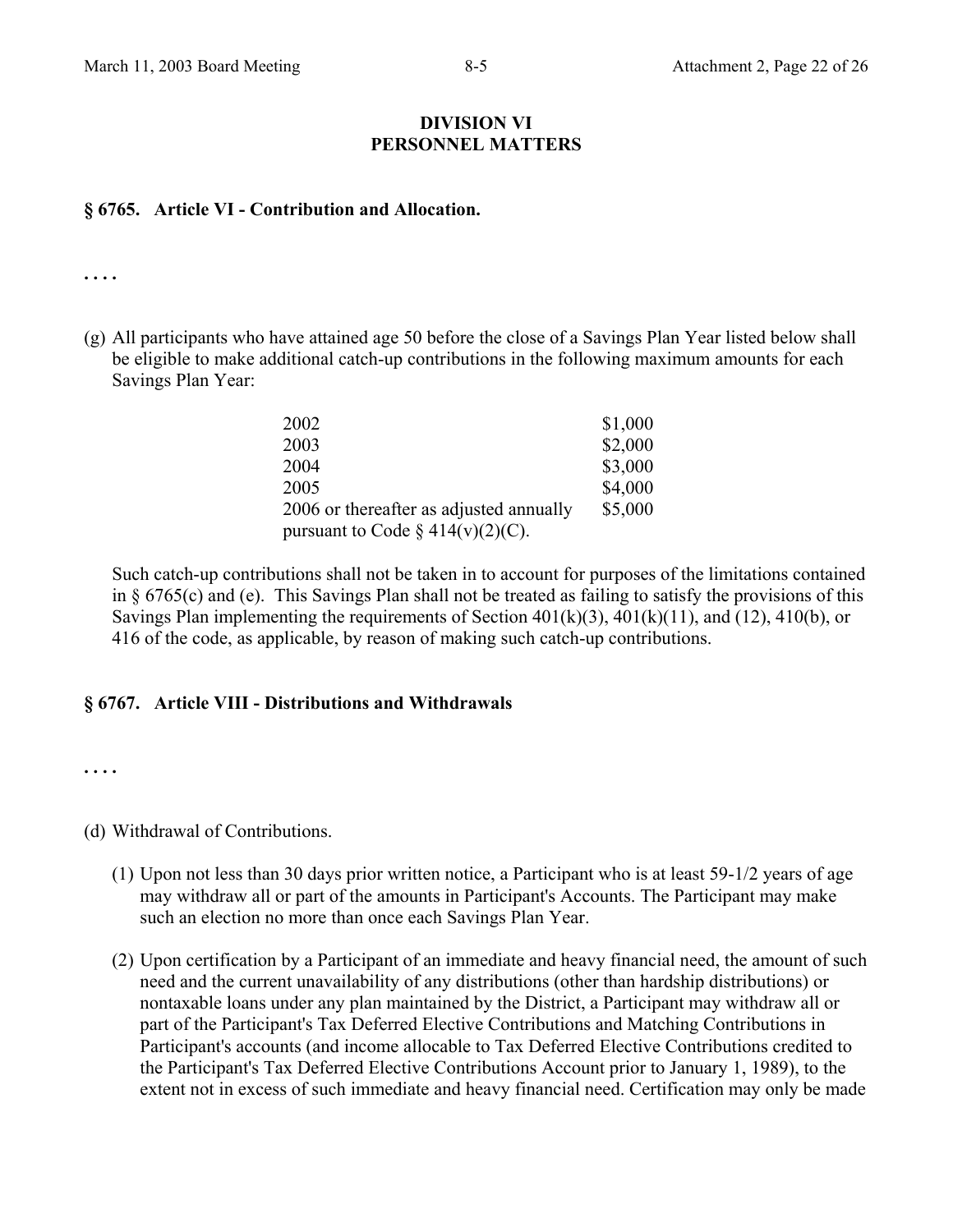#### **DIVISION VI PERSONNEL MATTERS**

#### **§ 6765. Article VI - Contribution and Allocation.**

**. . . .** 

(g) All participants who have attained age 50 before the close of a Savings Plan Year listed below shall be eligible to make additional catch-up contributions in the following maximum amounts for each Savings Plan Year:

| 2002                                    | \$1,000 |
|-----------------------------------------|---------|
| 2003                                    | \$2,000 |
| 2004                                    | \$3,000 |
| 2005                                    | \$4,000 |
| 2006 or thereafter as adjusted annually | \$5,000 |
| pursuant to Code § $414(v)(2)(C)$ .     |         |

Such catch-up contributions shall not be taken in to account for purposes of the limitations contained in § 6765(c) and (e). This Savings Plan shall not be treated as failing to satisfy the provisions of this Savings Plan implementing the requirements of Section  $401(k)(3)$ ,  $401(k)(11)$ , and  $(12)$ ,  $410(b)$ , or 416 of the code, as applicable, by reason of making such catch-up contributions.

#### **§ 6767. Article VIII - Distributions and Withdrawals**

**. . . .** 

(d) Withdrawal of Contributions.

- (1) Upon not less than 30 days prior written notice, a Participant who is at least 59-1/2 years of age may withdraw all or part of the amounts in Participant's Accounts. The Participant may make such an election no more than once each Savings Plan Year.
- (2) Upon certification by a Participant of an immediate and heavy financial need, the amount of such need and the current unavailability of any distributions (other than hardship distributions) or nontaxable loans under any plan maintained by the District, a Participant may withdraw all or part of the Participant's Tax Deferred Elective Contributions and Matching Contributions in Participant's accounts (and income allocable to Tax Deferred Elective Contributions credited to the Participant's Tax Deferred Elective Contributions Account prior to January 1, 1989), to the extent not in excess of such immediate and heavy financial need. Certification may only be made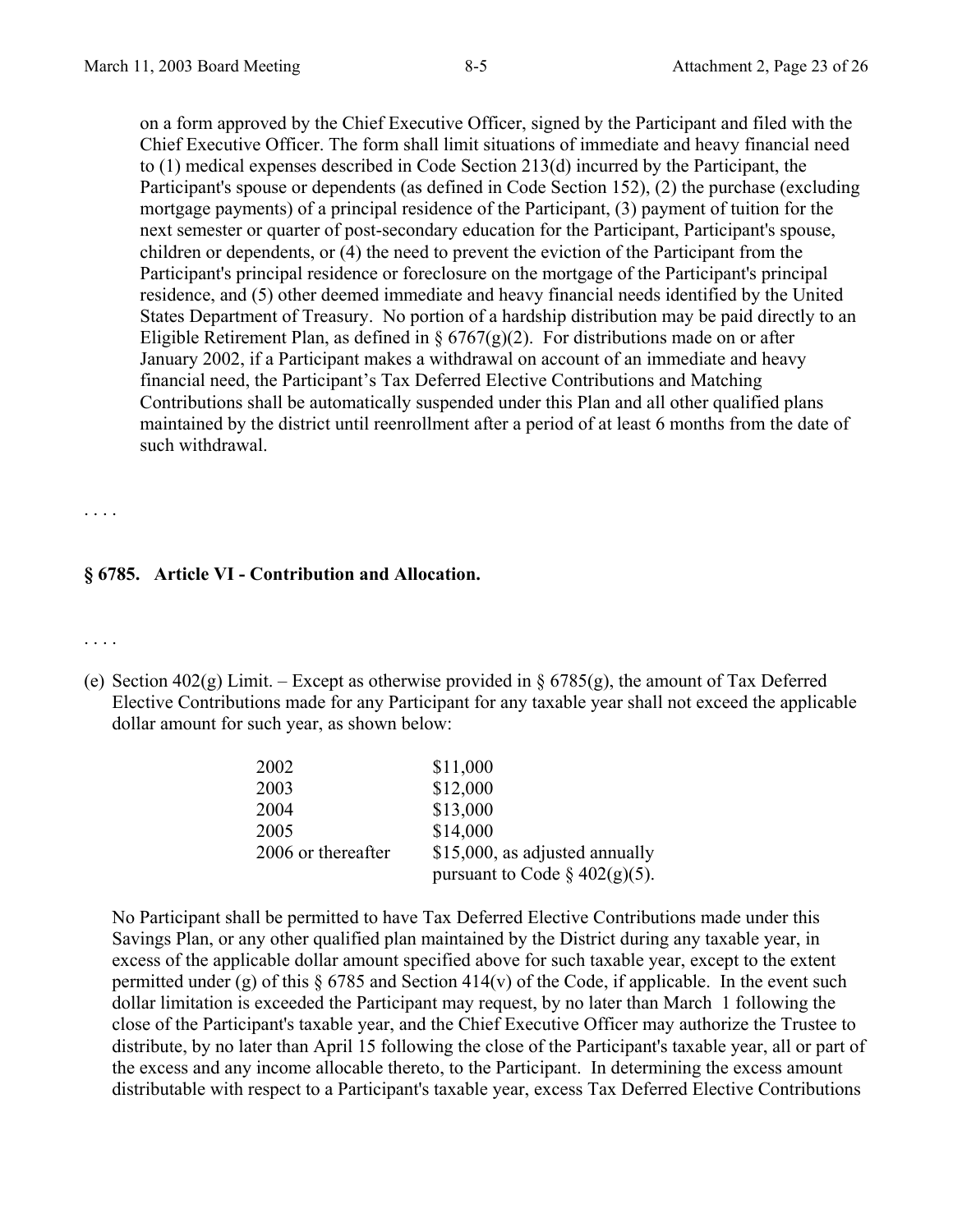on a form approved by the Chief Executive Officer, signed by the Participant and filed with the Chief Executive Officer. The form shall limit situations of immediate and heavy financial need to (1) medical expenses described in Code Section 213(d) incurred by the Participant, the Participant's spouse or dependents (as defined in Code Section 152), (2) the purchase (excluding mortgage payments) of a principal residence of the Participant, (3) payment of tuition for the next semester or quarter of post-secondary education for the Participant, Participant's spouse, children or dependents, or (4) the need to prevent the eviction of the Participant from the Participant's principal residence or foreclosure on the mortgage of the Participant's principal residence, and (5) other deemed immediate and heavy financial needs identified by the United States Department of Treasury. No portion of a hardship distribution may be paid directly to an Eligible Retirement Plan, as defined in  $\S 6767(g)(2)$ . For distributions made on or after January 2002, if a Participant makes a withdrawal on account of an immediate and heavy financial need, the Participant's Tax Deferred Elective Contributions and Matching Contributions shall be automatically suspended under this Plan and all other qualified plans maintained by the district until reenrollment after a period of at least 6 months from the date of such withdrawal.

**§ 6785. Article VI - Contribution and Allocation.** 

. . . .

. . . .

(e) Section 402(g) Limit. – Except as otherwise provided in  $\S 6785(g)$ , the amount of Tax Deferred Elective Contributions made for any Participant for any taxable year shall not exceed the applicable dollar amount for such year, as shown below:

| 2002               | \$11,000                         |
|--------------------|----------------------------------|
| 2003               | \$12,000                         |
| 2004               | \$13,000                         |
| 2005               | \$14,000                         |
| 2006 or thereafter | \$15,000, as adjusted annually   |
|                    | pursuant to Code $\S$ 402(g)(5). |

No Participant shall be permitted to have Tax Deferred Elective Contributions made under this Savings Plan, or any other qualified plan maintained by the District during any taxable year, in excess of the applicable dollar amount specified above for such taxable year, except to the extent permitted under (g) of this  $\S 6785$  and Section 414(v) of the Code, if applicable. In the event such dollar limitation is exceeded the Participant may request, by no later than March 1 following the close of the Participant's taxable year, and the Chief Executive Officer may authorize the Trustee to distribute, by no later than April 15 following the close of the Participant's taxable year, all or part of the excess and any income allocable thereto, to the Participant. In determining the excess amount distributable with respect to a Participant's taxable year, excess Tax Deferred Elective Contributions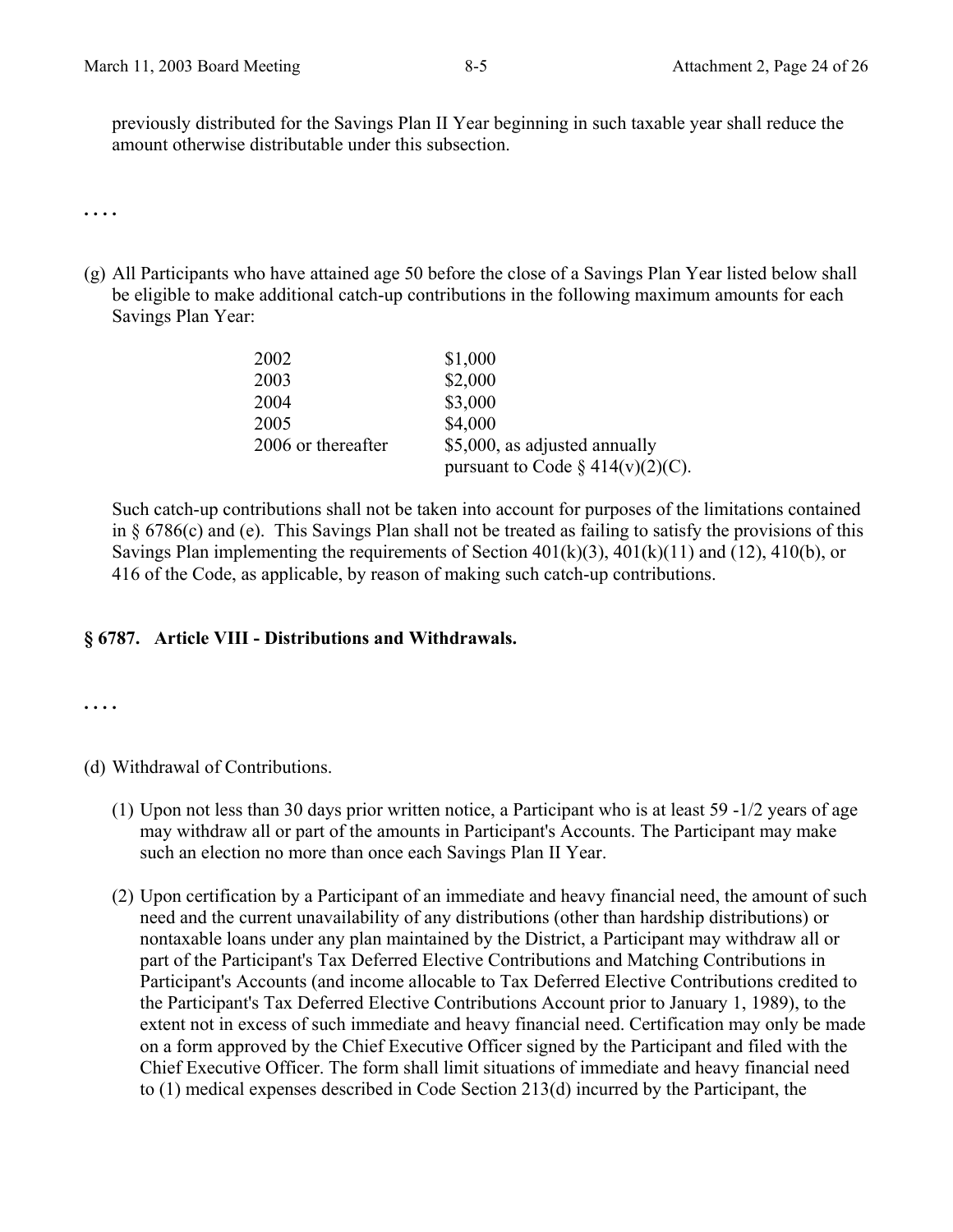previously distributed for the Savings Plan II Year beginning in such taxable year shall reduce the amount otherwise distributable under this subsection.

**. . . .** 

(g) All Participants who have attained age 50 before the close of a Savings Plan Year listed below shall be eligible to make additional catch-up contributions in the following maximum amounts for each Savings Plan Year:

| 2002               | \$1,000                             |
|--------------------|-------------------------------------|
| 2003               | \$2,000                             |
| 2004               | \$3,000                             |
| 2005               | \$4,000                             |
| 2006 or thereafter | \$5,000, as adjusted annually       |
|                    | pursuant to Code § $414(v)(2)(C)$ . |

Such catch-up contributions shall not be taken into account for purposes of the limitations contained in § 6786(c) and (e). This Savings Plan shall not be treated as failing to satisfy the provisions of this Savings Plan implementing the requirements of Section  $401(k)(3)$ ,  $401(k)(11)$  and  $(12)$ ,  $410(b)$ , or 416 of the Code, as applicable, by reason of making such catch-up contributions.

## **§ 6787. Article VIII - Distributions and Withdrawals.**

**. . . .** 

(d) Withdrawal of Contributions.

- (1) Upon not less than 30 days prior written notice, a Participant who is at least 59 -1/2 years of age may withdraw all or part of the amounts in Participant's Accounts. The Participant may make such an election no more than once each Savings Plan II Year.
- (2) Upon certification by a Participant of an immediate and heavy financial need, the amount of such need and the current unavailability of any distributions (other than hardship distributions) or nontaxable loans under any plan maintained by the District, a Participant may withdraw all or part of the Participant's Tax Deferred Elective Contributions and Matching Contributions in Participant's Accounts (and income allocable to Tax Deferred Elective Contributions credited to the Participant's Tax Deferred Elective Contributions Account prior to January 1, 1989), to the extent not in excess of such immediate and heavy financial need. Certification may only be made on a form approved by the Chief Executive Officer signed by the Participant and filed with the Chief Executive Officer. The form shall limit situations of immediate and heavy financial need to (1) medical expenses described in Code Section 213(d) incurred by the Participant, the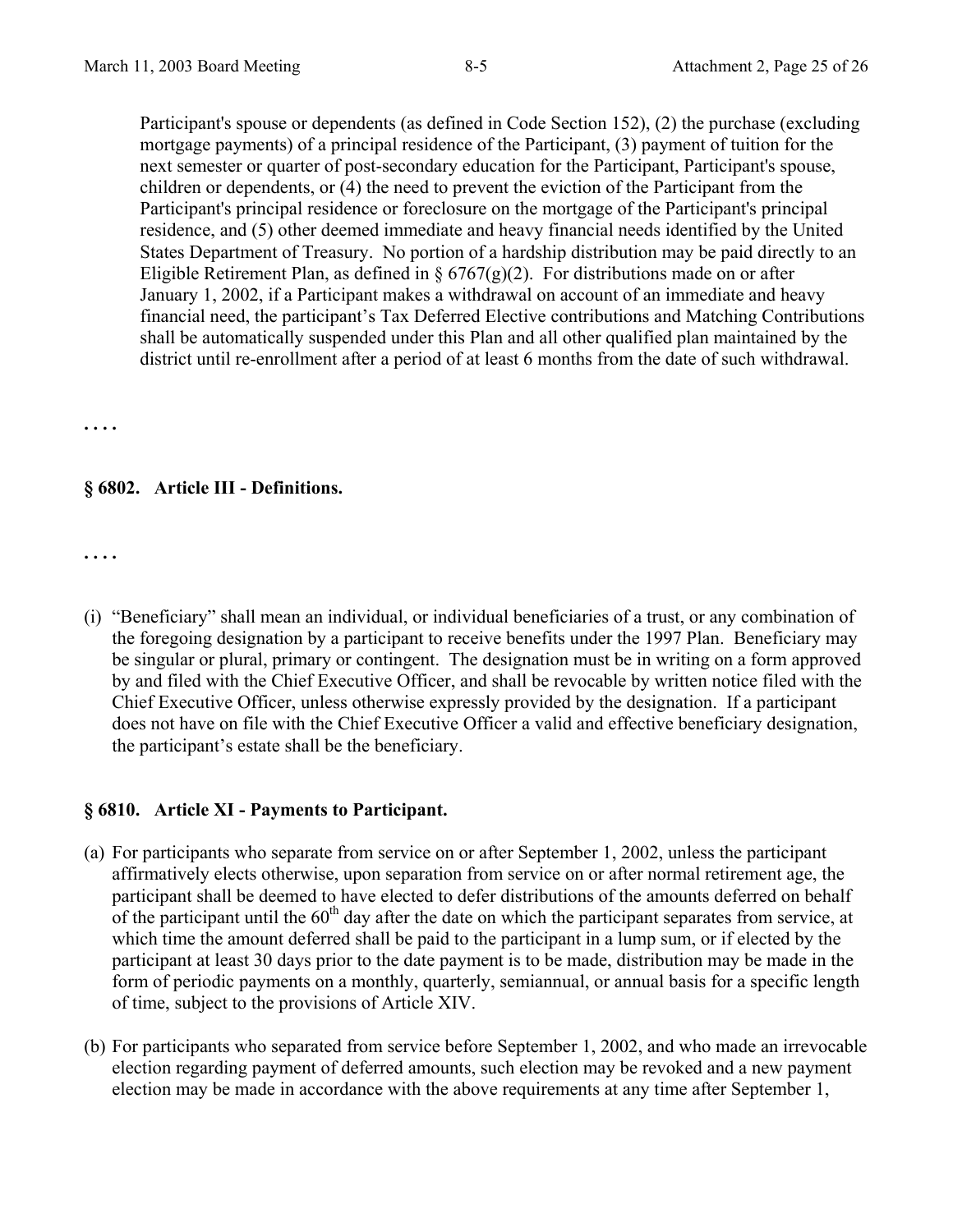Participant's spouse or dependents (as defined in Code Section 152), (2) the purchase (excluding mortgage payments) of a principal residence of the Participant, (3) payment of tuition for the next semester or quarter of post-secondary education for the Participant, Participant's spouse, children or dependents, or (4) the need to prevent the eviction of the Participant from the Participant's principal residence or foreclosure on the mortgage of the Participant's principal residence, and (5) other deemed immediate and heavy financial needs identified by the United States Department of Treasury. No portion of a hardship distribution may be paid directly to an Eligible Retirement Plan, as defined in  $\S 6767(g)(2)$ . For distributions made on or after January 1, 2002, if a Participant makes a withdrawal on account of an immediate and heavy financial need, the participant's Tax Deferred Elective contributions and Matching Contributions shall be automatically suspended under this Plan and all other qualified plan maintained by the district until re-enrollment after a period of at least 6 months from the date of such withdrawal.

**. . . .** 

## **§ 6802. Article III - Definitions.**

**. . . .** 

(i) "Beneficiary" shall mean an individual, or individual beneficiaries of a trust, or any combination of the foregoing designation by a participant to receive benefits under the 1997 Plan. Beneficiary may be singular or plural, primary or contingent. The designation must be in writing on a form approved by and filed with the Chief Executive Officer, and shall be revocable by written notice filed with the Chief Executive Officer, unless otherwise expressly provided by the designation. If a participant does not have on file with the Chief Executive Officer a valid and effective beneficiary designation, the participant's estate shall be the beneficiary.

#### **§ 6810. Article XI - Payments to Participant.**

- (a) For participants who separate from service on or after September 1, 2002, unless the participant affirmatively elects otherwise, upon separation from service on or after normal retirement age, the participant shall be deemed to have elected to defer distributions of the amounts deferred on behalf of the participant until the  $60<sup>th</sup>$  day after the date on which the participant separates from service, at which time the amount deferred shall be paid to the participant in a lump sum, or if elected by the participant at least 30 days prior to the date payment is to be made, distribution may be made in the form of periodic payments on a monthly, quarterly, semiannual, or annual basis for a specific length of time, subject to the provisions of Article XIV.
- (b) For participants who separated from service before September 1, 2002, and who made an irrevocable election regarding payment of deferred amounts, such election may be revoked and a new payment election may be made in accordance with the above requirements at any time after September 1,